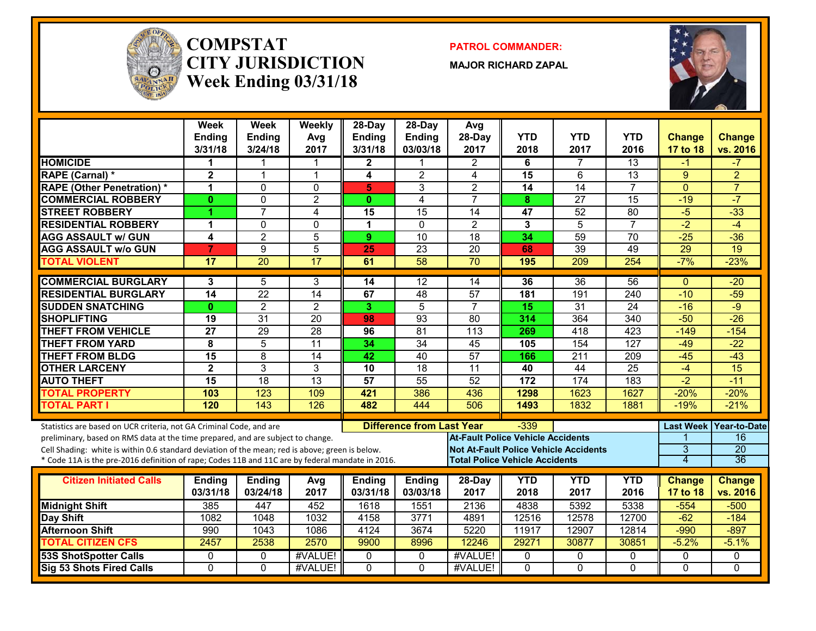

#### **COMPSTATCITY JURISDICTIONWeek Ending 03/31/18**

**PATROL COMMANDER:**

**MAJOR RICHARD ZAPAL**



|                                                                                                                                                        | <b>Week</b><br><b>Ending</b><br>3/31/18 | Week<br><b>Ending</b><br>3/24/18 | Weekly<br>Avg<br>2017 | $28$ -Day<br><b>Ending</b><br>3/31/18 | 28-Day<br><b>Ending</b><br>03/03/18 | Avg<br>28-Day<br>2017                        | <b>YTD</b><br>2018 | <b>YTD</b><br>2017 | <b>YTD</b><br>2016 | <b>Change</b><br>17 to 18 | <b>Change</b><br>vs. 2016 |
|--------------------------------------------------------------------------------------------------------------------------------------------------------|-----------------------------------------|----------------------------------|-----------------------|---------------------------------------|-------------------------------------|----------------------------------------------|--------------------|--------------------|--------------------|---------------------------|---------------------------|
| <b>HOMICIDE</b>                                                                                                                                        | 1                                       | 1                                | 1                     | $\mathbf{2}$                          |                                     | $\overline{2}$                               | 6                  | $\overline{7}$     | 13                 | $-1$                      | $-7$                      |
| <b>RAPE (Carnal) *</b>                                                                                                                                 | $\overline{\mathbf{2}}$                 | $\mathbf{1}$                     | $\mathbf{1}$          | 4                                     | $\overline{2}$                      | $\overline{4}$                               | 15                 | 6                  | $\overline{13}$    | 9                         | $\overline{2}$            |
| <b>RAPE (Other Penetration)*</b>                                                                                                                       | 1                                       | $\mathbf 0$                      | $\mathbf 0$           | 5                                     | 3                                   | $\overline{2}$                               | $\overline{14}$    | $\overline{14}$    | $\overline{7}$     | $\overline{0}$            | $\overline{7}$            |
| <b>COMMERCIAL ROBBERY</b>                                                                                                                              | $\mathbf{0}$                            | $\mathbf 0$                      | $\overline{2}$        | $\mathbf{0}$                          | 4                                   | $\overline{7}$                               | 8                  | $\overline{27}$    | 15                 | $-19$                     | $-7$                      |
| <b>STREET ROBBERY</b>                                                                                                                                  | 4                                       | $\overline{7}$                   | $\overline{4}$        | 15                                    | $\overline{15}$                     | $\overline{14}$                              | 47                 | $\overline{52}$    | $\overline{80}$    | $-5$                      | $-33$                     |
| <b>RESIDENTIAL ROBBERY</b>                                                                                                                             | 1                                       | $\mathbf 0$                      | $\mathbf 0$           | 1                                     | $\Omega$                            | $\overline{2}$                               | 3                  | $\overline{5}$     | $\overline{7}$     | $-2$                      | $-4$                      |
| <b>AGG ASSAULT W/ GUN</b>                                                                                                                              | 4                                       | $\overline{2}$                   | $\overline{5}$        | 9                                     | $\overline{10}$                     | 18                                           | 34                 | $\overline{59}$    | $\overline{70}$    | $-25$                     | $-36$                     |
| <b>AGG ASSAULT w/o GUN</b>                                                                                                                             | 7                                       | 9                                | $\overline{5}$        | 25                                    | $\overline{23}$                     | $\overline{20}$                              | 68                 | $\overline{39}$    | 49                 | $\overline{29}$           | $\overline{19}$           |
| <b>TOTAL VIOLENT</b>                                                                                                                                   | 17                                      | $\overline{20}$                  | $\overline{17}$       | 61                                    | 58                                  | $\overline{70}$                              | 195                | 209                | 254                | $-7%$                     | $-23%$                    |
| <b>COMMERCIAL BURGLARY</b>                                                                                                                             | 3                                       | 5                                | 3                     | 14                                    | 12                                  | 14                                           | 36                 | $\overline{36}$    | 56                 | $\Omega$                  | $-20$                     |
| <b>RESIDENTIAL BURGLARY</b>                                                                                                                            | $\overline{14}$                         | $\overline{22}$                  | $\overline{14}$       | 67                                    | 48                                  | $\overline{57}$                              | 181                | 191                | 240                | $-10$                     | $-59$                     |
| <b>SUDDEN SNATCHING</b>                                                                                                                                | $\mathbf{0}$                            | $\overline{2}$                   | $\overline{2}$        | 3                                     | $\overline{5}$                      | $\overline{7}$                               | 15                 | $\overline{31}$    | $\overline{24}$    | $-16$                     | $-9$                      |
| <b>SHOPLIFTING</b>                                                                                                                                     | $\overline{19}$                         | 31                               | $\overline{20}$       | 98                                    | $\overline{93}$                     | 80                                           | 314                | 364                | 340                | $-50$                     | $-26$                     |
| <b>THEFT FROM VEHICLE</b>                                                                                                                              | $\overline{27}$                         | 29                               | $\overline{28}$       | 96                                    | 81                                  | 113                                          | 269                | 418                | 423                | $-149$                    | $-154$                    |
| <b>THEFT FROM YARD</b>                                                                                                                                 | 8                                       | 5                                | $\overline{11}$       | 34                                    | 34                                  | $\overline{45}$                              | 105                | 154                | 127                | $-49$                     | $-22$                     |
| <b>THEFT FROM BLDG</b>                                                                                                                                 | $\overline{15}$                         | $\overline{8}$                   | $\overline{14}$       | 42                                    | $\overline{40}$                     | 57                                           | 166                | $\overline{211}$   | 209                | $-45$                     | $-43$                     |
| <b>OTHER LARCENY</b>                                                                                                                                   | $\overline{2}$                          | $\overline{3}$                   | $\overline{3}$        | 10                                    | 18                                  | $\overline{11}$                              | 40                 | 44                 | $\overline{25}$    | $-4$                      | $\overline{15}$           |
| <b>AUTO THEFT</b>                                                                                                                                      | $\overline{15}$                         | 18                               | 13                    | 57                                    | 55                                  | 52                                           | 172                | 174                | 183                | $-2$                      | $-11$                     |
| <b>TOTAL PROPERTY</b>                                                                                                                                  | 103                                     | 123                              | 109                   | 421                                   | 386                                 | 436                                          | 1298               | 1623               | 1627               | $-20%$                    | $-20%$                    |
| <b>TOTAL PART I</b>                                                                                                                                    | 120                                     | 143                              | 126                   | 482                                   | 444                                 | 506                                          | 1493               | 1832               | 1881               | $-19%$                    | $-21%$                    |
|                                                                                                                                                        |                                         |                                  |                       |                                       | <b>Difference from Last Year</b>    |                                              | $-339$             |                    |                    | <b>Last Week</b>          | <b>Year-to-Date</b>       |
| Statistics are based on UCR criteria, not GA Criminal Code, and are<br>preliminary, based on RMS data at the time prepared, and are subject to change. |                                         |                                  |                       |                                       |                                     | <b>At-Fault Police Vehicle Accidents</b>     |                    |                    |                    |                           | 16                        |
| Cell Shading: white is within 0.6 standard deviation of the mean; red is above; green is below.                                                        |                                         |                                  |                       |                                       |                                     | <b>Not At-Fault Police Vehicle Accidents</b> |                    |                    |                    | 3                         | $\overline{20}$           |
| * Code 11A is the pre-2016 definition of rape; Codes 11B and 11C are by federal mandate in 2016.                                                       |                                         |                                  |                       |                                       |                                     | <b>Total Police Vehicle Accidents</b>        |                    |                    |                    | $\overline{4}$            | 36                        |
|                                                                                                                                                        |                                         |                                  |                       |                                       |                                     |                                              |                    |                    |                    |                           |                           |
| <b>Citizen Initiated Calls</b>                                                                                                                         | <b>Ending</b>                           | <b>Ending</b>                    | Avg                   | <b>Ending</b>                         | <b>Ending</b>                       | 28-Day                                       | <b>YTD</b>         | <b>YTD</b><br>2017 | <b>YTD</b><br>2016 | <b>Change</b>             | <b>Change</b>             |
|                                                                                                                                                        | 03/31/18                                | 03/24/18                         | 2017                  | 03/31/18                              | 03/03/18                            | 2017                                         | 2018               |                    |                    | <b>17 to 18</b>           | vs. 2016                  |
| <b>Midnight Shift</b>                                                                                                                                  | 385                                     | 447                              | 452                   | 1618                                  | 1551                                | 2136                                         | 4838               | 5392               | 5338               | $-554$                    | $-500$                    |
| Day Shift<br><b>Afternoon Shift</b>                                                                                                                    | 1082                                    | 1048                             | 1032                  | 4158                                  | 3771                                | 4891                                         | 12516              | 12578              | 12700              | $-62$                     | $-184$                    |
| <b>TOTAL CITIZEN CFS</b>                                                                                                                               | 990<br>2457                             | 1043<br>2538                     | 1086<br>2570          | 4124<br>9900                          | 3674<br>8996                        | 5220<br>12246                                | 11917<br>29271     | 12907<br>30877     | 12814<br>30851     | $-990$<br>$-5.2%$         | $-897$<br>$-5.1%$         |
| 53S ShotSpotter Calls                                                                                                                                  | $\Omega$                                | $\mathbf{0}$                     | #VALUE!               | 0                                     | $\mathbf{0}$                        | #VALUE!                                      | 0                  | 0                  | 0                  | $\Omega$                  | $\mathbf{0}$              |
| <b>Sig 53 Shots Fired Calls</b>                                                                                                                        | $\mathbf{0}$                            | $\Omega$                         | #VALUE!               | 0                                     | $\mathbf{0}$                        | #VALUE!                                      | $\mathbf{0}$       | $\mathbf{0}$       | 0                  | $\mathbf{0}$              | $\mathbf{0}$              |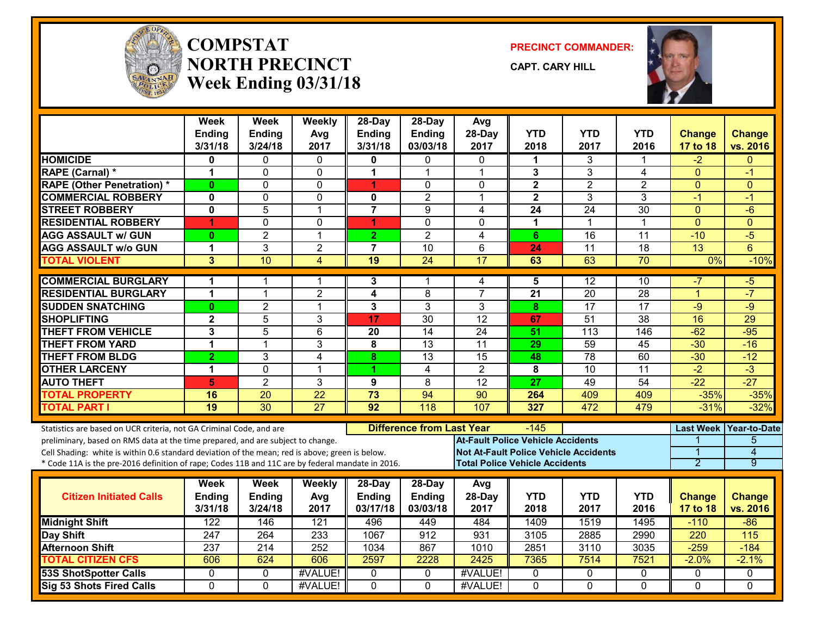

#### **COMPSTATNORTH PRECINCTWeek Ending 03/31/18**

**PRECINCT COMMANDER:**

**CAPT. CARY HILL**



|                                                                                                                                                                                    | <b>Week</b><br><b>Ending</b><br>3/31/18 | <b>Week</b><br><b>Ending</b><br>3/24/18 | Weekly<br>Avg<br>2017 | $28$ -Day<br><b>Ending</b><br>3/31/18 | 28-Day<br><b>Ending</b><br>03/03/18 | Avg<br>28-Day<br>2017                        | <b>YTD</b><br>2018   | <b>YTD</b><br>2017 | YTD<br>2016     | <b>Change</b><br><b>17 to 18</b> | <b>Change</b><br>vs. 2016 |
|------------------------------------------------------------------------------------------------------------------------------------------------------------------------------------|-----------------------------------------|-----------------------------------------|-----------------------|---------------------------------------|-------------------------------------|----------------------------------------------|----------------------|--------------------|-----------------|----------------------------------|---------------------------|
| <b>HOMICIDE</b>                                                                                                                                                                    | 0                                       | 0                                       | $\mathbf{0}$          | 0                                     | 0                                   | $\Omega$                                     | 1                    | 3                  | 1               | $-2$                             | $\Omega$                  |
| <b>RAPE (Carnal) *</b>                                                                                                                                                             | 1                                       | $\Omega$                                | $\mathbf{0}$          | 1                                     | $\mathbf{1}$                        | $\mathbf 1$                                  | 3                    | 3                  | 4               | $\Omega$                         | -1                        |
| <b>RAPE (Other Penetration) *</b>                                                                                                                                                  | $\mathbf{0}$                            | 0                                       | 0                     | 1                                     | 0                                   | $\mathbf{0}$                                 | $\mathbf{2}$         | $\overline{c}$     | $\overline{2}$  | $\Omega$                         | $\Omega$                  |
| <b>COMMERCIAL ROBBERY</b>                                                                                                                                                          | 0                                       | $\mathbf 0$                             | $\mathbf 0$           | $\mathbf 0$                           | $\overline{2}$                      | $\overline{1}$                               | $\overline{2}$       | 3                  | 3               | -1                               | -1                        |
| <b>STREET ROBBERY</b>                                                                                                                                                              | 0                                       | $\overline{5}$                          | $\overline{1}$        | $\overline{7}$                        | $\overline{9}$                      | 4                                            | 24                   | $\overline{24}$    | $\overline{30}$ | $\Omega$                         | $-6$                      |
| <b>RESIDENTIAL ROBBERY</b>                                                                                                                                                         | 4                                       | $\Omega$                                | $\Omega$              | 4                                     | $\Omega$                            | $\Omega$                                     | $\blacktriangleleft$ | 1                  | 1               | $\overline{0}$                   | $\Omega$                  |
| <b>AGG ASSAULT w/ GUN</b>                                                                                                                                                          | $\bf{0}$                                | $\overline{2}$                          | $\mathbf{1}$          | $\overline{2}$                        | $\overline{2}$                      | 4                                            | 6                    | 16                 | $\overline{11}$ | $-10$                            | $-5$                      |
| <b>AGG ASSAULT w/o GUN</b>                                                                                                                                                         | 1                                       | 3                                       | $\overline{2}$        | $\overline{7}$                        | 10                                  | 6                                            | 24                   | 11                 | 18              | 13                               | 6                         |
| <b>TOTAL VIOLENT</b>                                                                                                                                                               | 3                                       | 10                                      | $\overline{4}$        | $\overline{19}$                       | $\overline{24}$                     | $\overline{17}$                              | 63                   | 63                 | 70              | $0\%$                            | $-10%$                    |
| <b>COMMERCIAL BURGLARY</b>                                                                                                                                                         | 1                                       | 1                                       | 1                     | 3                                     | 1                                   | 4                                            | 5                    | $\overline{12}$    | 10              | -7                               | -5                        |
| <b>RESIDENTIAL BURGLARY</b>                                                                                                                                                        | 1                                       | $\mathbf 1$                             | $\overline{2}$        | 4                                     | 8                                   | $\overline{7}$                               | 21                   | 20                 | 28              | $\overline{1}$                   | $-7$                      |
| <b>SUDDEN SNATCHING</b>                                                                                                                                                            | $\bf{0}$                                | $\overline{2}$                          | $\overline{1}$        | 3                                     | 3                                   | 3                                            | 8                    | $\overline{17}$    | 17              | $-9$                             | $-9$                      |
| <b>SHOPLIFTING</b>                                                                                                                                                                 | $\overline{2}$                          | $\overline{5}$                          | 3                     | 17                                    | $\overline{30}$                     | $\overline{12}$                              | 67                   | $\overline{51}$    | $\overline{38}$ | 16                               | 29                        |
| <b>THEFT FROM VEHICLE</b>                                                                                                                                                          | 3                                       | $\overline{5}$                          | 6                     | 20                                    | $\overline{14}$                     | $\overline{24}$                              | 51                   | 113                | 146             | $-62$                            | $-95$                     |
| <b>THEFT FROM YARD</b>                                                                                                                                                             | $\blacktriangleleft$                    | $\mathbf 1$                             | 3                     | 8                                     | $\overline{13}$                     | $\overline{11}$                              | 29                   | 59                 | $\overline{45}$ | $-30$                            | $-16$                     |
| <b>THEFT FROM BLDG</b>                                                                                                                                                             | $\overline{2}$                          | 3                                       | 4                     | 8                                     | 13                                  | $\overline{15}$                              | 48                   | $\overline{78}$    | 60              | $-30$                            | $-12$                     |
| <b>OTHER LARCENY</b>                                                                                                                                                               | 1                                       | $\Omega$                                | $\mathbf{1}$          | 1                                     | $\overline{\mathbf{4}}$             | $\overline{2}$                               | 8                    | $\overline{10}$    | $\overline{11}$ | $-2$                             | $-3$                      |
| <b>AUTO THEFT</b>                                                                                                                                                                  | 5                                       | $\overline{2}$                          | 3                     | 9                                     | 8                                   | $\overline{12}$                              | 27                   | 49                 | $\overline{54}$ | $-22$                            | $-27$                     |
| <b>TOTAL PROPERTY</b>                                                                                                                                                              | 16                                      | $\overline{20}$                         | $\overline{22}$       | $\overline{73}$                       | 94                                  | $\overline{90}$                              | 264                  | 409                | 409             | $-35%$                           | $-35%$                    |
| <b>TOTAL PART I</b>                                                                                                                                                                | $\overline{19}$                         | 30                                      | $\overline{27}$       | 92                                    | $\overline{118}$                    | 107                                          | 327                  | 472                | 479             | $-31%$                           | $-32%$                    |
| Statistics are based on UCR criteria, not GA Criminal Code, and are                                                                                                                |                                         |                                         |                       |                                       | <b>Difference from Last Year</b>    | <b>At-Fault Police Vehicle Accidents</b>     | $-145$               |                    |                 | <b>Last Week</b>                 | Year-to-Date<br>5         |
| preliminary, based on RMS data at the time prepared, and are subject to change.<br>Cell Shading: white is within 0.6 standard deviation of the mean; red is above; green is below. |                                         |                                         |                       |                                       |                                     | <b>Not At-Fault Police Vehicle Accidents</b> |                      |                    |                 | 1                                | $\overline{4}$            |
| * Code 11A is the pre-2016 definition of rape; Codes 11B and 11C are by federal mandate in 2016.                                                                                   |                                         |                                         |                       |                                       |                                     | <b>Total Police Vehicle Accidents</b>        |                      |                    |                 | 2                                | $\overline{9}$            |
|                                                                                                                                                                                    | Week                                    | Week                                    | Weekly                | 28-Day                                | 28-Day                              | Avg                                          |                      |                    |                 |                                  |                           |
| <b>Citizen Initiated Calls</b>                                                                                                                                                     | Ending                                  | Ending                                  | Avg                   | Ending                                | Ending                              | 28-Day                                       | <b>YTD</b>           | <b>YTD</b>         | <b>YTD</b>      | <b>Change</b>                    | <b>Change</b>             |
|                                                                                                                                                                                    | 3/31/18                                 | 3/24/18                                 | 2017                  | 03/17/18                              | 03/03/18                            | 2017                                         | 2018                 | 2017               | 2016            | 17 to 18                         | vs. 2016                  |
| <b>Midnight Shift</b>                                                                                                                                                              | 122                                     | 146                                     | 121                   | 496                                   | 449                                 | 484                                          | 1409                 | 1519               | 1495            | -110                             | $-86$                     |
| Day Shift                                                                                                                                                                          | 247                                     | 264                                     | 233                   | 1067                                  | 912                                 | 931                                          | 3105                 | 2885               | 2990            | 220                              | 115                       |
| <b>Afternoon Shift</b>                                                                                                                                                             | 237                                     | 214                                     | 252                   | 1034                                  | 867                                 | 1010                                         | 2851                 | 3110               | 3035            | $-259$                           | $-184$                    |
| <b>TOTAL CITIZEN CFS</b>                                                                                                                                                           | 606                                     | 624                                     | 606                   | 2597                                  | 2228                                | 2425                                         | 7365                 | 7514               | 7521            | $-2.0%$                          | $-2.1%$                   |
| <b>53S ShotSpotter Calls</b>                                                                                                                                                       | 0                                       | $\Omega$                                | #VALUE!               | $\mathbf{0}$                          | 0                                   | #VALUE!                                      | 0                    | 0                  | 0               | 0                                | 0                         |
| <b>Sig 53 Shots Fired Calls</b>                                                                                                                                                    | $\overline{0}$                          | $\Omega$                                | #VALUE!               | $\Omega$                              | $\Omega$                            | #VALUE!                                      | $\Omega$             | $\Omega$           | $\overline{0}$  | $\Omega$                         | $\Omega$                  |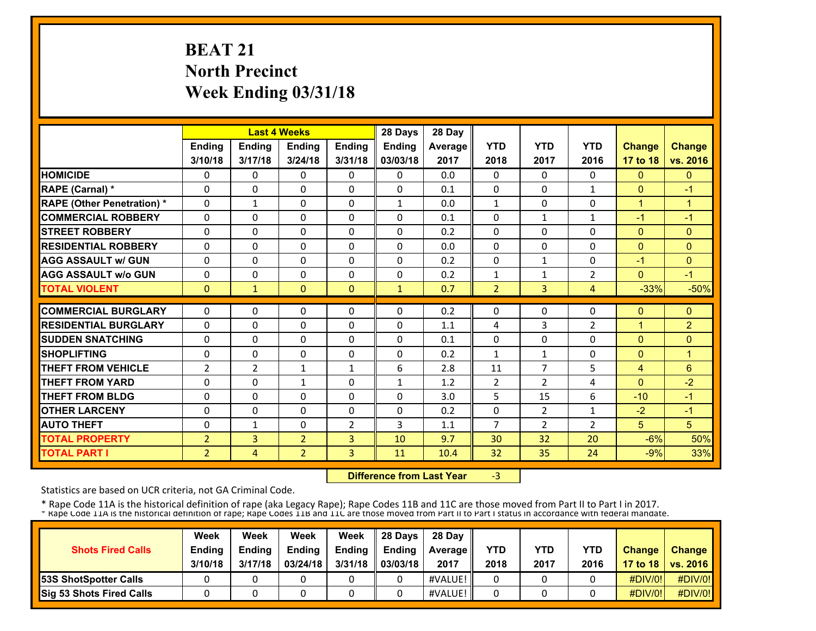# **BEAT 21 North Precinct Week Ending 03/31/18**

|                                   |                |                | <b>Last 4 Weeks</b> |                | 28 Days      | 28 Day         |                |                |                |              |                |
|-----------------------------------|----------------|----------------|---------------------|----------------|--------------|----------------|----------------|----------------|----------------|--------------|----------------|
|                                   | Ending         | Ending         | Ending              | <b>Ending</b>  | Ending       | <b>Average</b> | <b>YTD</b>     | <b>YTD</b>     | <b>YTD</b>     | Change       | <b>Change</b>  |
|                                   | 3/10/18        | 3/17/18        | 3/24/18             | 3/31/18        | 03/03/18     | 2017           | 2018           | 2017           | 2016           | 17 to 18     | vs. 2016       |
| <b>HOMICIDE</b>                   | 0              | 0              | $\mathbf{0}$        | $\Omega$       | $\mathbf{0}$ | 0.0            | 0              | $\Omega$       | 0              | $\mathbf{0}$ | $\mathbf{0}$   |
| <b>RAPE (Carnal) *</b>            | 0              | 0              | $\mathbf{0}$        | 0              | $\Omega$     | 0.1            | 0              | 0              | $\mathbf{1}$   | $\mathbf{0}$ | $-1$           |
| <b>RAPE (Other Penetration) *</b> | $\Omega$       | $\mathbf{1}$   | $\mathbf{0}$        | $\Omega$       | $\mathbf{1}$ | 0.0            | $\mathbf{1}$   | $\Omega$       | 0              | $\mathbf{1}$ | $\mathbf{1}$   |
| <b>COMMERCIAL ROBBERY</b>         | $\Omega$       | $\Omega$       | $\mathbf{0}$        | 0              | $\Omega$     | 0.1            | 0              | $\mathbf{1}$   | $\mathbf{1}$   | $-1$         | $-1$           |
| <b>STREET ROBBERY</b>             | 0              | $\Omega$       | $\mathbf{0}$        | 0              | $\Omega$     | 0.2            | 0              | 0              | 0              | $\mathbf{0}$ | $\mathbf{0}$   |
| <b>RESIDENTIAL ROBBERY</b>        | $\Omega$       | $\Omega$       | $\Omega$            | $\Omega$       | $\Omega$     | 0.0            | 0              | 0              | $\Omega$       | $\mathbf{0}$ | $\Omega$       |
| <b>AGG ASSAULT w/ GUN</b>         | $\Omega$       | $\Omega$       | $\Omega$            | $\Omega$       | $\Omega$     | 0.2            | $\Omega$       | $\mathbf{1}$   | $\Omega$       | $-1$         | $\mathbf{0}$   |
| <b>AGG ASSAULT w/o GUN</b>        | $\Omega$       | 0              | $\Omega$            | $\Omega$       | $\Omega$     | 0.2            | 1              | $\mathbf{1}$   | $\overline{2}$ | $\mathbf{0}$ | $-1$           |
| <b>TOTAL VIOLENT</b>              | $\mathbf{0}$   | $\mathbf{1}$   | $\mathbf{0}$        | $\Omega$       | $\mathbf{1}$ | 0.7            | $\overline{2}$ | 3              | $\overline{4}$ | $-33%$       | $-50%$         |
| <b>COMMERCIAL BURGLARY</b>        | 0              | $\Omega$       | $\mathbf{0}$        | $\Omega$       | $\Omega$     |                | 0              | 0              | 0              | $\mathbf{0}$ | $\Omega$       |
|                                   |                |                |                     |                |              | 0.2            |                |                |                |              |                |
| <b>RESIDENTIAL BURGLARY</b>       | 0              | $\Omega$       | $\mathbf{0}$        | 0              | $\Omega$     | 1.1            | 4              | 3              | 2              | $\mathbf{1}$ | $\overline{2}$ |
| <b>SUDDEN SNATCHING</b>           | 0              | $\Omega$       | $\Omega$            | $\Omega$       | $\Omega$     | 0.1            | $\Omega$       | 0              | $\Omega$       | $\mathbf{0}$ | $\Omega$       |
| <b>SHOPLIFTING</b>                | 0              | 0              | $\mathbf{0}$        | 0              | 0            | 0.2            | $\mathbf{1}$   | $\mathbf{1}$   | 0              | $\mathbf{0}$ | $\mathbf{1}$   |
| <b>THEFT FROM VEHICLE</b>         | $\overline{2}$ | $\overline{2}$ | $\mathbf{1}$        | 1              | 6            | 2.8            | 11             | $\overline{7}$ | 5              | 4            | $6\phantom{1}$ |
| <b>THEFT FROM YARD</b>            | 0              | 0              | $\mathbf{1}$        | 0              | $\mathbf{1}$ | 1.2            | $\overline{2}$ | $\overline{2}$ | 4              | $\mathbf{0}$ | $-2$           |
| <b>THEFT FROM BLDG</b>            | 0              | 0              | $\Omega$            | 0              | 0            | 3.0            | 5              | 15             | 6              | $-10$        | $-1$           |
| <b>OTHER LARCENY</b>              | $\Omega$       | $\Omega$       | $\Omega$            | 0              | $\Omega$     | 0.2            | $\Omega$       | $\overline{2}$ | $\mathbf{1}$   | $-2$         | $-1$           |
| <b>AUTO THEFT</b>                 | $\Omega$       | $\mathbf{1}$   | $\Omega$            | $\overline{2}$ | 3            | 1.1            | 7              | $\overline{2}$ | $\overline{2}$ | 5            | 5              |
| <b>TOTAL PROPERTY</b>             | $\overline{2}$ | $\overline{3}$ | $\overline{2}$      | 3              | 10           | 9.7            | 30             | 32             | 20             | $-6%$        | 50%            |
| <b>TOTAL PART I</b>               | $\overline{2}$ | 4              | $\overline{2}$      | 3              | 11           | 10.4           | 32             | 35             | 24             | $-9%$        | 33%            |

 **Difference from Last Year**‐3

Statistics are based on UCR criteria, not GA Criminal Code.

|                                 | Week          | Week          | Week          | Week    | 28 Days       | 28 Dav            |      |      |            |               |                     |
|---------------------------------|---------------|---------------|---------------|---------|---------------|-------------------|------|------|------------|---------------|---------------------|
| <b>Shots Fired Calls</b>        | <b>Ending</b> | <b>Endina</b> | <b>Ending</b> | Ending  | <b>Endina</b> | <b>Average II</b> | YTD  | YTD  | <b>YTD</b> | <b>Change</b> | <b>Change</b>       |
|                                 | 3/10/18       | 3/17/18       | 03/24/18      | 3/31/18 | 03/03/18      | 2017              | 2018 | 2017 | 2016       |               | 17 to 18   vs. 2016 |
| <b>53S ShotSpotter Calls</b>    |               |               |               |         |               | #VALUE!           |      |      |            | $\#$ DIV/0!   | #DIV/0!             |
| <b>Sig 53 Shots Fired Calls</b> |               |               |               |         |               | #VALUE!           |      |      |            | $\#$ DIV/0!   | #DIV/0!             |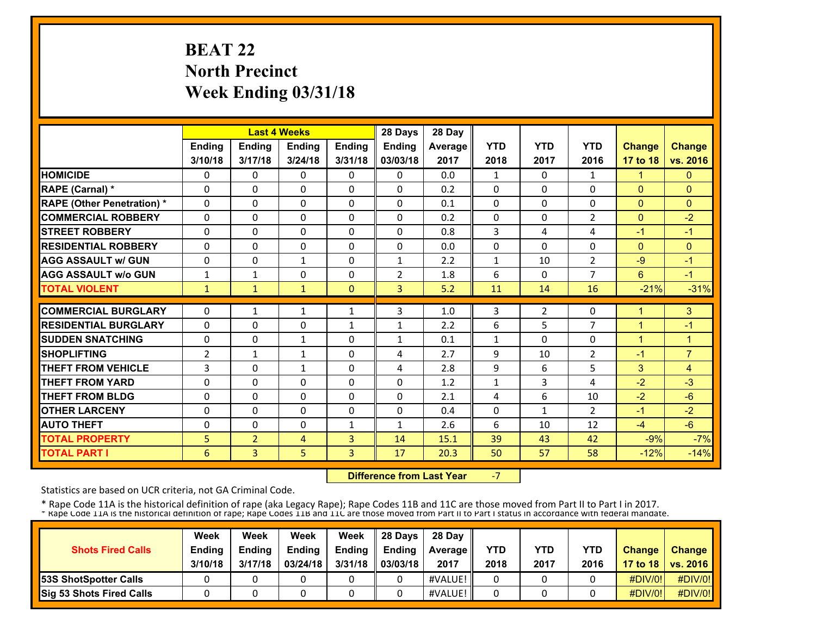# **BEAT 22 North Precinct Week Ending 03/31/18**

|                                   |                |                | <b>Last 4 Weeks</b> |               | 28 Days        | 28 Day         |              |                |                |                |                |
|-----------------------------------|----------------|----------------|---------------------|---------------|----------------|----------------|--------------|----------------|----------------|----------------|----------------|
|                                   | Ending         | Ending         | Ending              | <b>Ending</b> | Ending         | <b>Average</b> | <b>YTD</b>   | <b>YTD</b>     | <b>YTD</b>     | Change         | <b>Change</b>  |
|                                   | 3/10/18        | 3/17/18        | 3/24/18             | 3/31/18       | 03/03/18       | 2017           | 2018         | 2017           | 2016           | 17 to 18       | vs. 2016       |
| <b>HOMICIDE</b>                   | 0              | 0              | $\mathbf{0}$        | $\Omega$      | $\mathbf{0}$   | 0.0            | 1            | 0              | 1              | $\mathbf{1}$   | $\mathbf{0}$   |
| <b>RAPE (Carnal) *</b>            | 0              | 0              | $\mathbf{0}$        | 0             | $\Omega$       | 0.2            | 0            | 0              | 0              | $\mathbf{0}$   | $\Omega$       |
| <b>RAPE (Other Penetration) *</b> | $\Omega$       | $\Omega$       | $\Omega$            | $\Omega$      | $\Omega$       | 0.1            | 0            | $\Omega$       | 0              | $\mathbf{0}$   | $\mathbf{0}$   |
| <b>COMMERCIAL ROBBERY</b>         | $\Omega$       | $\Omega$       | $\mathbf{0}$        | 0             | $\Omega$       | 0.2            | 0            | 0              | 2              | $\mathbf{0}$   | $-2$           |
| <b>STREET ROBBERY</b>             | 0              | $\Omega$       | $\mathbf{0}$        | 0             | $\Omega$       | 0.8            | 3            | 4              | 4              | $-1$           | $-1$           |
| <b>RESIDENTIAL ROBBERY</b>        | $\Omega$       | $\Omega$       | $\Omega$            | $\Omega$      | $\Omega$       | 0.0            | $\Omega$     | 0              | $\Omega$       | $\mathbf{0}$   | $\mathbf{0}$   |
| <b>AGG ASSAULT w/ GUN</b>         | $\Omega$       | $\Omega$       | $\mathbf{1}$        | $\Omega$      | $\mathbf{1}$   | 2.2            | $\mathbf{1}$ | 10             | $\overline{2}$ | $-9$           | $-1$           |
| <b>AGG ASSAULT w/o GUN</b>        | $\mathbf{1}$   | $\mathbf{1}$   | $\Omega$            | $\Omega$      | $\overline{2}$ | 1.8            | 6            | 0              | $\overline{7}$ | 6              | $-1$           |
| <b>TOTAL VIOLENT</b>              | 1              | $\mathbf{1}$   | $\mathbf{1}$        | $\Omega$      | $\overline{3}$ | 5.2            | 11           | 14             | 16             | $-21%$         | $-31%$         |
| <b>COMMERCIAL BURGLARY</b>        | 0              |                |                     |               | 3              |                |              |                | 0              | 1              |                |
|                                   |                | $\mathbf{1}$   | $\mathbf{1}$        | 1             |                | 1.0            | 3            | $\overline{2}$ |                |                | 3              |
| <b>RESIDENTIAL BURGLARY</b>       | 0              | $\Omega$       | $\mathbf{0}$        | $\mathbf{1}$  | 1              | 2.2            | 6            | 5              | $\overline{7}$ | $\overline{1}$ | $-1$           |
| <b>SUDDEN SNATCHING</b>           | 0              | $\Omega$       | $\mathbf{1}$        | $\Omega$      | $\mathbf{1}$   | 0.1            | $\mathbf{1}$ | 0              | $\Omega$       | $\overline{1}$ | $\overline{1}$ |
| <b>SHOPLIFTING</b>                | $\overline{2}$ | $\mathbf{1}$   | $\mathbf{1}$        | 0             | 4              | 2.7            | 9            | 10             | $\overline{2}$ | $-1$           | $\overline{7}$ |
| <b>THEFT FROM VEHICLE</b>         | 3              | 0              | $\mathbf{1}$        | $\Omega$      | 4              | 2.8            | 9            | 6              | 5              | 3              | 4              |
| <b>THEFT FROM YARD</b>            | 0              | 0              | $\Omega$            | 0             | $\mathbf{0}$   | 1.2            | 1            | 3              | 4              | $-2$           | $-3$           |
| <b>THEFT FROM BLDG</b>            | 0              | 0              | $\Omega$            | 0             | 0              | 2.1            | 4            | 6              | 10             | $-2$           | $-6$           |
| <b>OTHER LARCENY</b>              | $\Omega$       | $\Omega$       | $\Omega$            | 0             | $\Omega$       | 0.4            | 0            | $\mathbf{1}$   | $\overline{2}$ | $-1$           | $-2$           |
| <b>AUTO THEFT</b>                 | $\Omega$       | 0              | $\Omega$            | $\mathbf{1}$  | $\mathbf{1}$   | 2.6            | 6            | 10             | 12             | $-4$           | $-6$           |
| <b>TOTAL PROPERTY</b>             | 5              | $\overline{2}$ | 4                   | 3             | 14             | 15.1           | 39           | 43             | 42             | $-9%$          | $-7%$          |
| <b>TOTAL PART I</b>               | 6              | 3              | 5                   | 3             | 17             | 20.3           | 50           | 57             | 58             | $-12%$         | $-14%$         |

 **Difference from Last Year**‐7

Statistics are based on UCR criteria, not GA Criminal Code.

|                                 | Week          | Week          | Week          | Week    | 28 Days       | 28 Dav            |      |      |            |               |                     |
|---------------------------------|---------------|---------------|---------------|---------|---------------|-------------------|------|------|------------|---------------|---------------------|
| <b>Shots Fired Calls</b>        | <b>Ending</b> | <b>Endina</b> | <b>Ending</b> | Ending  | <b>Endina</b> | <b>Average II</b> | YTD  | YTD  | <b>YTD</b> | <b>Change</b> | <b>Change</b>       |
|                                 | 3/10/18       | 3/17/18       | 03/24/18      | 3/31/18 | 03/03/18      | 2017              | 2018 | 2017 | 2016       |               | 17 to 18   vs. 2016 |
| <b>53S ShotSpotter Calls</b>    |               |               |               |         |               | #VALUE!           |      |      |            | $\#$ DIV/0!   | #DIV/0!             |
| <b>Sig 53 Shots Fired Calls</b> |               |               |               |         |               | #VALUE!           |      |      |            | #DIV/0!       | #DIV/0!             |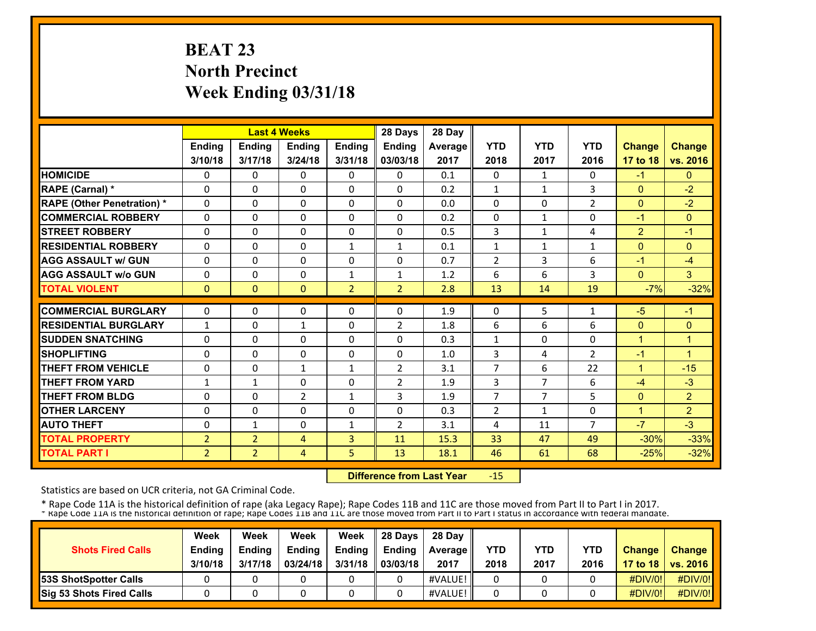# **BEAT 23 North Precinct Week Ending 03/31/18**

|                                   |                |                | <b>Last 4 Weeks</b> |                | 28 Days        | 28 Day  |                |                |                |                |                |
|-----------------------------------|----------------|----------------|---------------------|----------------|----------------|---------|----------------|----------------|----------------|----------------|----------------|
|                                   | Ending         | Ending         | Ending              | Ending         | Ending         | Average | <b>YTD</b>     | <b>YTD</b>     | <b>YTD</b>     | <b>Change</b>  | <b>Change</b>  |
|                                   | 3/10/18        | 3/17/18        | 3/24/18             | 3/31/18        | 03/03/18       | 2017    | 2018           | 2017           | 2016           | 17 to 18       | vs. 2016       |
| <b>HOMICIDE</b>                   | 0              | 0              | $\mathbf{0}$        | 0              | $\Omega$       | 0.1     | 0              | $\mathbf{1}$   | $\Omega$       | $-1$           | $\mathbf{0}$   |
| RAPE (Carnal) *                   | $\Omega$       | $\Omega$       | $\Omega$            | $\Omega$       | $\Omega$       | 0.2     | $\mathbf{1}$   | $\mathbf{1}$   | 3              | $\mathbf{0}$   | $-2$           |
| <b>RAPE (Other Penetration) *</b> | $\Omega$       | $\Omega$       | $\Omega$            | $\Omega$       | $\Omega$       | 0.0     | $\Omega$       | 0              | 2              | $\Omega$       | $-2$           |
| <b>COMMERCIAL ROBBERY</b>         | $\Omega$       | 0              | $\Omega$            | $\Omega$       | $\Omega$       | 0.2     | 0              | $\mathbf{1}$   | $\Omega$       | $-1$           | $\mathbf{0}$   |
| <b>STREET ROBBERY</b>             | $\Omega$       | $\Omega$       | $\Omega$            | $\Omega$       | $\Omega$       | 0.5     | 3              | $\mathbf{1}$   | 4              | $\overline{2}$ | $-1$           |
| <b>RESIDENTIAL ROBBERY</b>        | $\Omega$       | $\Omega$       | $\mathbf{0}$        | $\mathbf{1}$   | $\mathbf{1}$   | 0.1     | $\mathbf{1}$   | $\mathbf{1}$   | $\mathbf{1}$   | $\mathbf{0}$   | $\Omega$       |
| <b>AGG ASSAULT w/ GUN</b>         | $\Omega$       | 0              | $\Omega$            | 0              | 0              | 0.7     | $\overline{2}$ | 3              | 6              | $-1$           | $-4$           |
| <b>AGG ASSAULT w/o GUN</b>        | 0              | 0              | $\Omega$            | 1              | $\mathbf{1}$   | 1.2     | 6              | 6              | 3              | $\mathbf{0}$   | 3              |
| <b>TOTAL VIOLENT</b>              | $\mathbf{0}$   | $\Omega$       | $\mathbf{0}$        | $\overline{2}$ | $\overline{2}$ | 2.8     | 13             | 14             | 19             | $-7%$          | $-32%$         |
| <b>COMMERCIAL BURGLARY</b>        | $\Omega$       | 0              | $\Omega$            | $\Omega$       | $\Omega$       | 1.9     | 0              | 5              | 1              | $-5$           | $-1$           |
| <b>RESIDENTIAL BURGLARY</b>       | $\mathbf{1}$   | $\Omega$       | $\mathbf{1}$        | $\Omega$       | $\overline{2}$ | 1.8     | 6              | 6              | 6              | $\Omega$       | $\mathbf{0}$   |
| <b>SUDDEN SNATCHING</b>           | 0              | 0              | $\mathbf{0}$        | 0              | $\mathbf{0}$   | 0.3     | $\mathbf{1}$   | 0              | $\Omega$       | $\mathbf{1}$   | 1              |
| <b>SHOPLIFTING</b>                | 0              | 0              | 0                   | 0              | $\mathbf{0}$   | 1.0     | 3              | 4              | $\overline{2}$ | $-1$           | $\mathbf{1}$   |
| <b>THEFT FROM VEHICLE</b>         | 0              | 0              | $\mathbf{1}$        | 1              | $\overline{2}$ | 3.1     | 7              | 6              | 22             | 1              | $-15$          |
| <b>THEFT FROM YARD</b>            | $\mathbf{1}$   | $\mathbf{1}$   | $\Omega$            | 0              | $\overline{2}$ | 1.9     | 3              | $\overline{7}$ | 6              | $-4$           | $-3$           |
| <b>THEFT FROM BLDG</b>            | 0              | 0              | $\overline{2}$      | $\mathbf{1}$   | 3              | 1.9     | 7              | $\overline{7}$ | 5              | $\mathbf{0}$   | $\overline{2}$ |
| <b>OTHER LARCENY</b>              | $\Omega$       | $\Omega$       | $\Omega$            | $\Omega$       | $\Omega$       | 0.3     | $\overline{2}$ | 1              | $\Omega$       | $\overline{1}$ | $\overline{2}$ |
| <b>AUTO THEFT</b>                 | 0              | $\mathbf{1}$   | $\Omega$            | $\mathbf{1}$   | $\overline{2}$ | 3.1     | 4              | 11             | $\overline{7}$ | $-7$           | $-3$           |
| <b>TOTAL PROPERTY</b>             | $\overline{2}$ | $\overline{2}$ | 4                   | 3              | 11             | 15.3    | 33             | 47             | 49             | $-30%$         | $-33%$         |
| <b>TOTAL PART I</b>               | $\overline{2}$ | $\overline{2}$ | 4                   | 5              | 13             | 18.1    | 46             | 61             | 68             | $-25%$         | $-32%$         |

 **Difference from Last Year**‐15

Statistics are based on UCR criteria, not GA Criminal Code.

|                              | Week          | Week          | Week          | Week          | 28 Davs       | 28 Day         |      |      |            |               |                     |
|------------------------------|---------------|---------------|---------------|---------------|---------------|----------------|------|------|------------|---------------|---------------------|
| <b>Shots Fired Calls</b>     | <b>Ending</b> | <b>Ending</b> | <b>Ending</b> | <b>Ending</b> | <b>Ending</b> | <b>Average</b> | YTD  | YTD  | <b>YTD</b> | <b>Change</b> | <b>Change</b>       |
|                              | 3/10/18       | 3/17/18       | 03/24/18      | 3/31/18       | 03/03/18      | 2017           | 2018 | 2017 | 2016       |               | 17 to 18   vs. 2016 |
| <b>53S ShotSpotter Calls</b> |               |               |               |               |               | #VALUE!        |      |      |            | $\#$ DIV/0!   | #DIV/0!             |
| Sig 53 Shots Fired Calls     |               |               |               |               |               | #VALUE!        |      |      |            | #DIV/0!       | #DIV/0!             |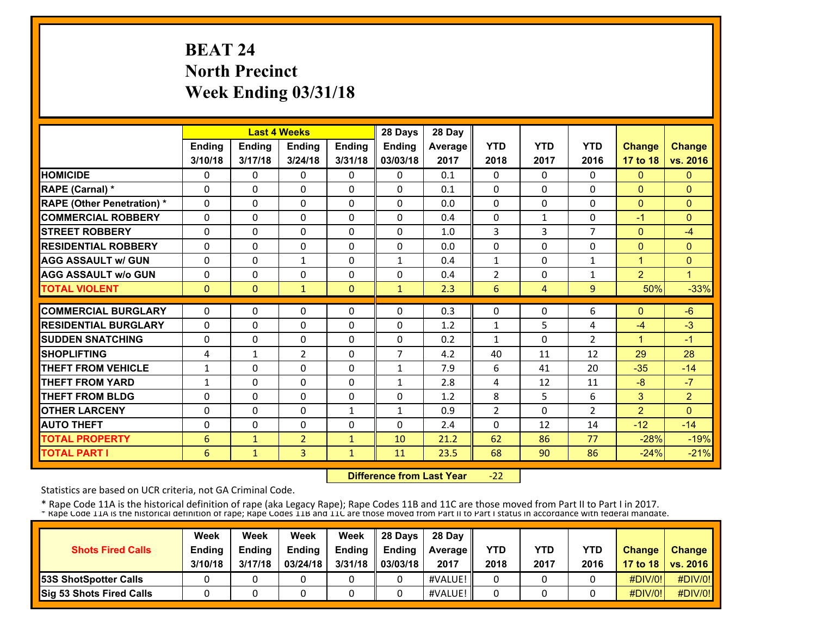# **BEAT 24 North Precinct Week Ending 03/31/18**

|                                   |              |              | <b>Last 4 Weeks</b> |              | 28 Days        | 28 Day  |                |              |                |                |                |
|-----------------------------------|--------------|--------------|---------------------|--------------|----------------|---------|----------------|--------------|----------------|----------------|----------------|
|                                   | Ending       | Ending       | Ending              | Ending       | Ending         | Average | <b>YTD</b>     | <b>YTD</b>   | <b>YTD</b>     | <b>Change</b>  | <b>Change</b>  |
|                                   | 3/10/18      | 3/17/18      | 3/24/18             | 3/31/18      | 03/03/18       | 2017    | 2018           | 2017         | 2016           | 17 to 18       | vs. 2016       |
| <b>HOMICIDE</b>                   | 0            | 0            | $\mathbf{0}$        | 0            | $\Omega$       | 0.1     | 0              | $\Omega$     | $\Omega$       | $\mathbf{0}$   | $\mathbf{0}$   |
| RAPE (Carnal) *                   | $\Omega$     | $\Omega$     | $\Omega$            | $\Omega$     | $\Omega$       | 0.1     | $\Omega$       | $\Omega$     | $\Omega$       | $\Omega$       | $\Omega$       |
| <b>RAPE (Other Penetration) *</b> | $\Omega$     | $\Omega$     | $\Omega$            | $\Omega$     | $\Omega$       | 0.0     | 0              | 0            | $\Omega$       | $\Omega$       | $\mathbf{0}$   |
| <b>COMMERCIAL ROBBERY</b>         | $\Omega$     | 0            | $\Omega$            | $\Omega$     | $\Omega$       | 0.4     | 0              | $\mathbf{1}$ | $\Omega$       | $-1$           | $\Omega$       |
| <b>STREET ROBBERY</b>             | $\Omega$     | $\Omega$     | $\Omega$            | $\Omega$     | $\Omega$       | 1.0     | 3              | 3            | $\overline{7}$ | $\mathbf{0}$   | $-4$           |
| <b>RESIDENTIAL ROBBERY</b>        | $\Omega$     | $\Omega$     | $\mathbf{0}$        | 0            | $\Omega$       | 0.0     | 0              | 0            | 0              | $\mathbf{0}$   | $\mathbf{0}$   |
| <b>AGG ASSAULT w/ GUN</b>         | $\Omega$     | $\Omega$     | $\mathbf{1}$        | 0            | $\mathbf{1}$   | 0.4     | $\mathbf{1}$   | 0            | 1              | $\mathbf{1}$   | $\mathbf{0}$   |
| <b>AGG ASSAULT w/o GUN</b>        | 0            | 0            | $\Omega$            | 0            | $\Omega$       | 0.4     | $\overline{2}$ | 0            | 1              | $\overline{2}$ | 1              |
| <b>TOTAL VIOLENT</b>              | $\mathbf{0}$ | $\Omega$     | $\mathbf{1}$        | $\Omega$     | $\mathbf{1}$   | 2.3     | 6              | 4            | 9              | 50%            | $-33%$         |
| <b>COMMERCIAL BURGLARY</b>        | $\Omega$     | $\Omega$     | $\Omega$            | $\Omega$     | $\Omega$       | 0.3     | 0              | 0            | 6              | $\Omega$       | $-6$           |
|                                   |              |              |                     |              |                |         |                |              |                |                |                |
| <b>RESIDENTIAL BURGLARY</b>       | $\Omega$     | $\Omega$     | $\Omega$            | $\Omega$     | $\Omega$       | 1.2     | $\mathbf{1}$   | 5            | 4              | $-4$           | $-3$           |
| <b>SUDDEN SNATCHING</b>           | 0            | 0            | $\mathbf{0}$        | 0            | 0              | 0.2     | $\mathbf{1}$   | 0            | $\overline{2}$ | 1              | $-1$           |
| <b>SHOPLIFTING</b>                | 4            | $\mathbf{1}$ | $\overline{2}$      | 0            | $\overline{7}$ | 4.2     | 40             | 11           | 12             | 29             | 28             |
| <b>THEFT FROM VEHICLE</b>         | $\mathbf{1}$ | 0            | $\Omega$            | 0            | $\mathbf{1}$   | 7.9     | 6              | 41           | 20             | $-35$          | $-14$          |
| <b>THEFT FROM YARD</b>            | $\mathbf{1}$ | 0            | $\Omega$            | 0            | $\mathbf{1}$   | 2.8     | 4              | 12           | 11             | $-8$           | $-7$           |
| <b>THEFT FROM BLDG</b>            | 0            | 0            | $\Omega$            | 0            | $\Omega$       | 1.2     | 8              | 5            | 6              | 3              | $\overline{2}$ |
| <b>OTHER LARCENY</b>              | $\Omega$     | $\Omega$     | $\Omega$            | $\mathbf{1}$ | 1              | 0.9     | $\overline{2}$ | $\Omega$     | $\overline{2}$ | 2              | $\Omega$       |
| <b>AUTO THEFT</b>                 | 0            | $\Omega$     | $\Omega$            | $\Omega$     | $\Omega$       | 2.4     | $\Omega$       | 12           | 14             | $-12$          | $-14$          |
| <b>TOTAL PROPERTY</b>             | 6            | $\mathbf{1}$ | $\overline{2}$      | $\mathbf{1}$ | 10             | 21.2    | 62             | 86           | 77             | $-28%$         | $-19%$         |
| <b>TOTAL PART I</b>               | 6            | $\mathbf{1}$ | 3                   | 1            | 11             | 23.5    | 68             | 90           | 86             | $-24%$         | $-21%$         |

 **Difference from Last Year** $-22$ 

Statistics are based on UCR criteria, not GA Criminal Code.

|                                 | Week          | Week          | Week          | Week    | 28 Davs       | 28 Day            |      |      |            |               |                     |
|---------------------------------|---------------|---------------|---------------|---------|---------------|-------------------|------|------|------------|---------------|---------------------|
| <b>Shots Fired Calls</b>        | <b>Ending</b> | <b>Ending</b> | <b>Ending</b> | Ending  | <b>Endina</b> | <b>Average</b> II | YTD  | YTD  | <b>YTD</b> | <b>Change</b> | <b>Change</b>       |
|                                 | 3/10/18       | 3/17/18       | 03/24/18      | 3/31/18 | 03/03/18      | 2017              | 2018 | 2017 | 2016       |               | 17 to 18   vs. 2016 |
| <b>53S ShotSpotter Calls</b>    |               |               |               |         |               | #VALUE!           |      |      |            | $\#$ DIV/0!   | #DIV/0!             |
| <b>Sig 53 Shots Fired Calls</b> |               |               |               |         |               | #VALUE!           |      |      |            | #DIV/0!       | #DIV/0!             |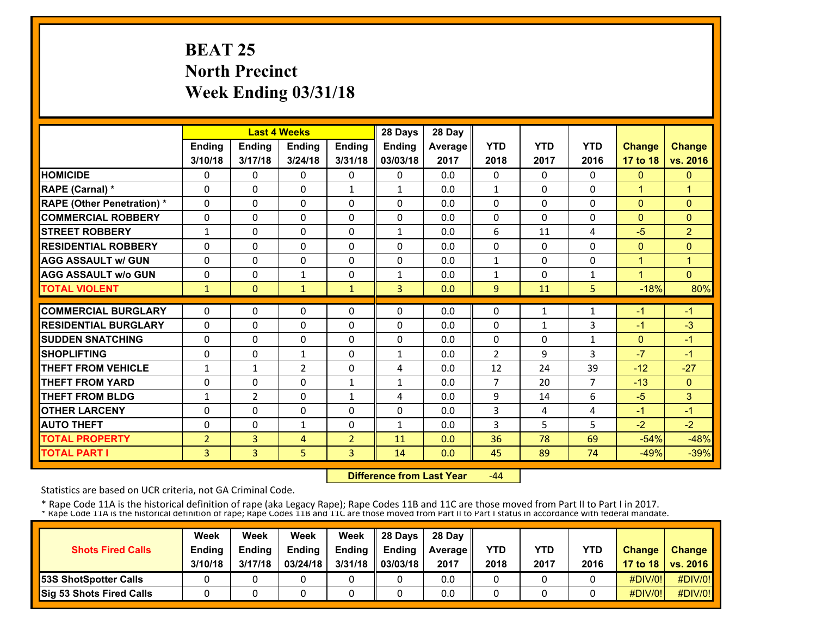# **BEAT 25 North Precinct Week Ending 03/31/18**

|                                   |                |                | <b>Last 4 Weeks</b> |                | 28 Days        | 28 Day  |                |              |                |                |                |
|-----------------------------------|----------------|----------------|---------------------|----------------|----------------|---------|----------------|--------------|----------------|----------------|----------------|
|                                   | Ending         | <b>Ending</b>  | Ending              | <b>Ending</b>  | <b>Ending</b>  | Average | <b>YTD</b>     | <b>YTD</b>   | <b>YTD</b>     | <b>Change</b>  | <b>Change</b>  |
|                                   | 3/10/18        | 3/17/18        | 3/24/18             | 3/31/18        | 03/03/18       | 2017    | 2018           | 2017         | 2016           | 17 to 18       | vs. 2016       |
| <b>HOMICIDE</b>                   | 0              | $\Omega$       | $\Omega$            | 0              | $\Omega$       | 0.0     | 0              | $\Omega$     | $\Omega$       | $\mathbf{0}$   | $\mathbf{0}$   |
| RAPE (Carnal) *                   | $\Omega$       | $\Omega$       | $\Omega$            | $\mathbf{1}$   | $\mathbf{1}$   | 0.0     | $\mathbf{1}$   | 0            | $\Omega$       | $\overline{1}$ | $\mathbf{1}$   |
| <b>RAPE (Other Penetration) *</b> | $\Omega$       | $\Omega$       | $\Omega$            | $\Omega$       | $\Omega$       | 0.0     | 0              | $\Omega$     | $\Omega$       | $\Omega$       | $\mathbf{0}$   |
| <b>COMMERCIAL ROBBERY</b>         | $\Omega$       | $\Omega$       | $\Omega$            | $\Omega$       | $\Omega$       | 0.0     | 0              | $\Omega$     | 0              | $\mathbf{0}$   | $\Omega$       |
| <b>STREET ROBBERY</b>             | $\mathbf{1}$   | 0              | $\mathbf{0}$        | 0              | 1              | 0.0     | 6              | 11           | 4              | $-5$           | $\overline{2}$ |
| <b>RESIDENTIAL ROBBERY</b>        | $\Omega$       | $\Omega$       | $\Omega$            | $\Omega$       | $\Omega$       | 0.0     | $\Omega$       | 0            | $\Omega$       | $\Omega$       | $\Omega$       |
| <b>AGG ASSAULT w/ GUN</b>         | $\Omega$       | $\Omega$       | $\Omega$            | $\Omega$       | $\Omega$       | 0.0     | 1              | $\Omega$     | $\Omega$       | 1              | $\overline{1}$ |
| <b>AGG ASSAULT w/o GUN</b>        | 0              | 0              | $\mathbf{1}$        | $\mathbf 0$    | $\mathbf{1}$   | 0.0     | 1              | $\Omega$     | 1              | $\overline{A}$ | $\Omega$       |
| <b>TOTAL VIOLENT</b>              | $\mathbf{1}$   | $\Omega$       | $\mathbf{1}$        | $\mathbf{1}$   | $\overline{3}$ | 0.0     | 9              | 11           | 5              | $-18%$         | 80%            |
| <b>COMMERCIAL BURGLARY</b>        | 0              | 0              | 0                   | 0              | $\Omega$       | 0.0     | 0              | $\mathbf{1}$ | 1              | -1             | $-1$           |
| <b>RESIDENTIAL BURGLARY</b>       | $\Omega$       | 0              | $\Omega$            | 0              | $\Omega$       | 0.0     | $\Omega$       | $\mathbf{1}$ | 3              | $-1$           | $-3$           |
| <b>SUDDEN SNATCHING</b>           | $\Omega$       | $\Omega$       | $\Omega$            | $\Omega$       | $\Omega$       | 0.0     | $\Omega$       | 0            | 1              | $\Omega$       | $-1$           |
| <b>SHOPLIFTING</b>                | $\Omega$       | 0              | $\mathbf{1}$        | $\Omega$       | $\mathbf{1}$   | 0.0     | $\overline{2}$ | 9            | 3              | $-7$           | $-1$           |
| <b>THEFT FROM VEHICLE</b>         | 1              | $\mathbf{1}$   | 2                   | 0              | 4              | 0.0     | 12             | 24           | 39             | $-12$          | $-27$          |
| <b>THEFT FROM YARD</b>            | 0              | 0              | $\Omega$            | 1              | $\mathbf{1}$   | 0.0     | $\overline{7}$ | 20           | $\overline{7}$ | $-13$          | $\mathbf{0}$   |
| <b>THEFT FROM BLDG</b>            | 1              | $\overline{2}$ | $\Omega$            | $\mathbf{1}$   | 4              | 0.0     | 9              | 14           | 6              | $-5$           | 3              |
| <b>OTHER LARCENY</b>              | $\Omega$       | 0              | $\Omega$            | $\Omega$       | $\Omega$       | 0.0     | 3              | 4            | 4              | $-1$           | $-1$           |
| <b>AUTO THEFT</b>                 | 0              | $\Omega$       | $\mathbf{1}$        | 0              | $\mathbf{1}$   | 0.0     | 3              | 5            | 5              | $-2$           | $-2$           |
| <b>TOTAL PROPERTY</b>             | $\overline{2}$ | 3              | 4                   | $\overline{2}$ | 11             | 0.0     | 36             | 78           | 69             | $-54%$         | $-48%$         |
| <b>TOTAL PART I</b>               | 3              | 3              | 5                   | 3              | 14             | 0.0     | 45             | 89           | 74             | $-49%$         | $-39%$         |

 **Difference from Last Year** $-44$ 

Statistics are based on UCR criteria, not GA Criminal Code.

|                              | Week          | Week          | Week          | Week    | 28 Davs       | 28 Day         |      |      |            |               |                     |
|------------------------------|---------------|---------------|---------------|---------|---------------|----------------|------|------|------------|---------------|---------------------|
| <b>Shots Fired Calls</b>     | <b>Ending</b> | <b>Ending</b> | <b>Ending</b> | Ending  | <b>Endina</b> | <b>Average</b> | YTD  | YTD  | <b>YTD</b> | <b>Change</b> | Change              |
|                              | 3/10/18       | 3/17/18       | 03/24/18      | 3/31/18 | 03/03/18      | 2017           | 2018 | 2017 | 2016       |               | 17 to 18   vs. 2016 |
| <b>53S ShotSpotter Calls</b> |               |               |               |         |               | 0.0            |      |      |            | #DIV/0!       | #DIV/0!             |
| Sig 53 Shots Fired Calls     |               |               |               |         |               | 0.0            |      |      |            | #DIV/0!       | #DIV/0!             |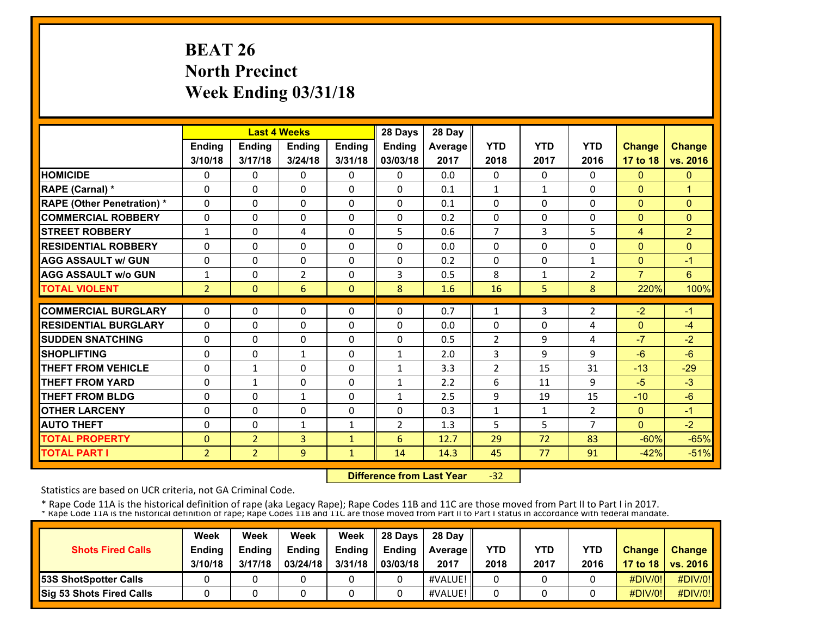# **BEAT 26 North Precinct Week Ending 03/31/18**

|                                   |                |                | <b>Last 4 Weeks</b> |               | 28 Days        | 28 Day  |                |              |                |                |                |
|-----------------------------------|----------------|----------------|---------------------|---------------|----------------|---------|----------------|--------------|----------------|----------------|----------------|
|                                   | <b>Ending</b>  | <b>Ending</b>  | <b>Endina</b>       | <b>Ending</b> | <b>Endina</b>  | Average | <b>YTD</b>     | <b>YTD</b>   | <b>YTD</b>     | <b>Change</b>  | <b>Change</b>  |
|                                   | 3/10/18        | 3/17/18        | 3/24/18             | 3/31/18       | 03/03/18       | 2017    | 2018           | 2017         | 2016           | 17 to 18       | vs. 2016       |
| <b>HOMICIDE</b>                   | 0              | 0              | 0                   | 0             | 0              | 0.0     | 0              | 0            | 0              | $\mathbf{0}$   | $\mathbf{0}$   |
| RAPE (Carnal) *                   | $\Omega$       | 0              | $\mathbf{0}$        | $\Omega$      | $\Omega$       | 0.1     | $\mathbf{1}$   | $\mathbf{1}$ | $\Omega$       | $\mathbf{0}$   | $\mathbf{1}$   |
| <b>RAPE (Other Penetration) *</b> | 0              | $\Omega$       | $\Omega$            | 0             | $\Omega$       | 0.1     | 0              | 0            | 0              | $\mathbf{0}$   | $\Omega$       |
| <b>COMMERCIAL ROBBERY</b>         | 0              | 0              | $\mathbf{0}$        | 0             | $\mathbf{0}$   | 0.2     | 0              | 0            | 0              | $\mathbf{0}$   | $\mathbf{0}$   |
| <b>STREET ROBBERY</b>             | $\mathbf{1}$   | 0              | 4                   | 0             | 5              | 0.6     | 7              | 3            | 5              | $\overline{4}$ | $\overline{2}$ |
| <b>RESIDENTIAL ROBBERY</b>        | 0              | 0              | $\Omega$            | 0             | $\Omega$       | 0.0     | 0              | 0            | 0              | $\mathbf{0}$   | $\Omega$       |
| <b>AGG ASSAULT w/ GUN</b>         | 0              | 0              | $\mathbf{0}$        | 0             | $\Omega$       | 0.2     | 0              | 0            | 1              | $\mathbf{0}$   | $-1$           |
| <b>AGG ASSAULT w/o GUN</b>        | 1              | 0              | $\overline{2}$      | 0             | 3              | 0.5     | 8              | $\mathbf{1}$ | $\overline{2}$ | $\overline{7}$ | 6              |
| <b>TOTAL VIOLENT</b>              | $\overline{2}$ | $\Omega$       | 6                   | $\Omega$      | 8              | 1.6     | 16             | 5            | 8              | 220%           | 100%           |
| <b>COMMERCIAL BURGLARY</b>        | $\Omega$       | $\Omega$       | $\mathbf{0}$        | 0             | $\Omega$       | 0.7     | 1              | 3            | $\overline{2}$ | $-2$           | $-1$           |
| <b>RESIDENTIAL BURGLARY</b>       |                |                |                     |               | $\Omega$       |         |                |              |                |                |                |
|                                   | 0              | 0              | $\mathbf{0}$        | 0             |                | 0.0     | 0              | 0            | 4              | $\mathbf{0}$   | $-4$           |
| <b>SUDDEN SNATCHING</b>           | 0              | 0              | $\mathbf{0}$        | 0             | $\Omega$       | 0.5     | $\overline{2}$ | 9            | 4              | $-7$           | $-2$           |
| <b>SHOPLIFTING</b>                | 0              | $\Omega$       | $\mathbf{1}$        | 0             | $\mathbf{1}$   | 2.0     | 3              | 9            | 9              | $-6$           | $-6$           |
| <b>THEFT FROM VEHICLE</b>         | 0              | 1              | $\Omega$            | 0             | 1              | 3.3     | $\overline{2}$ | 15           | 31             | $-13$          | $-29$          |
| <b>THEFT FROM YARD</b>            | 0              | $\mathbf{1}$   | $\mathbf{0}$        | 0             | $\mathbf{1}$   | 2.2     | 6              | 11           | 9              | $-5$           | $-3$           |
| <b>THEFT FROM BLDG</b>            | 0              | $\Omega$       | $\mathbf{1}$        | 0             | $\mathbf{1}$   | 2.5     | 9              | 19           | 15             | $-10$          | $-6$           |
| <b>OTHER LARCENY</b>              | $\Omega$       | $\Omega$       | $\Omega$            | $\Omega$      | $\Omega$       | 0.3     | 1              | $\mathbf{1}$ | $\overline{2}$ | $\mathbf{0}$   | $-1$           |
| <b>AUTO THEFT</b>                 | 0              | $\Omega$       | $\mathbf{1}$        | $\mathbf{1}$  | $\overline{2}$ | 1.3     | 5              | 5            | $\overline{7}$ | $\Omega$       | $-2$           |
| <b>TOTAL PROPERTY</b>             | $\mathbf{0}$   | $\overline{2}$ | 3                   | $\mathbf{1}$  | 6              | 12.7    | 29             | 72           | 83             | $-60%$         | $-65%$         |
| <b>TOTAL PART I</b>               | $\overline{2}$ | $\overline{2}$ | $\overline{9}$      | $\mathbf{1}$  | 14             | 14.3    | 45             | 77           | 91             | $-42%$         | $-51%$         |

 **Difference from Last Year** $-32$ 

Statistics are based on UCR criteria, not GA Criminal Code.

|                              | Week          | Week          | Week          | Week    | 28 Davs       | 28 Day            |      |      |            |               |                     |
|------------------------------|---------------|---------------|---------------|---------|---------------|-------------------|------|------|------------|---------------|---------------------|
| <b>Shots Fired Calls</b>     | <b>Ending</b> | <b>Ending</b> | <b>Ending</b> | Ending  | <b>Endina</b> | <b>Average</b> II | YTD  | YTD  | <b>YTD</b> | <b>Change</b> | Change              |
|                              | 3/10/18       | 3/17/18       | 03/24/18      | 3/31/18 | 03/03/18      | 2017              | 2018 | 2017 | 2016       |               | 17 to 18   vs. 2016 |
| <b>53S ShotSpotter Calls</b> |               |               |               |         |               | #VALUE!           |      |      |            | $\#$ DIV/0!   | #DIV/0!             |
| Sig 53 Shots Fired Calls     |               |               |               |         |               | #VALUE!           |      |      |            | #DIV/0!       | #DIV/0!             |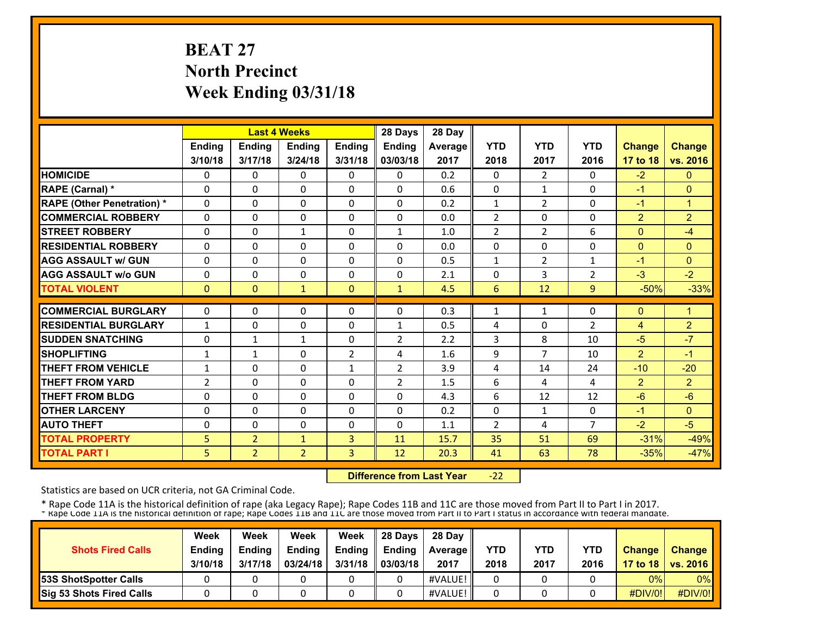# **BEAT 27 North Precinct Week Ending 03/31/18**

|                                   |               |                | <b>Last 4 Weeks</b> |                | 28 Days        | 28 Day  |                |                |                |                |                |
|-----------------------------------|---------------|----------------|---------------------|----------------|----------------|---------|----------------|----------------|----------------|----------------|----------------|
|                                   | <b>Ending</b> | <b>Ending</b>  | <b>Endina</b>       | <b>Ending</b>  | <b>Endina</b>  | Average | <b>YTD</b>     | <b>YTD</b>     | <b>YTD</b>     | <b>Change</b>  | <b>Change</b>  |
|                                   | 3/10/18       | 3/17/18        | 3/24/18             | 3/31/18        | 03/03/18       | 2017    | 2018           | 2017           | 2016           | 17 to 18       | vs. 2016       |
| <b>HOMICIDE</b>                   | 0             | 0              | 0                   | 0              | 0              | 0.2     | 0              | 2              | 0              | $-2$           | $\mathbf{0}$   |
| RAPE (Carnal) *                   | $\Omega$      | 0              | $\Omega$            | $\Omega$       | $\Omega$       | 0.6     | 0              | $\mathbf{1}$   | $\Omega$       | $-1$           | $\Omega$       |
| <b>RAPE (Other Penetration) *</b> | 0             | $\Omega$       | $\mathbf{0}$        | 0              | $\Omega$       | 0.2     | $\mathbf{1}$   | $\overline{2}$ | 0              | $-1$           | $\overline{1}$ |
| <b>COMMERCIAL ROBBERY</b>         | 0             | 0              | $\mathbf{0}$        | 0              | $\mathbf{0}$   | 0.0     | $\overline{2}$ | 0              | 0              | 2              | $\overline{2}$ |
| <b>STREET ROBBERY</b>             | 0             | 0              | $\mathbf{1}$        | 0              | $\mathbf{1}$   | 1.0     | $\overline{2}$ | 2              | 6              | $\mathbf{0}$   | $-4$           |
| <b>RESIDENTIAL ROBBERY</b>        | 0             | 0              | $\Omega$            | 0              | 0              | 0.0     | $\Omega$       | 0              | 0              | $\mathbf{0}$   | $\mathbf{0}$   |
| <b>AGG ASSAULT w/ GUN</b>         | 0             | 0              | $\mathbf{0}$        | 0              | $\Omega$       | 0.5     | 1              | 2              | 1              | $-1$           | $\mathbf{0}$   |
| <b>AGG ASSAULT w/o GUN</b>        | 0             | 0              | $\Omega$            | 0              | 0              | 2.1     | 0              | 3              | $\overline{2}$ | $-3$           | $-2$           |
| <b>TOTAL VIOLENT</b>              | $\Omega$      | $\Omega$       | $\mathbf{1}$        | $\Omega$       | $\mathbf{1}$   | 4.5     | 6              | 12             | $\overline{9}$ | $-50%$         | $-33%$         |
| <b>COMMERCIAL BURGLARY</b>        | $\Omega$      | 0              | $\mathbf{0}$        | 0              | $\mathbf{0}$   | 0.3     | 1              | $\mathbf{1}$   | 0              | $\mathbf{0}$   | 1              |
| <b>RESIDENTIAL BURGLARY</b>       |               |                |                     |                |                |         |                |                |                |                |                |
|                                   | $\mathbf{1}$  | 0              | $\mathbf{0}$        | 0              | $\mathbf{1}$   | 0.5     | 4              | 0              | $\overline{2}$ | $\overline{4}$ | $\overline{2}$ |
| <b>SUDDEN SNATCHING</b>           | 0             | $\mathbf{1}$   | $\mathbf{1}$        | 0              | $\overline{2}$ | 2.2     | 3              | 8              | 10             | $-5$           | $-7$           |
| <b>SHOPLIFTING</b>                | 1             | 1              | $\Omega$            | $\overline{2}$ | 4              | 1.6     | 9              | $\overline{7}$ | 10             | $\overline{2}$ | $-1$           |
| <b>THEFT FROM VEHICLE</b>         | 1             | 0              | $\Omega$            | 1              | 2              | 3.9     | 4              | 14             | 24             | $-10$          | $-20$          |
| <b>THEFT FROM YARD</b>            | 2             | 0              | $\Omega$            | $\Omega$       | $\overline{2}$ | 1.5     | 6              | 4              | 4              | 2              | $\overline{2}$ |
| <b>THEFT FROM BLDG</b>            | 0             | $\Omega$       | $\Omega$            | 0              | $\Omega$       | 4.3     | 6              | 12             | 12             | $-6$           | $-6$           |
| <b>OTHER LARCENY</b>              | $\Omega$      | $\Omega$       | $\Omega$            | $\Omega$       | $\Omega$       | 0.2     | 0              | $\mathbf{1}$   | $\Omega$       | $-1$           | $\Omega$       |
| <b>AUTO THEFT</b>                 | 0             | $\Omega$       | $\Omega$            | 0              | $\Omega$       | 1.1     | $\overline{2}$ | 4              | $\overline{7}$ | $-2$           | $-5$           |
| <b>TOTAL PROPERTY</b>             | 5             | $\overline{2}$ | $\mathbf{1}$        | 3              | 11             | 15.7    | 35             | 51             | 69             | $-31%$         | $-49%$         |
| <b>TOTAL PART I</b>               | 5             | $\overline{2}$ | $\overline{2}$      | 3              | 12             | 20.3    | 41             | 63             | 78             | $-35%$         | $-47%$         |

 **Difference from Last Year** $-22$ 

Statistics are based on UCR criteria, not GA Criminal Code.

| <b>Shots Fired Calls</b>        | Week<br><b>Ending</b><br>3/10/18 | Week<br><b>Endina</b><br>3/17/18 | Week<br><b>Ending</b><br>03/24/18 | Week<br><b>Endina</b><br>3/31/18 | 28 Davs<br><b>Ending</b><br>03/03/18 | 28 Day<br><b>Average II</b><br>2017 | YTD<br>2018 | YTD<br>2017 | <b>YTD</b><br>2016 | <b>Change</b> | Change<br>17 to 18   vs. 2016 |
|---------------------------------|----------------------------------|----------------------------------|-----------------------------------|----------------------------------|--------------------------------------|-------------------------------------|-------------|-------------|--------------------|---------------|-------------------------------|
| <b>153S ShotSpotter Calls</b>   |                                  |                                  |                                   |                                  |                                      | #VALUE!                             |             |             |                    | 0%            | $0\%$                         |
| <b>Sig 53 Shots Fired Calls</b> |                                  |                                  |                                   |                                  |                                      | #VALUE!                             |             |             |                    | #DIV/0!       | #DIV/0!                       |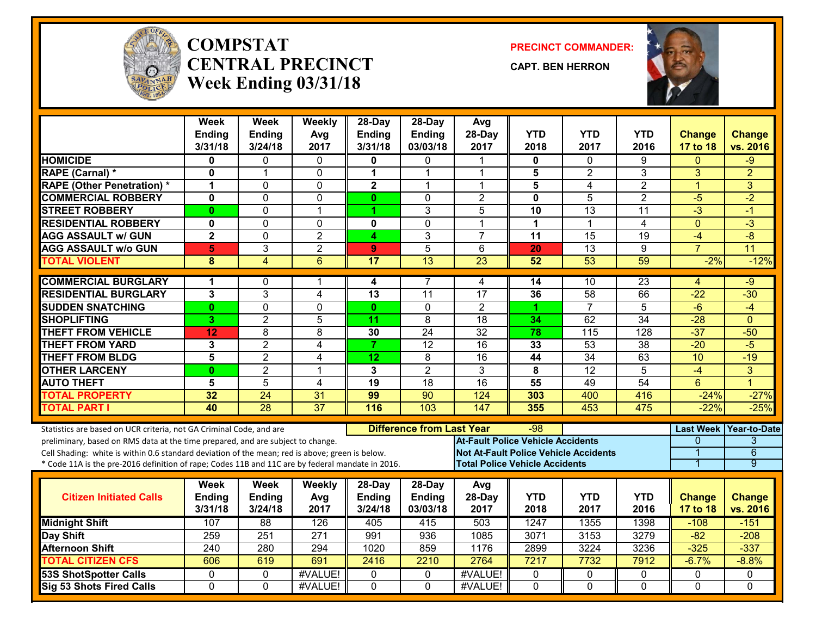

#### **COMPSTATCENTRAL PRECINCTWeek Ending 03/31/18**

**PRECINCT COMMANDER:**

**CAPT. BEN HERRON**



|                                                                                                  | <b>Week</b><br>Ending   | <b>Week</b><br><b>Ending</b> | Weekly<br>Avg   | 28-Day<br><b>Ending</b> | 28-Day<br><b>Ending</b>          | Avg<br>28-Day                                | <b>YTD</b>      | <b>YTD</b>       | YTD              | <b>Change</b>  | <b>Change</b>          |
|--------------------------------------------------------------------------------------------------|-------------------------|------------------------------|-----------------|-------------------------|----------------------------------|----------------------------------------------|-----------------|------------------|------------------|----------------|------------------------|
|                                                                                                  | 3/31/18                 | 3/24/18                      | 2017            | 3/31/18                 | 03/03/18                         | 2017                                         | 2018            | 2017             | 2016             | 17 to 18       | vs. 2016               |
| <b>HOMICIDE</b>                                                                                  | 0                       | 0                            | 0               | 0                       | 0                                | -1                                           | 0               | $\Omega$         | 9                | $\Omega$       | -9                     |
| <b>RAPE (Carnal) *</b>                                                                           | 0                       | 1                            | $\mathbf{0}$    | 1                       | 1                                | 1                                            | 5               | $\overline{2}$   | 3                | 3              | $\overline{2}$         |
| <b>RAPE (Other Penetration) *</b>                                                                | 1                       | $\Omega$                     | 0               | $\overline{\mathbf{2}}$ | 1                                | $\overline{1}$                               | 5               | 4                | $\overline{2}$   | $\overline{1}$ | 3                      |
| <b>COMMERCIAL ROBBERY</b>                                                                        | $\mathbf{0}$            | $\Omega$                     | $\mathbf 0$     | $\mathbf{0}$            | $\Omega$                         | $\overline{2}$                               | $\mathbf 0$     | 5                | $\overline{2}$   | $-5$           | $-2$                   |
| <b>STREET ROBBERY</b>                                                                            | $\bf{0}$                | $\Omega$                     | $\mathbf{1}$    | 1                       | 3                                | 5                                            | 10              | 13               | 11               | $-3$           | $-1$                   |
| <b>RESIDENTIAL ROBBERY</b>                                                                       | 0                       | $\mathbf{0}$                 | $\mathbf{0}$    | $\mathbf 0$             | $\mathbf{0}$                     | 1                                            | $\mathbf 1$     | 1                | 4                | $\mathbf{0}$   | -3                     |
| <b>AGG ASSAULT w/ GUN</b>                                                                        | $\overline{\mathbf{2}}$ | $\mathbf{0}$                 | $\overline{2}$  | 4                       | 3                                | $\overline{7}$                               | $\overline{11}$ | 15               | $\overline{19}$  | $-4$           | $-8$                   |
| <b>AGG ASSAULT w/o GUN</b>                                                                       | 5                       | 3                            | $\overline{2}$  | 9                       | $\overline{5}$                   | 6                                            | 20              | $\overline{13}$  | 9                | $\overline{7}$ | 11                     |
| <b>TOTAL VIOLENT</b>                                                                             | 8                       | $\overline{4}$               | 6               | 17                      | $\overline{13}$                  | 23                                           | 52              | 53               | 59               | $-2%$          | $-12%$                 |
| <b>COMMERCIAL BURGLARY</b>                                                                       | 1                       | 0                            |                 | 4                       | 7                                | 4                                            | 14              | 10               | $\overline{23}$  | 4              | -9                     |
| <b>RESIDENTIAL BURGLARY</b>                                                                      | 3                       | 3                            | $\overline{4}$  | 13                      | 11                               | $\overline{17}$                              | 36              | $\overline{58}$  | 66               | $-22$          | $-30$                  |
| <b>SUDDEN SNATCHING</b>                                                                          | $\bf{0}$                | $\mathbf 0$                  | $\mathbf 0$     | $\mathbf{0}$            | $\mathbf{0}$                     | $\overline{2}$                               | 1               | $\overline{7}$   | 5                | $-6$           | -4                     |
| <b>SHOPLIFTING</b>                                                                               | 3                       | $\overline{2}$               | 5               | 11                      | 8                                | $\overline{18}$                              | 34              | 62               | $\overline{34}$  | $-28$          | $\Omega$               |
| <b>THEFT FROM VEHICLE</b>                                                                        | 12                      | 8                            | 8               | 30                      | $\overline{24}$                  | $\overline{32}$                              | $\overline{78}$ | $\overline{115}$ | $\overline{128}$ | $-37$          | $-50$                  |
| <b>THEFT FROM YARD</b>                                                                           | 3                       | $\overline{2}$               | $\overline{4}$  | $\overline{7}$          | 12                               | 16                                           | 33              | $\overline{53}$  | $\overline{38}$  | $-20$          | $-5$                   |
| <b>THEFT FROM BLDG</b>                                                                           | 5                       | $\overline{2}$               | $\overline{4}$  | 12                      | 8                                | $\overline{16}$                              | 44              | $\overline{34}$  | 63               | 10             | $-19$                  |
| <b>OTHER LARCENY</b>                                                                             | $\bf{0}$                | $\overline{2}$               | $\overline{1}$  | 3                       | $\overline{2}$                   | 3                                            | 8               | $\overline{12}$  | $\overline{5}$   | $-4$           | $\overline{3}$         |
| <b>AUTO THEFT</b>                                                                                | 5                       | 5                            | 4               | 19                      | 18                               | $\overline{16}$                              | 55              | 49               | $\overline{54}$  | 6              | 4                      |
| <b>TOTAL PROPERTY</b>                                                                            | 32                      | $\overline{24}$              | 31              | 99                      | 90                               | 124                                          | 303             | 400              | 416              | $-24%$         | $-27%$                 |
| <b>TOTAL PART I</b>                                                                              | 40                      | $\overline{28}$              | $\overline{37}$ | 116                     | 103                              | 147                                          | 355             | 453              | 475              | $-22%$         | $-25%$                 |
| Statistics are based on UCR criteria, not GA Criminal Code, and are                              |                         |                              |                 |                         | <b>Difference from Last Year</b> |                                              | -98             |                  |                  |                | Last Week Year-to-Date |
| preliminary, based on RMS data at the time prepared, and are subject to change.                  |                         |                              |                 |                         |                                  | <b>At-Fault Police Vehicle Accidents</b>     |                 |                  |                  | $\Omega$       | 3                      |
| Cell Shading: white is within 0.6 standard deviation of the mean; red is above; green is below.  |                         |                              |                 |                         |                                  | <b>Not At-Fault Police Vehicle Accidents</b> |                 |                  |                  |                | $\overline{6}$         |
| * Code 11A is the pre-2016 definition of rape; Codes 11B and 11C are by federal mandate in 2016. |                         |                              |                 |                         |                                  | <b>Total Police Vehicle Accidents</b>        |                 |                  |                  | 1              | $\overline{9}$         |
|                                                                                                  | Week                    | Week                         | Weekly          | 28-Day                  | 28-Day                           | Avg                                          |                 |                  |                  |                |                        |
| <b>Citizen Initiated Calls</b>                                                                   | Ending                  | Ending                       | Avg             | <b>Ending</b>           | <b>Ending</b>                    | 28-Day                                       | <b>YTD</b>      | <b>YTD</b>       | <b>YTD</b>       | <b>Change</b>  | <b>Change</b>          |
|                                                                                                  | 3/31/18                 | 3/24/18                      | 2017            | 3/24/18                 | 03/03/18                         | 2017                                         | 2018            | 2017             | 2016             | 17 to 18       | vs. 2016               |
| <b>Midnight Shift</b>                                                                            | 107                     | 88                           | 126             | 405                     | 415                              | 503                                          | 1247            | 1355             | 1398             | $-108$         | $-151$                 |
| Day Shift                                                                                        | 259                     | 251                          | 271             | 991                     | 936                              | 1085                                         | 3071            | 3153             | 3279             | $-82$          | $-208$                 |
| <b>Afternoon Shift</b>                                                                           | $\overline{240}$        | 280                          | 294             | 1020                    | 859                              | 1176                                         | 2899            | 3224             | 3236             | $-325$         | $-337$                 |
| <b>TOTAL CITIZEN CFS</b>                                                                         | 606                     | 619                          | 691             | 2416                    | 2210                             | 2764                                         | 7217            | 7732             | 7912             | $-6.7%$        | $-8.8%$                |
| <b>53S ShotSpotter Calls</b>                                                                     | 0                       | 0                            | #VALUE!         | $\mathbf{0}$            | 0                                | #VALUE!                                      | 0               | 0                | 0                | 0              | 0                      |
| <b>Sig 53 Shots Fired Calls</b>                                                                  | $\Omega$                | $\Omega$                     | #VALUE!         | $\Omega$                | $\Omega$                         | #VALUE!                                      | $\Omega$        | $\Omega$         | $\Omega$         | $\Omega$       | $\Omega$               |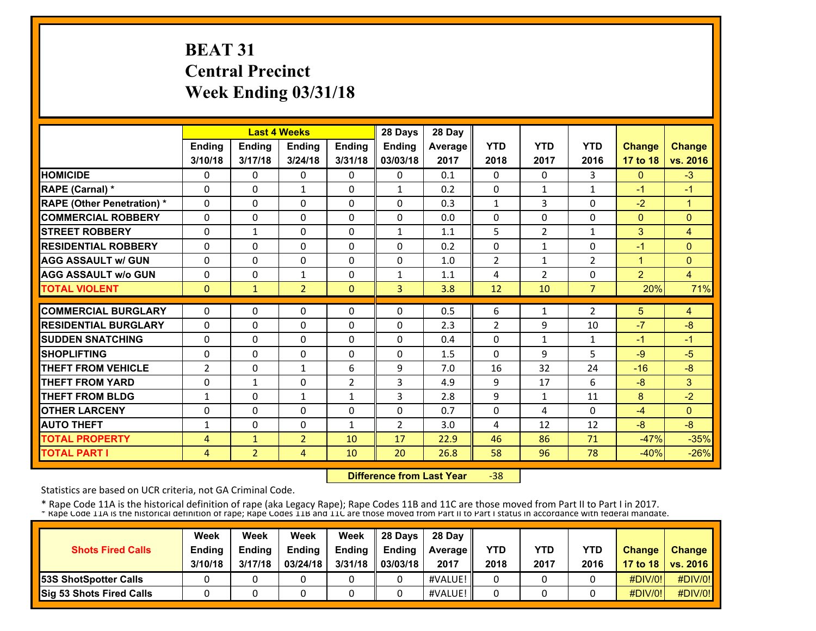# **BEAT 31 Central Precinct Week Ending 03/31/18**

|                                   |                |                | <b>Last 4 Weeks</b> |                | 28 Days        | 28 Day  |                |                |                |                |                |
|-----------------------------------|----------------|----------------|---------------------|----------------|----------------|---------|----------------|----------------|----------------|----------------|----------------|
|                                   | Ending         | Ending         | Ending              | Ending         | Ending         | Average | <b>YTD</b>     | <b>YTD</b>     | <b>YTD</b>     | <b>Change</b>  | <b>Change</b>  |
|                                   | 3/10/18        | 3/17/18        | 3/24/18             | 3/31/18        | 03/03/18       | 2017    | 2018           | 2017           | 2016           | 17 to 18       | vs. 2016       |
| <b>HOMICIDE</b>                   | 0              | 0              | $\mathbf{0}$        | 0              | $\Omega$       | 0.1     | 0              | $\Omega$       | 3              | $\mathbf{0}$   | $-3$           |
| RAPE (Carnal) *                   | $\Omega$       | $\Omega$       | $\mathbf{1}$        | $\Omega$       | $\mathbf{1}$   | 0.2     | $\Omega$       | $\mathbf{1}$   | 1              | $-1$           | $-1$           |
| <b>RAPE (Other Penetration) *</b> | $\Omega$       | $\Omega$       | $\Omega$            | $\Omega$       | $\Omega$       | 0.3     | $\mathbf{1}$   | 3              | $\Omega$       | $-2$           | $\mathbf{1}$   |
| <b>COMMERCIAL ROBBERY</b>         | $\Omega$       | 0              | $\Omega$            | $\Omega$       | $\Omega$       | 0.0     | 0              | 0              | $\Omega$       | $\mathbf{0}$   | $\Omega$       |
| <b>STREET ROBBERY</b>             | $\Omega$       | $\mathbf{1}$   | $\Omega$            | $\Omega$       | $\mathbf{1}$   | 1.1     | 5              | $\overline{2}$ | $\mathbf{1}$   | 3              | $\overline{4}$ |
| <b>RESIDENTIAL ROBBERY</b>        | $\Omega$       | $\Omega$       | $\mathbf{0}$        | 0              | $\mathbf{0}$   | 0.2     | 0              | $\mathbf{1}$   | 0              | $-1$           | $\Omega$       |
| <b>AGG ASSAULT w/ GUN</b>         | $\Omega$       | 0              | $\Omega$            | 0              | $\Omega$       | 1.0     | $\overline{2}$ | $\mathbf{1}$   | $\overline{2}$ | $\blacksquare$ | $\mathbf{0}$   |
| <b>AGG ASSAULT w/o GUN</b>        | 0              | 0              | $\mathbf{1}$        | 0              | $\mathbf{1}$   | 1.1     | 4              | 2              | 0              | $\overline{2}$ | $\overline{4}$ |
| <b>TOTAL VIOLENT</b>              | $\mathbf{0}$   | 1              | $\overline{2}$      | $\Omega$       | $\overline{3}$ | 3.8     | 12             | 10             | $\overline{7}$ | 20%            | 71%            |
| <b>COMMERCIAL BURGLARY</b>        | $\Omega$       | $\Omega$       | $\Omega$            | $\Omega$       | $\Omega$       | 0.5     | 6              | $\mathbf{1}$   | 2              | 5              | 4              |
| <b>RESIDENTIAL BURGLARY</b>       | $\Omega$       | $\Omega$       | $\Omega$            | $\Omega$       | $\Omega$       | 2.3     | $\overline{2}$ | 9              | 10             | $-7$           | $-8$           |
| <b>SUDDEN SNATCHING</b>           | 0              | 0              | $\mathbf{0}$        | 0              | 0              | 0.4     | 0              | $\mathbf{1}$   | $\mathbf{1}$   | $-1$           | $-1$           |
| <b>SHOPLIFTING</b>                | 0              | 0              | 0                   | 0              | 0              | 1.5     | 0              | 9              | 5              | $-9$           | $-5$           |
| <b>THEFT FROM VEHICLE</b>         | $\overline{2}$ | 0              | $\mathbf{1}$        | 6              | 9              | 7.0     | 16             | 32             | 24             | $-16$          | $-8$           |
| <b>THEFT FROM YARD</b>            | 0              | $\mathbf{1}$   | $\Omega$            | $\overline{2}$ | 3              | 4.9     | 9              | 17             | 6              | $-8$           | 3              |
| <b>THEFT FROM BLDG</b>            | $\mathbf{1}$   | 0              | $\mathbf{1}$        | $\mathbf{1}$   | 3              | 2.8     | 9              | $\mathbf{1}$   | 11             | 8              | $-2$           |
| <b>OTHER LARCENY</b>              | $\Omega$       | $\Omega$       | $\Omega$            | $\Omega$       | $\Omega$       | 0.7     | $\Omega$       | 4              | $\Omega$       | $-4$           | $\mathbf{0}$   |
| <b>AUTO THEFT</b>                 | 1              | $\Omega$       | $\Omega$            | 1              | $\overline{2}$ | 3.0     | 4              | 12             | 12             | -8             | $-8$           |
| <b>TOTAL PROPERTY</b>             | 4              | $\mathbf{1}$   | $\overline{2}$      | 10             | 17             | 22.9    | 46             | 86             | 71             | $-47%$         | $-35%$         |
| <b>TOTAL PART I</b>               | 4              | $\overline{2}$ | 4                   | 10             | 20             | 26.8    | 58             | 96             | 78             | $-40%$         | $-26%$         |

 **Difference from Last Year**‐38

Statistics are based on UCR criteria, not GA Criminal Code.

|                                 | Week          | Week          | Week          | Week    | 28 Davs       | 28 Day            |      |      |            |               |                     |
|---------------------------------|---------------|---------------|---------------|---------|---------------|-------------------|------|------|------------|---------------|---------------------|
| <b>Shots Fired Calls</b>        | <b>Ending</b> | <b>Endina</b> | <b>Ending</b> | Ending  | <b>Endina</b> | <b>Average</b> II | YTD  | YTD  | <b>YTD</b> | <b>Change</b> | <b>Change</b>       |
|                                 | 3/10/18       | 3/17/18       | 03/24/18      | 3/31/18 | 03/03/18      | 2017              | 2018 | 2017 | 2016       |               | 17 to 18   vs. 2016 |
| <b>53S ShotSpotter Calls</b>    |               |               |               |         |               | #VALUE!           |      |      |            | $\#$ DIV/0!   | #DIV/0!             |
| <b>Sig 53 Shots Fired Calls</b> |               |               |               |         |               | #VALUE!           |      |      |            | #DIV/0!       | #DIV/0!             |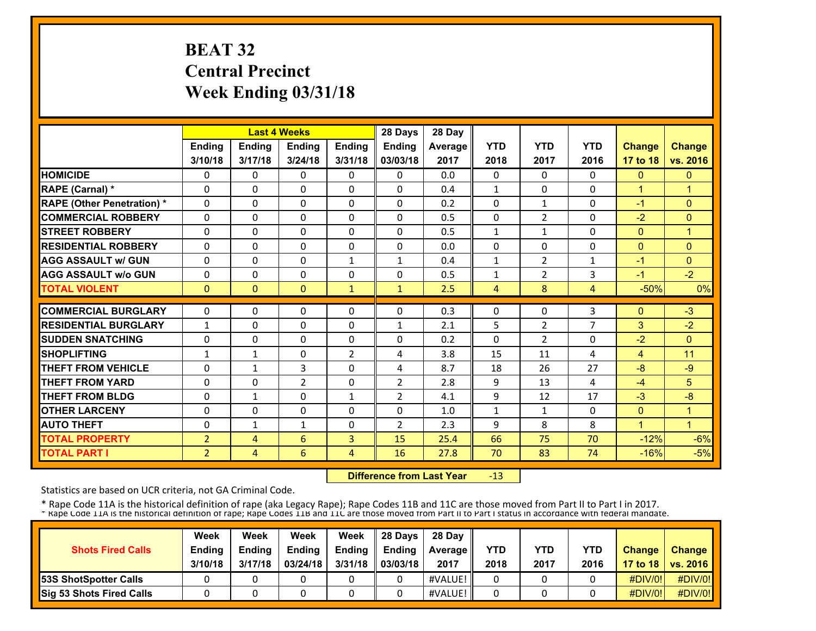# **BEAT 32 Central Precinct Week Ending 03/31/18**

|                                   |                |               | <b>Last 4 Weeks</b>        |                          | 28 Days                    | 28 Day  |              |                |              |                  |                |
|-----------------------------------|----------------|---------------|----------------------------|--------------------------|----------------------------|---------|--------------|----------------|--------------|------------------|----------------|
|                                   | Ending         | <b>Ending</b> | Ending                     | <b>Ending</b>            | Ending                     | Average | <b>YTD</b>   | <b>YTD</b>     | <b>YTD</b>   | <b>Change</b>    | <b>Change</b>  |
|                                   | 3/10/18        | 3/17/18       | 3/24/18                    | 3/31/18                  | 03/03/18                   | 2017    | 2018         | 2017           | 2016         | 17 to 18         | vs. 2016       |
| <b>HOMICIDE</b>                   | 0              | 0             | $\mathbf{0}$               | 0                        | $\mathbf{0}$               | 0.0     | $\Omega$     | $\mathbf{0}$   | 0            | $\mathbf{0}$     | $\mathbf{0}$   |
| <b>RAPE (Carnal) *</b>            | 0              | 0             | $\mathbf{0}$               | $\Omega$                 | $\Omega$                   | 0.4     | $\mathbf{1}$ | $\mathbf{0}$   | $\Omega$     | $\mathbf{1}$     | 1              |
| <b>RAPE (Other Penetration) *</b> | 0              | $\Omega$      | $\mathbf{0}$               | 0                        | $\Omega$                   | 0.2     | 0            | $\mathbf{1}$   | $\Omega$     | $-1$             | $\Omega$       |
| <b>COMMERCIAL ROBBERY</b>         | 0              | 0             | $\mathbf{0}$               | 0                        | $\Omega$                   | 0.5     | $\Omega$     | $\overline{2}$ | $\Omega$     | $-2$             | $\mathbf{0}$   |
| <b>STREET ROBBERY</b>             | 0              | 0             | $\mathbf{0}$               | 0                        | 0                          | 0.5     | $\mathbf{1}$ | $\mathbf{1}$   | 0            | $\mathbf{0}$     | 1              |
| <b>RESIDENTIAL ROBBERY</b>        | $\Omega$       | $\Omega$      | $\Omega$                   | $\Omega$                 | $\Omega$                   | 0.0     | $\Omega$     | 0              | $\Omega$     | $\mathbf{0}$     | $\Omega$       |
| <b>AGG ASSAULT w/ GUN</b>         | $\Omega$       | $\Omega$      | $\Omega$                   | $\mathbf{1}$             | $\mathbf{1}$               | 0.4     | $\mathbf{1}$ | $\overline{2}$ | $\mathbf{1}$ | $-1$             | $\Omega$       |
| <b>AGG ASSAULT w/o GUN</b>        | 0              | $\Omega$      | $\Omega$                   | $\Omega$                 | $\Omega$                   | 0.5     | $\mathbf{1}$ | $\overline{2}$ | 3            | $-1$             | $-2$           |
| <b>TOTAL VIOLENT</b>              | $\mathbf{0}$   | $\mathbf{0}$  | $\mathbf{0}$               | $\mathbf{1}$             | $\mathbf{1}$               | 2.5     | 4            | 8              | 4            | $-50%$           | 0%             |
| <b>COMMERCIAL BURGLARY</b>        | 0              | $\Omega$      | $\mathbf{0}$               | 0                        | $\Omega$                   | 0.3     | $\Omega$     | $\mathbf{0}$   | 3            | $\mathbf{0}$     | $-3$           |
| <b>RESIDENTIAL BURGLARY</b>       | $\mathbf{1}$   | 0             | $\mathbf{0}$               | 0                        | 1                          | 2.1     | 5            | $\overline{2}$ | 7            | 3                | $-2$           |
| <b>SUDDEN SNATCHING</b>           | $\Omega$       | $\Omega$      | $\Omega$                   | $\Omega$                 | $\Omega$                   | 0.2     | $\Omega$     | $\overline{2}$ | $\Omega$     | $-2$             | $\mathbf{0}$   |
| <b>SHOPLIFTING</b>                | $\mathbf{1}$   | $\mathbf{1}$  | $\mathbf{0}$               | $\overline{2}$           | 4                          | 3.8     | 15           | 11             | 4            | $\overline{4}$   | 11             |
| THEFT FROM VEHICLE                |                |               |                            | 0                        |                            | 8.7     | 18           | 26             | 27           | $-8$             | $-9$           |
| <b>THEFT FROM YARD</b>            | 0              | $\mathbf{1}$  | 3                          |                          | 4<br>$\overline{2}$        |         |              | 13             |              |                  |                |
| <b>THEFT FROM BLDG</b>            | 0              | 0             | $\overline{2}$<br>$\Omega$ | 0                        |                            | 2.8     | 9            | 12             | 4<br>17      | $-4$             | 5<br>$-8$      |
| <b>OTHER LARCENY</b>              | 0              | 1<br>$\Omega$ | $\Omega$                   | $\mathbf{1}$<br>$\Omega$ | $\overline{2}$<br>$\Omega$ | 4.1     | 9            |                | $\Omega$     | $-3$<br>$\Omega$ | $\mathbf{1}$   |
|                                   | 0              |               |                            |                          |                            | 1.0     | $\mathbf{1}$ | $\mathbf{1}$   |              | $\mathbf{1}$     | $\overline{1}$ |
| <b>AUTO THEFT</b>                 | $\Omega$       | $\mathbf{1}$  | $\mathbf{1}$               | $\Omega$                 | $\overline{2}$             | 2.3     | 9            | 8              | 8            |                  |                |
| <b>TOTAL PROPERTY</b>             | $\overline{2}$ | 4             | 6                          | 3                        | 15                         | 25.4    | 66           | 75             | 70           | $-12%$           | $-6%$          |
| <b>TOTAL PART I</b>               | $\overline{2}$ | 4             | 6                          | 4                        | 16                         | 27.8    | 70           | 83             | 74           | $-16%$           | $-5%$          |

 **Difference from Last Year**‐13

Statistics are based on UCR criteria, not GA Criminal Code.

|                              | Week          | Week          | Week          | Week          | 28 Davs       | 28 Day         |      |      |            |               |                     |
|------------------------------|---------------|---------------|---------------|---------------|---------------|----------------|------|------|------------|---------------|---------------------|
| <b>Shots Fired Calls</b>     | <b>Ending</b> | <b>Ending</b> | <b>Ending</b> | <b>Ending</b> | <b>Ending</b> | <b>Average</b> | YTD  | YTD  | <b>YTD</b> | <b>Change</b> | <b>Change</b>       |
|                              | 3/10/18       | 3/17/18       | 03/24/18      | 3/31/18       | 03/03/18      | 2017           | 2018 | 2017 | 2016       |               | 17 to 18   vs. 2016 |
| <b>53S ShotSpotter Calls</b> |               |               |               |               |               | #VALUE!        |      |      |            | $\#$ DIV/0!   | #DIV/0!             |
| Sig 53 Shots Fired Calls     |               |               |               |               |               | #VALUE!        |      |      |            | #DIV/0!       | #DIV/0!             |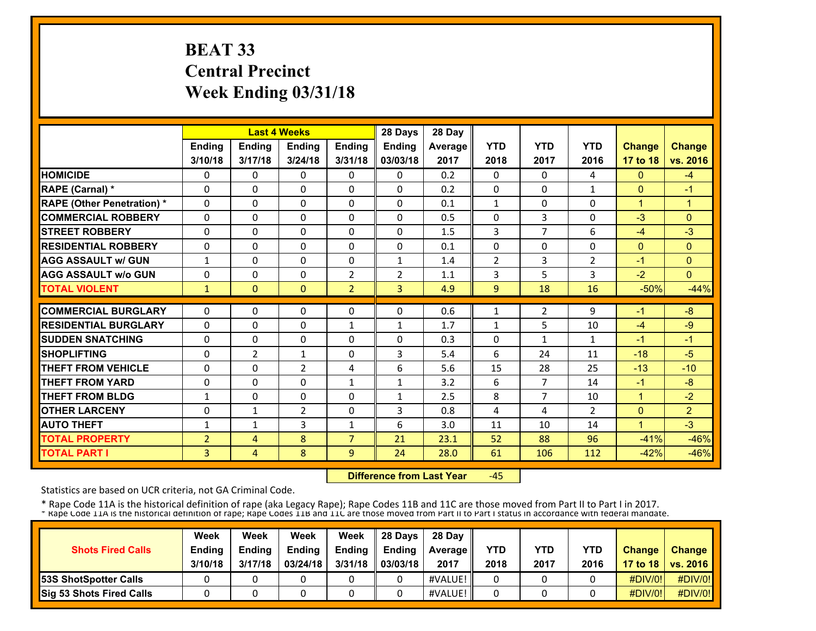# **BEAT 33 Central Precinct Week Ending 03/31/18**

|                                   |                |                | <b>Last 4 Weeks</b> |                | 28 Days        | 28 Day  |                |                |                |                      |                |
|-----------------------------------|----------------|----------------|---------------------|----------------|----------------|---------|----------------|----------------|----------------|----------------------|----------------|
|                                   | <b>Ending</b>  | <b>Ending</b>  | <b>Ending</b>       | Ending         | Ending         | Average | <b>YTD</b>     | <b>YTD</b>     | <b>YTD</b>     | <b>Change</b>        | <b>Change</b>  |
|                                   | 3/10/18        | 3/17/18        | 3/24/18             | 3/31/18        | 03/03/18       | 2017    | 2018           | 2017           | 2016           | 17 to 18             | vs. 2016       |
| <b>HOMICIDE</b>                   | 0              | 0              | $\mathbf{0}$        | 0              | $\Omega$       | 0.2     | 0              | $\Omega$       | 4              | $\mathbf{0}$         | $-4$           |
| RAPE (Carnal) *                   | $\Omega$       | $\Omega$       | $\Omega$            | $\Omega$       | $\Omega$       | 0.2     | $\Omega$       | $\Omega$       | $\mathbf{1}$   | $\Omega$             | $-1$           |
| <b>RAPE (Other Penetration) *</b> | $\Omega$       | 0              | $\Omega$            | $\Omega$       | $\Omega$       | 0.1     | $\mathbf{1}$   | $\Omega$       | $\Omega$       | $\mathbf{1}$         | $\mathbf{1}$   |
| <b>COMMERCIAL ROBBERY</b>         | $\Omega$       | $\Omega$       | $\mathbf{0}$        | 0              | $\Omega$       | 0.5     | $\Omega$       | 3              | $\Omega$       | $-3$                 | $\Omega$       |
| <b>STREET ROBBERY</b>             | $\Omega$       | $\Omega$       | $\Omega$            | $\Omega$       | $\Omega$       | 1.5     | 3              | $\overline{7}$ | 6              | $-4$                 | $-3$           |
| <b>RESIDENTIAL ROBBERY</b>        | 0              | $\Omega$       | $\Omega$            | $\Omega$       | $\Omega$       | 0.1     | 0              | 0              | 0              | $\mathbf{0}$         | $\Omega$       |
| <b>AGG ASSAULT w/ GUN</b>         | 1              | 0              | $\mathbf{0}$        | 0              | 1              | 1.4     | $\overline{2}$ | 3              | 2              | -1                   | $\Omega$       |
| <b>AGG ASSAULT w/o GUN</b>        | 0              | $\Omega$       | $\mathbf{0}$        | $\overline{2}$ | $\overline{2}$ | 1.1     | 3              | 5              | 3              | $-2$                 | $\Omega$       |
| <b>TOTAL VIOLENT</b>              | 1              | $\Omega$       | $\mathbf{0}$        | $\overline{2}$ | $\overline{3}$ | 4.9     | 9              | 18             | 16             | $-50%$               | $-44%$         |
| <b>COMMERCIAL BURGLARY</b>        | 0              | $\Omega$       | $\Omega$            | 0              | $\Omega$       | 0.6     | 1              | 2              | 9              | $-1$                 | $-8$           |
| <b>RESIDENTIAL BURGLARY</b>       | 0              | $\Omega$       | $\Omega$            | $\mathbf{1}$   | 1              | 1.7     | $\mathbf{1}$   | 5              | 10             | $-4$                 | $-9$           |
| <b>SUDDEN SNATCHING</b>           | 0              | $\Omega$       | $\mathbf{0}$        | $\Omega$       | 0              | 0.3     | $\Omega$       | $\mathbf{1}$   | $\mathbf{1}$   | $-1$                 | $-1$           |
| <b>SHOPLIFTING</b>                | 0              | $\overline{2}$ | $\mathbf{1}$        | 0              | 3              | 5.4     | 6              | 24             | 11             | $-18$                | $-5$           |
| <b>THEFT FROM VEHICLE</b>         | 0              | 0              | $\overline{2}$      | 4              | 6              | 5.6     | 15             | 28             | 25             | $-13$                | $-10$          |
| <b>THEFT FROM YARD</b>            | 0              | 0              | $\mathbf{0}$        | $\mathbf{1}$   | $\mathbf{1}$   | 3.2     | 6              | $\overline{7}$ | 14             | $-1$                 | $-8$           |
| <b>THEFT FROM BLDG</b>            | $\mathbf{1}$   | 0              | $\Omega$            | 0              | $\mathbf{1}$   | 2.5     | 8              | $\overline{7}$ | 10             | $\mathbf{1}$         | $-2$           |
| <b>OTHER LARCENY</b>              | 0              | 1              | $\overline{2}$      | 0              | 3              | 0.8     | 4              | 4              | $\overline{2}$ | $\overline{0}$       | $\overline{2}$ |
| <b>AUTO THEFT</b>                 | 1              | $\mathbf{1}$   | 3                   | 1              | 6              | 3.0     | 11             | 10             | 14             | $\blacktriangleleft$ | $-3$           |
| <b>TOTAL PROPERTY</b>             | $\overline{2}$ | 4              | 8                   | $\overline{7}$ | 21             | 23.1    | 52             | 88             | 96             | $-41%$               | $-46%$         |
| <b>TOTAL PART I</b>               | 3              | 4              | 8                   | 9              | 24             | 28.0    | 61             | 106            | 112            | $-42%$               | $-46%$         |
|                                   |                |                |                     |                |                |         |                |                |                |                      |                |

 **Difference from Last Year**‐45

Statistics are based on UCR criteria, not GA Criminal Code.

| <b>Shots Fired Calls</b>      | Week<br><b>Ending</b><br>3/10/18 | Week<br><b>Ending</b><br>3/17/18 | Week<br><b>Ending</b><br>03/24/18 | Week<br><b>Endina</b><br>3/31/18 | 28 Davs<br><b>Ending</b><br>03/03/18 | 28 Dav<br><b>Average II</b><br>2017 | YTD<br>2018 | YTD<br>2017 | YTD<br>2016 | <b>Change</b> | Change<br>17 to 18   vs. 2016 |
|-------------------------------|----------------------------------|----------------------------------|-----------------------------------|----------------------------------|--------------------------------------|-------------------------------------|-------------|-------------|-------------|---------------|-------------------------------|
| <b>153S ShotSpotter Calls</b> |                                  |                                  |                                   |                                  |                                      | #VALUE!                             |             |             |             | #DIV/0!       | #DIV/0!                       |
| Sig 53 Shots Fired Calls      |                                  |                                  |                                   |                                  |                                      | #VALUE!                             |             |             |             | #DIV/0!       | #DIV/0!                       |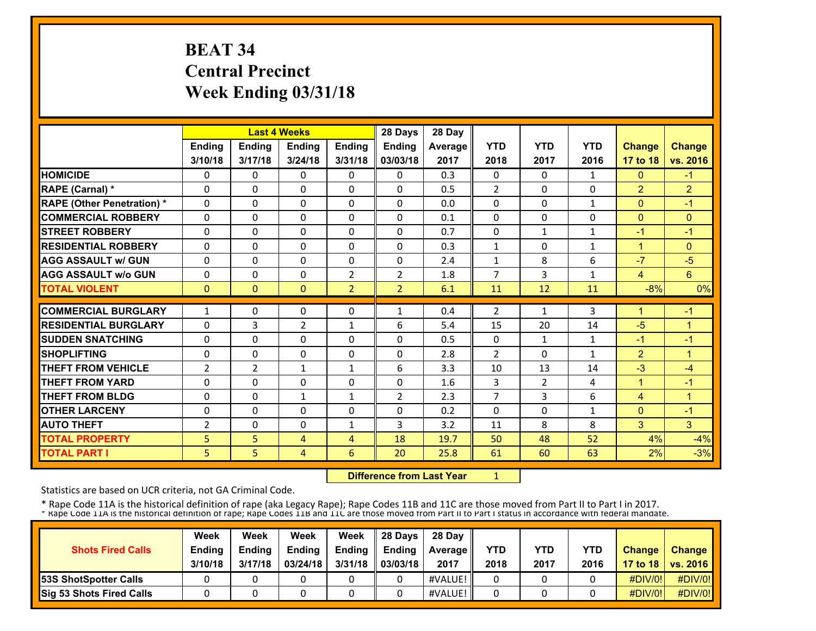# **BEAT 34 Central Precinct Week Ending 03/31/18**

|               |                                                                                            |                                                                                                      |                                                                                                                                                     | 28 Days                                                                            | 28 Day                                                              |                                                                     |                                                                                                |                                                                                           |                                                                                    |                                                                                              |
|---------------|--------------------------------------------------------------------------------------------|------------------------------------------------------------------------------------------------------|-----------------------------------------------------------------------------------------------------------------------------------------------------|------------------------------------------------------------------------------------|---------------------------------------------------------------------|---------------------------------------------------------------------|------------------------------------------------------------------------------------------------|-------------------------------------------------------------------------------------------|------------------------------------------------------------------------------------|----------------------------------------------------------------------------------------------|
| <b>Ending</b> | <b>Ending</b>                                                                              | Ending                                                                                               | <b>Ending</b>                                                                                                                                       | Ending                                                                             | Average                                                             | <b>YTD</b>                                                          | <b>YTD</b>                                                                                     | <b>YTD</b>                                                                                | <b>Change</b>                                                                      | <b>Change</b>                                                                                |
| 3/10/18       | 3/17/18                                                                                    | 3/24/18                                                                                              | 3/31/18                                                                                                                                             | 03/03/18                                                                           | 2017                                                                | 2018                                                                | 2017                                                                                           | 2016                                                                                      | 17 to 18                                                                           | vs. 2016                                                                                     |
| 0             | 0                                                                                          | $\mathbf{0}$                                                                                         | 0                                                                                                                                                   | $\Omega$                                                                           | 0.3                                                                 | 0                                                                   | $\Omega$                                                                                       | $\mathbf{1}$                                                                              | $\mathbf{0}$                                                                       | $-1$                                                                                         |
| $\Omega$      | $\Omega$                                                                                   | $\Omega$                                                                                             | $\Omega$                                                                                                                                            | $\Omega$                                                                           | 0.5                                                                 | $\overline{2}$                                                      | $\Omega$                                                                                       | $\Omega$                                                                                  | $\overline{2}$                                                                     | $\overline{2}$                                                                               |
| $\Omega$      | 0                                                                                          | $\Omega$                                                                                             | $\Omega$                                                                                                                                            | $\Omega$                                                                           | 0.0                                                                 | $\Omega$                                                            | $\Omega$                                                                                       | $\mathbf{1}$                                                                              | $\overline{0}$                                                                     | $-1$                                                                                         |
| $\Omega$      | $\Omega$                                                                                   | $\mathbf{0}$                                                                                         | 0                                                                                                                                                   | $\Omega$                                                                           | 0.1                                                                 | $\mathbf{0}$                                                        | 0                                                                                              | $\Omega$                                                                                  | $\overline{0}$                                                                     | $\Omega$                                                                                     |
| $\Omega$      | $\Omega$                                                                                   | $\Omega$                                                                                             | $\Omega$                                                                                                                                            | $\Omega$                                                                           | 0.7                                                                 | $\Omega$                                                            | $\mathbf{1}$                                                                                   | $\mathbf{1}$                                                                              | $-1$                                                                               | $-1$                                                                                         |
| 0             | $\Omega$                                                                                   | $\Omega$                                                                                             | $\Omega$                                                                                                                                            | $\Omega$                                                                           | 0.3                                                                 | $\mathbf{1}$                                                        | 0                                                                                              | $\mathbf{1}$                                                                              | $\mathbf{1}$                                                                       | $\Omega$                                                                                     |
| 0             | $\Omega$                                                                                   | $\mathbf{0}$                                                                                         | 0                                                                                                                                                   | 0                                                                                  | 2.4                                                                 | 1                                                                   | 8                                                                                              | 6                                                                                         | $-7$                                                                               | $-5$                                                                                         |
| 0             | $\Omega$                                                                                   | $\mathbf{0}$                                                                                         | $\overline{2}$                                                                                                                                      | $\overline{2}$                                                                     | 1.8                                                                 | 7                                                                   | 3                                                                                              | 1                                                                                         | 4                                                                                  | 6                                                                                            |
| $\mathbf{0}$  | $\Omega$                                                                                   | $\mathbf{0}$                                                                                         | $\overline{2}$                                                                                                                                      | $\overline{2}$                                                                     | 6.1                                                                 | 11                                                                  | 12                                                                                             | 11                                                                                        | $-8%$                                                                              | 0%                                                                                           |
|               |                                                                                            |                                                                                                      |                                                                                                                                                     |                                                                                    |                                                                     |                                                                     |                                                                                                |                                                                                           |                                                                                    | $-1$                                                                                         |
|               |                                                                                            |                                                                                                      |                                                                                                                                                     |                                                                                    |                                                                     |                                                                     |                                                                                                |                                                                                           |                                                                                    | 1                                                                                            |
|               |                                                                                            |                                                                                                      |                                                                                                                                                     |                                                                                    |                                                                     |                                                                     |                                                                                                |                                                                                           |                                                                                    | $-1$                                                                                         |
|               |                                                                                            |                                                                                                      |                                                                                                                                                     |                                                                                    |                                                                     |                                                                     |                                                                                                |                                                                                           |                                                                                    | 1                                                                                            |
|               |                                                                                            |                                                                                                      |                                                                                                                                                     |                                                                                    |                                                                     |                                                                     |                                                                                                |                                                                                           |                                                                                    | $-4$                                                                                         |
|               |                                                                                            |                                                                                                      |                                                                                                                                                     |                                                                                    |                                                                     |                                                                     |                                                                                                |                                                                                           |                                                                                    | $-1$                                                                                         |
|               |                                                                                            |                                                                                                      |                                                                                                                                                     |                                                                                    |                                                                     |                                                                     |                                                                                                |                                                                                           |                                                                                    | 1                                                                                            |
|               |                                                                                            |                                                                                                      |                                                                                                                                                     |                                                                                    |                                                                     |                                                                     |                                                                                                |                                                                                           |                                                                                    | $-1$                                                                                         |
|               |                                                                                            |                                                                                                      |                                                                                                                                                     |                                                                                    |                                                                     |                                                                     |                                                                                                |                                                                                           |                                                                                    | 3                                                                                            |
|               |                                                                                            |                                                                                                      |                                                                                                                                                     |                                                                                    |                                                                     |                                                                     |                                                                                                |                                                                                           |                                                                                    | $-4%$                                                                                        |
| 5             | 5                                                                                          | 4                                                                                                    | 6                                                                                                                                                   | 20                                                                                 | 25.8                                                                | 61                                                                  | 60                                                                                             | 63                                                                                        |                                                                                    | $-3%$                                                                                        |
|               | $\mathbf{1}$<br>$\Omega$<br>0<br>0<br>$\overline{2}$<br>0<br>0<br>0<br>$\overline{2}$<br>5 | $\Omega$<br>3<br>$\Omega$<br>0<br>$\overline{2}$<br>0<br>0<br>$\Omega$<br>$\Omega$<br>5 <sup>1</sup> | <b>Last 4 Weeks</b><br>0<br>$\overline{2}$<br>$\Omega$<br>$\mathbf{0}$<br>$\mathbf{1}$<br>$\mathbf{0}$<br>$\mathbf{1}$<br>$\Omega$<br>$\Omega$<br>4 | 0<br>$\mathbf{1}$<br>$\Omega$<br>0<br>1<br>0<br>$\mathbf{1}$<br>$\Omega$<br>1<br>4 | 1<br>6<br>0<br>0<br>6<br>0<br>$\overline{2}$<br>$\Omega$<br>3<br>18 | 0.4<br>5.4<br>0.5<br>2.8<br>3.3<br>1.6<br>2.3<br>0.2<br>3.2<br>19.7 | $\overline{2}$<br>15<br>$\mathbf{0}$<br>$\overline{2}$<br>10<br>3<br>7<br>$\Omega$<br>11<br>50 | $\mathbf{1}$<br>20<br>$\mathbf{1}$<br>$\mathbf{0}$<br>13<br>2<br>3<br>$\Omega$<br>8<br>48 | 3<br>14<br>$\mathbf{1}$<br>$\mathbf{1}$<br>14<br>4<br>6<br>$\mathbf{1}$<br>8<br>52 | 1<br>$-5$<br>$-1$<br>$\overline{2}$<br>$-3$<br>$\mathbf 1$<br>4<br>$\Omega$<br>3<br>4%<br>2% |

 **Difference from Last Year**1

Statistics are based on UCR criteria, not GA Criminal Code.

| <b>Shots Fired Calls</b>        | Week<br><b>Ending</b><br>3/10/18 | Week<br><b>Ending</b><br>3/17/18 | Week<br><b>Ending</b><br>03/24/18 | Week<br><b>Endina</b><br>3/31/18 | 28 Davs<br><b>Endina</b><br>03/03/18 | 28 Day<br><b>Average II</b><br>2017 | YTD<br>2018 | <b>YTD</b><br>2017 | YTD<br>2016 | <b>Change</b> | <b>Change</b><br>17 to 18   vs. 2016 |
|---------------------------------|----------------------------------|----------------------------------|-----------------------------------|----------------------------------|--------------------------------------|-------------------------------------|-------------|--------------------|-------------|---------------|--------------------------------------|
| <b>53S ShotSpotter Calls</b>    |                                  |                                  |                                   |                                  |                                      | #VALUE!                             |             |                    |             | #DIV/0!       | #DIV/0!                              |
| <b>Sig 53 Shots Fired Calls</b> |                                  |                                  |                                   |                                  |                                      | #VALUE!                             |             |                    |             | #DIV/0!       | #DIV/0!                              |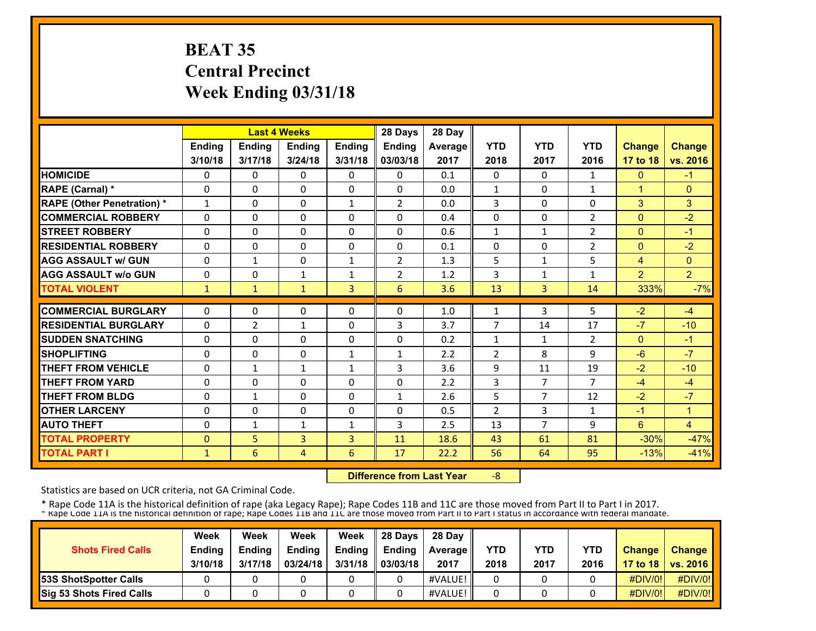# **BEAT 35 Central Precinct Week Ending 03/31/18**

|                                   |               |                | <b>Last 4 Weeks</b> |               | 28 Days        | 28 Day         |                |                |                |                |                |
|-----------------------------------|---------------|----------------|---------------------|---------------|----------------|----------------|----------------|----------------|----------------|----------------|----------------|
|                                   | <b>Ending</b> | Ending         | Ending              | <b>Ending</b> | Ending         | <b>Average</b> | <b>YTD</b>     | <b>YTD</b>     | <b>YTD</b>     | <b>Change</b>  | <b>Change</b>  |
|                                   | 3/10/18       | 3/17/18        | 3/24/18             | 3/31/18       | 03/03/18       | 2017           | 2018           | 2017           | 2016           | 17 to 18       | vs. 2016       |
| <b>HOMICIDE</b>                   | 0             | 0              | $\mathbf{0}$        | $\Omega$      | $\mathbf{0}$   | 0.1            | 0              | 0              | 1              | $\mathbf{0}$   | $-1$           |
| RAPE (Carnal) *                   | 0             | 0              | $\mathbf{0}$        | 0             | $\Omega$       | 0.0            | $\mathbf{1}$   | $\Omega$       | $\mathbf{1}$   | $\overline{1}$ | $\mathbf{0}$   |
| <b>RAPE (Other Penetration) *</b> | $\mathbf{1}$  | $\Omega$       | $\Omega$            | $\mathbf{1}$  | $\overline{2}$ | 0.0            | 3              | $\Omega$       | $\Omega$       | 3              | 3              |
| <b>COMMERCIAL ROBBERY</b>         | $\Omega$      | $\Omega$       | $\Omega$            | $\Omega$      | $\Omega$       | 0.4            | $\Omega$       | $\Omega$       | $\overline{2}$ | $\Omega$       | $-2$           |
| <b>STREET ROBBERY</b>             | $\Omega$      | $\Omega$       | $\mathbf{0}$        | 0             | $\Omega$       | 0.6            | $\mathbf{1}$   | $\mathbf{1}$   | $\overline{2}$ | $\mathbf{0}$   | $-1$           |
| <b>RESIDENTIAL ROBBERY</b>        | 0             | $\Omega$       | $\Omega$            | 0             | $\mathbf{0}$   | 0.1            | 0              | 0              | 2              | $\mathbf{0}$   | $-2$           |
| <b>AGG ASSAULT w/ GUN</b>         | $\Omega$      | $\mathbf{1}$   | $\Omega$            | $\mathbf{1}$  | $\overline{2}$ | 1.3            | 5              | $\mathbf{1}$   | 5              | $\overline{4}$ | $\mathbf{0}$   |
| <b>AGG ASSAULT w/o GUN</b>        | $\Omega$      | 0              | $\mathbf{1}$        | $\mathbf{1}$  | 2              | 1.2            | 3              | $\mathbf{1}$   | 1              | $\overline{2}$ | $\overline{2}$ |
| <b>TOTAL VIOLENT</b>              | $\mathbf{1}$  | $\mathbf{1}$   | $\mathbf{1}$        | 3             | 6              | 3.6            | 13             | 3              | 14             | 333%           | $-7%$          |
| <b>COMMERCIAL BURGLARY</b>        | $\Omega$      | $\Omega$       | $\mathbf{0}$        | 0             | $\Omega$       | 1.0            | $\mathbf{1}$   | 3              | 5              | $-2$           | $-4$           |
| <b>RESIDENTIAL BURGLARY</b>       | 0             | $\overline{2}$ | $\mathbf{1}$        | 0             | 3              | 3.7            | 7              | 14             | 17             | $-7$           | $-10$          |
| <b>SUDDEN SNATCHING</b>           | $\Omega$      | $\Omega$       | $\Omega$            | $\Omega$      | $\Omega$       | 0.2            | $\mathbf{1}$   | $\mathbf{1}$   | $\overline{2}$ | $\mathbf{0}$   | $-1$           |
| <b>SHOPLIFTING</b>                | $\Omega$      | $\Omega$       | $\Omega$            | $\mathbf{1}$  | $\mathbf{1}$   | 2.2            | $\overline{2}$ | 8              | 9              | $-6$           | $-7$           |
| <b>THEFT FROM VEHICLE</b>         | 0             | $\mathbf{1}$   | $\mathbf{1}$        | $\mathbf{1}$  | 3              | 3.6            | 9              | 11             | 19             | $-2$           | $-10$          |
| <b>THEFT FROM YARD</b>            | 0             | 0              | $\Omega$            | $\Omega$      | $\Omega$       | 2.2            | 3              | $\overline{7}$ | $\overline{7}$ | $-4$           | $-4$           |
| <b>THEFT FROM BLDG</b>            | 0             | $\mathbf{1}$   | $\mathbf{0}$        | 0             | $\mathbf{1}$   | 2.6            | 5              | $\overline{7}$ | 12             | $-2$           | $-7$           |
| <b>OTHER LARCENY</b>              | 0             | $\Omega$       | $\Omega$            | 0             | 0              | 0.5            | $\overline{2}$ | 3              | 1              | $-1$           | $\overline{1}$ |
| <b>AUTO THEFT</b>                 | 0             | $\mathbf{1}$   | $\mathbf{1}$        | $\mathbf{1}$  | 3              | 2.5            | 13             | $\overline{7}$ | 9              | 6              | $\overline{4}$ |
| <b>TOTAL PROPERTY</b>             | $\mathbf{0}$  | 5              | 3                   | 3             | 11             | 18.6           | 43             | 61             | 81             | $-30%$         | $-47%$         |
| <b>TOTAL PART I</b>               | $\mathbf{1}$  | 6              | 4                   | 6             | 17             | 22.2           | 56             | 64             | 95             | $-13%$         | $-41%$         |

 **Difference from Last Year**‐8

Statistics are based on UCR criteria, not GA Criminal Code.

| <b>Shots Fired Calls</b>      | Week<br><b>Ending</b><br>3/10/18 | Week<br><b>Ending</b><br>3/17/18 | Week<br><b>Ending</b><br>03/24/18 | Week<br><b>Endina</b><br>3/31/18 | 28 Davs<br><b>Ending</b><br>03/03/18 | 28 Dav<br><b>Average II</b><br>2017 | YTD<br>2018 | YTD<br>2017 | YTD<br>2016 | <b>Change</b> | Change<br>17 to 18   vs. 2016 |
|-------------------------------|----------------------------------|----------------------------------|-----------------------------------|----------------------------------|--------------------------------------|-------------------------------------|-------------|-------------|-------------|---------------|-------------------------------|
| <b>153S ShotSpotter Calls</b> |                                  |                                  |                                   |                                  |                                      | #VALUE!                             |             |             |             | #DIV/0!       | #DIV/0!                       |
| Sig 53 Shots Fired Calls      |                                  |                                  |                                   |                                  |                                      | #VALUE!                             |             |             |             | #DIV/0!       | #DIV/0!                       |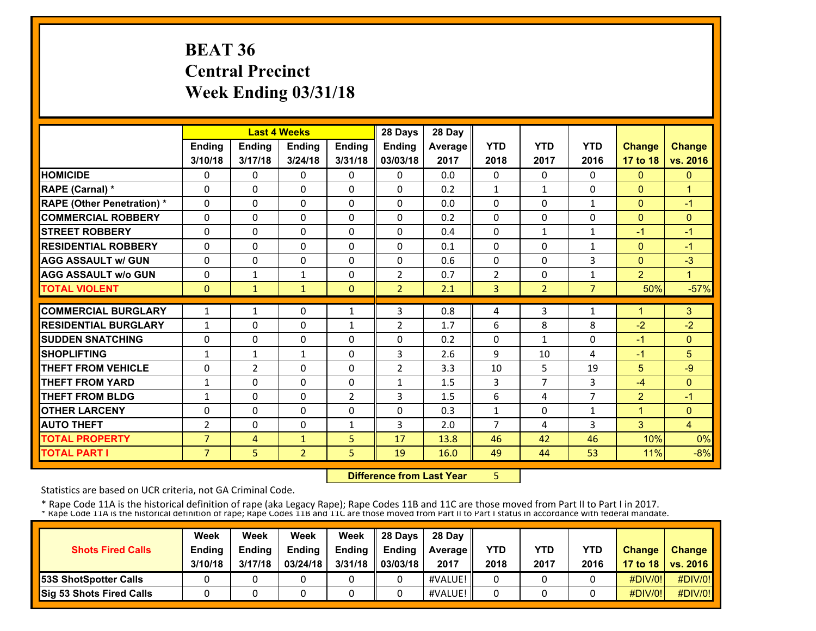# **BEAT 36 Central Precinct Week Ending 03/31/18**

|                                   |                |                | <b>Last 4 Weeks</b> |               | 28 Days        | 28 Day  |                |                |                |                |                |
|-----------------------------------|----------------|----------------|---------------------|---------------|----------------|---------|----------------|----------------|----------------|----------------|----------------|
|                                   | Ending         | <b>Ending</b>  | Ending              | <b>Ending</b> | Ending         | Average | <b>YTD</b>     | <b>YTD</b>     | <b>YTD</b>     | <b>Change</b>  | <b>Change</b>  |
|                                   | 3/10/18        | 3/17/18        | 3/24/18             | 3/31/18       | 03/03/18       | 2017    | 2018           | 2017           | 2016           | 17 to 18       | vs. 2016       |
| <b>HOMICIDE</b>                   | 0              | 0              | $\mathbf{0}$        | 0             | $\mathbf{0}$   | 0.0     | $\Omega$       | $\Omega$       | 0              | $\mathbf{0}$   | $\mathbf{0}$   |
| <b>RAPE (Carnal) *</b>            | 0              | 0              | $\mathbf{0}$        | $\Omega$      | 0              | 0.2     | $\mathbf{1}$   | $\mathbf{1}$   | 0              | $\mathbf{0}$   | 1              |
| <b>RAPE (Other Penetration) *</b> | 0              | $\Omega$       | $\mathbf{0}$        | 0             | $\Omega$       | 0.0     | 0              | $\Omega$       | $\mathbf{1}$   | $\mathbf{0}$   | $-1$           |
| <b>COMMERCIAL ROBBERY</b>         | 0              | 0              | $\mathbf{0}$        | 0             | $\Omega$       | 0.2     | $\Omega$       | $\Omega$       | $\Omega$       | $\Omega$       | $\mathbf{0}$   |
| <b>STREET ROBBERY</b>             | 0              | 0              | $\mathbf{0}$        | 0             | $\Omega$       | 0.4     | $\Omega$       | $\mathbf{1}$   | $\mathbf{1}$   | $-1$           | $-1$           |
| <b>RESIDENTIAL ROBBERY</b>        | $\Omega$       | $\Omega$       | $\Omega$            | $\Omega$      | $\Omega$       | 0.1     | $\Omega$       | $\Omega$       | $\mathbf{1}$   | $\mathbf{0}$   | $-1$           |
| <b>AGG ASSAULT w/ GUN</b>         | $\Omega$       | 0              | $\Omega$            | $\Omega$      | $\Omega$       | 0.6     | $\Omega$       | 0              | 3              | $\overline{0}$ | $-3$           |
| <b>AGG ASSAULT w/o GUN</b>        | 0              | $\mathbf{1}$   | $\mathbf{1}$        | $\Omega$      | $\overline{2}$ | 0.7     | $\overline{2}$ | 0              | $\mathbf{1}$   | $\overline{2}$ | $\mathbf{1}$   |
| <b>TOTAL VIOLENT</b>              | $\mathbf{0}$   | 1              | $\mathbf{1}$        | $\mathbf{0}$  | $\overline{2}$ | 2.1     | 3              | $\overline{2}$ | $\overline{7}$ | 50%            | $-57%$         |
| <b>COMMERCIAL BURGLARY</b>        | $\mathbf{1}$   | 1              | $\mathbf{0}$        | $\mathbf{1}$  | 3              | 0.8     | 4              | 3              | $\mathbf{1}$   | 1              | 3              |
| <b>RESIDENTIAL BURGLARY</b>       | 1              | 0              | $\mathbf{0}$        | 1             | 2              | 1.7     | 6              | 8              | 8              | $-2$           | $-2$           |
| <b>SUDDEN SNATCHING</b>           | $\Omega$       | 0              | $\Omega$            | $\Omega$      | $\Omega$       | 0.2     | $\Omega$       | $\mathbf{1}$   | $\Omega$       | $-1$           | $\mathbf{0}$   |
| <b>SHOPLIFTING</b>                | $\mathbf{1}$   | $\mathbf{1}$   | $\mathbf{1}$        | 0             | 3              | 2.6     | 9              | 10             | 4              | $-1$           | 5              |
| THEFT FROM VEHICLE                | 0              | $\overline{2}$ | $\mathbf{0}$        | 0             | $\overline{2}$ | 3.3     | 10             | 5              | 19             | 5              | $-9$           |
| <b>THEFT FROM YARD</b>            | $\mathbf{1}$   | 0              | $\mathbf{0}$        | 0             | $\mathbf{1}$   | 1.5     | 3              | $\overline{7}$ | 3              | $-4$           | $\mathbf{0}$   |
| <b>THEFT FROM BLDG</b>            | 1              | $\Omega$       | $\Omega$            | 2             | 3              | 1.5     | 6              | 4              | $\overline{7}$ | $\overline{2}$ | $-1$           |
| <b>OTHER LARCENY</b>              | 0              | $\Omega$       | $\Omega$            | $\Omega$      | $\Omega$       | 0.3     | $\mathbf{1}$   | 0              | $\mathbf{1}$   | $\overline{1}$ | $\Omega$       |
| <b>AUTO THEFT</b>                 | $\overline{2}$ | $\Omega$       | $\Omega$            | $\mathbf{1}$  | 3              | 2.0     | 7              | 4              | 3              | 3              | $\overline{4}$ |
| <b>TOTAL PROPERTY</b>             | $\overline{7}$ | 4              | $\mathbf{1}$        | 5             | 17             | 13.8    | 46             | 42             | 46             | 10%            | 0%             |
| <b>TOTAL PART I</b>               | $\overline{7}$ | 5              | $\overline{2}$      | 5             | 19             | 16.0    | 49             | 44             | 53             | 11%            | $-8%$          |

**Difference from Last Year** 5

Statistics are based on UCR criteria, not GA Criminal Code.

|                              | Week          | Week          | Week          | Week    | 28 Davs       | 28 Day            |      |      |            |               |                     |
|------------------------------|---------------|---------------|---------------|---------|---------------|-------------------|------|------|------------|---------------|---------------------|
| <b>Shots Fired Calls</b>     | <b>Ending</b> | <b>Ending</b> | <b>Ending</b> | Ending  | <b>Endina</b> | <b>Average</b> II | YTD  | YTD  | <b>YTD</b> | <b>Change</b> | Change              |
|                              | 3/10/18       | 3/17/18       | 03/24/18      | 3/31/18 | 03/03/18      | 2017              | 2018 | 2017 | 2016       |               | 17 to 18   vs. 2016 |
| <b>53S ShotSpotter Calls</b> |               |               |               |         |               | #VALUE!           |      |      |            | $\#$ DIV/0!   | #DIV/0!             |
| Sig 53 Shots Fired Calls     |               |               |               |         |               | #VALUE!           |      |      |            | #DIV/0!       | #DIV/0!             |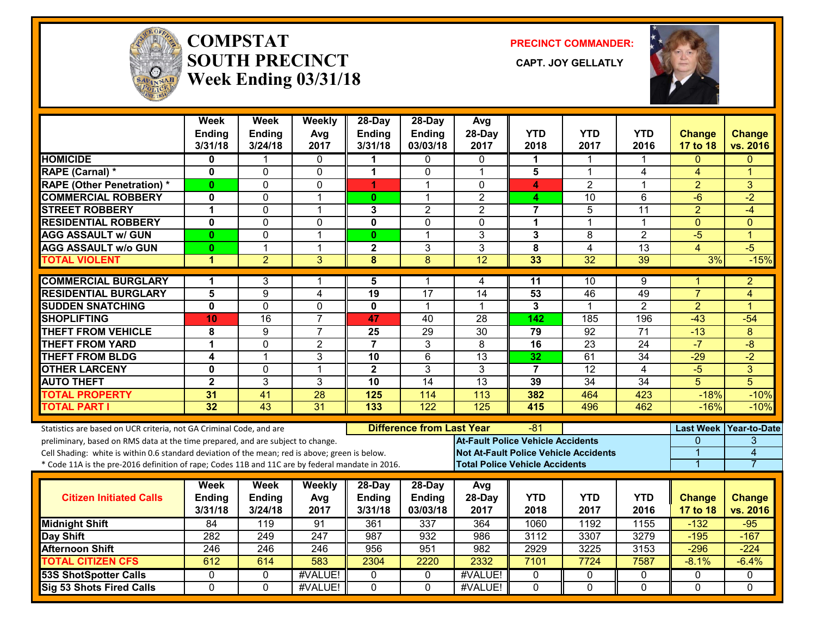

#### **COMPSTATSOUTH PRECINCT Week Ending 03/31/18**

**PRECINCT COMMANDER:**

CAPT. JOY GELLATLY



|                                                                                                  | Week<br><b>Ending</b><br>3/31/18 | Week<br><b>Ending</b><br>3/24/18 | Weekly<br>Avg<br>2017 | 28-Day<br><b>Ending</b><br>3/31/18 | 28-Day<br><b>Ending</b><br>03/03/18 | Avg<br>28-Day<br>2017                        | <b>YTD</b><br>2018 | <b>YTD</b><br>2017 | <b>YTD</b><br>2016 | <b>Change</b><br>17 to 18 | <b>Change</b><br>vs. 2016 |
|--------------------------------------------------------------------------------------------------|----------------------------------|----------------------------------|-----------------------|------------------------------------|-------------------------------------|----------------------------------------------|--------------------|--------------------|--------------------|---------------------------|---------------------------|
| <b>HOMICIDE</b>                                                                                  | 0                                |                                  | 0                     | 1                                  | 0                                   | $\mathbf{0}$                                 | 1                  | 1                  |                    | 0                         | 0                         |
| RAPE (Carnal) *                                                                                  | $\mathbf{0}$                     | $\Omega$                         | 0                     | 1                                  | $\Omega$                            | $\overline{1}$                               | 5                  | $\mathbf 1$        | 4                  | $\overline{4}$            | 1                         |
| <b>RAPE (Other Penetration) *</b>                                                                | $\bf{0}$                         | 0                                | 0                     | 4.                                 | 1                                   | $\mathbf{0}$                                 | 4                  | $\overline{2}$     | $\mathbf{1}$       | $\overline{2}$            | $\overline{3}$            |
| <b>COMMERCIAL ROBBERY</b>                                                                        | $\mathbf 0$                      | 0                                | $\mathbf 1$           | 0                                  | $\mathbf 1$                         | $\overline{2}$                               | 4                  | 10                 | 6                  | $-6$                      | $-2$                      |
| <b>STREET ROBBERY</b>                                                                            | $\mathbf 1$                      | $\Omega$                         | $\mathbf{1}$          | 3                                  | $\overline{2}$                      | $\overline{2}$                               | $\overline{7}$     | 5                  | 11                 | $\overline{2}$            | $-4$                      |
| <b>RESIDENTIAL ROBBERY</b>                                                                       | $\mathbf 0$                      | $\mathbf 0$                      | 0                     | $\mathbf 0$                        | 0                                   | $\mathbf{0}$                                 | 1                  | $\mathbf{1}$       | 1                  | $\mathbf{0}$              | $\Omega$                  |
| <b>AGG ASSAULT w/ GUN</b>                                                                        | $\bf{0}$                         | $\mathbf{0}$                     | 1                     | $\mathbf{0}$                       | 1                                   | 3                                            | 3                  | 8                  | $\overline{2}$     | $-5$                      | $\overline{1}$            |
| <b>AGG ASSAULT w/o GUN</b>                                                                       | $\mathbf{0}$                     | $\mathbf{1}$                     | $\mathbf{1}$          | $\mathbf{2}$                       | 3                                   | 3                                            | 8                  | 4                  | 13                 | 4                         | $-5$                      |
| <b>TOTAL VIOLENT</b>                                                                             | 1                                | $\overline{2}$                   | 3                     | 8                                  | 8                                   | $\overline{12}$                              | 33                 | $\overline{32}$    | 39                 | 3%                        | $-15%$                    |
| <b>COMMERCIAL BURGLARY</b>                                                                       | 1                                | 3                                | 1                     | 5                                  | 1                                   | 4                                            | 11                 | 10                 | 9                  | 1                         | 2                         |
| <b>RESIDENTIAL BURGLARY</b>                                                                      | 5                                | 9                                | 4                     | $\overline{19}$                    | 17                                  | 14                                           | 53                 | 46                 | 49                 | $\overline{7}$            | 4                         |
| <b>SUDDEN SNATCHING</b>                                                                          | $\mathbf 0$                      | $\mathbf 0$                      | $\Omega$              | $\mathbf 0$                        | 1                                   | -1                                           | 3                  | $\mathbf 1$        | $\overline{2}$     | $\overline{2}$            | 1                         |
| <b>SHOPLIFTING</b>                                                                               | 10                               | $\overline{16}$                  | $\overline{7}$        | 47                                 | 40                                  | 28                                           | 142                | 185                | 196                | $-43$                     | $-54$                     |
| <b>THEFT FROM VEHICLE</b>                                                                        | 8                                | 9                                | $\overline{7}$        | 25                                 | $\overline{29}$                     | 30                                           | 79                 | 92                 | 71                 | $-13$                     | 8                         |
| <b>THEFT FROM YARD</b>                                                                           | 1                                | $\mathbf 0$                      | $\overline{2}$        | $\overline{7}$                     | 3                                   | 8                                            | 16                 | $\overline{23}$    | $\overline{24}$    | $-7$                      | $-8$                      |
| <b>THEFT FROM BLDG</b>                                                                           | 4                                | $\mathbf{1}$                     | 3                     | $\overline{10}$                    | $6\phantom{1}$                      | $\overline{13}$                              | 32                 | $\overline{61}$    | $\overline{34}$    | $-29$                     | $-2$                      |
| <b>OTHER LARCENY</b>                                                                             | $\mathbf 0$                      | $\mathbf 0$                      | $\mathbf{1}$          | $\overline{2}$                     | 3                                   | 3                                            | $\overline{7}$     | $\overline{12}$    | 4                  | $-5$                      | 3                         |
| <b>AUTO THEFT</b>                                                                                | $\overline{2}$                   | $\overline{3}$                   | $\overline{3}$        | $\overline{10}$                    | 14                                  | 13                                           | 39                 | 34                 | 34                 | $\overline{5}$            | $\overline{5}$            |
| <b>TOTAL PROPERTY</b>                                                                            | 31                               | 41                               | $\overline{28}$       | 125                                | 114                                 | 113                                          | 382                | 464                | 423                | $-18%$                    | $-10%$                    |
| <b>TOTAL PART I</b>                                                                              | 32                               | $\overline{43}$                  | $\overline{31}$       | 133                                | 122                                 | 125                                          | 415                | 496                | 462                | $-16%$                    | $-10%$                    |
| Statistics are based on UCR criteria, not GA Criminal Code, and are                              |                                  |                                  |                       |                                    | <b>Difference from Last Year</b>    |                                              | -81                |                    |                    | <b>Last Week</b>          | <b>Year-to-Date</b>       |
| preliminary, based on RMS data at the time prepared, and are subject to change.                  |                                  |                                  |                       |                                    |                                     | <b>At-Fault Police Vehicle Accidents</b>     |                    |                    |                    | 0                         | 3                         |
| Cell Shading: white is within 0.6 standard deviation of the mean; red is above; green is below.  |                                  |                                  |                       |                                    |                                     | <b>Not At-Fault Police Vehicle Accidents</b> |                    |                    |                    | $\overline{1}$            | $\overline{\mathbf{4}}$   |
| * Code 11A is the pre-2016 definition of rape; Codes 11B and 11C are by federal mandate in 2016. |                                  |                                  |                       |                                    |                                     | <b>Total Police Vehicle Accidents</b>        |                    |                    |                    | $\overline{1}$            | $\overline{7}$            |
|                                                                                                  | Week                             | Week                             | Weekly                | 28-Day                             | 28-Day                              | Avg                                          |                    |                    |                    |                           |                           |
| <b>Citizen Initiated Calls</b>                                                                   | Ending                           | <b>Ending</b>                    | Avg                   | <b>Ending</b>                      | <b>Ending</b>                       | 28-Day                                       | <b>YTD</b>         | <b>YTD</b>         | <b>YTD</b>         | <b>Change</b>             | <b>Change</b>             |
|                                                                                                  | 3/31/18                          | 3/24/18                          | 2017                  | 3/31/18                            | 03/03/18                            | 2017                                         | 2018               | 2017               | 2016               | 17 to 18                  | vs. 2016                  |
| <b>Midnight Shift</b>                                                                            | 84                               | 119                              | 91                    | 361                                | 337                                 | 364                                          | 1060               | 1192               | 1155               | $-132$                    | $-95$                     |
| <b>Day Shift</b>                                                                                 | 282                              | 249                              | 247                   | 987                                | 932                                 | 986                                          | 3112               | 3307               | 3279               | $-195$                    | $-167$                    |
| <b>Afternoon Shift</b>                                                                           | 246                              | 246                              | 246                   | 956                                | 951                                 | 982                                          | 2929               | 3225               | 3153               | $-296$                    | $-224$                    |
| <b>TOTAL CITIZEN CFS</b>                                                                         | 612                              | 614                              | 583                   | 2304                               | 2220                                | 2332                                         | 7101               | 7724               | 7587               | $-8.1%$                   | $-6.4%$                   |
| <b>53S ShotSpotter Calls</b>                                                                     | $\Omega$                         | $\Omega$                         | #VALUE!               | $\Omega$                           | $\mathbf{0}$                        | #VALUE!                                      | $\Omega$           | $\mathbf{0}$       | $\Omega$           | $\Omega$                  | $\Omega$                  |
| Sig 53 Shots Fired Calls                                                                         | $\mathbf 0$                      | $\mathbf 0$                      | #VALUE!               | $\mathbf 0$                        | $\mathbf 0$                         | #VALUE!                                      | 0                  | $\overline{0}$     | 0                  | $\mathbf 0$               | $\Omega$                  |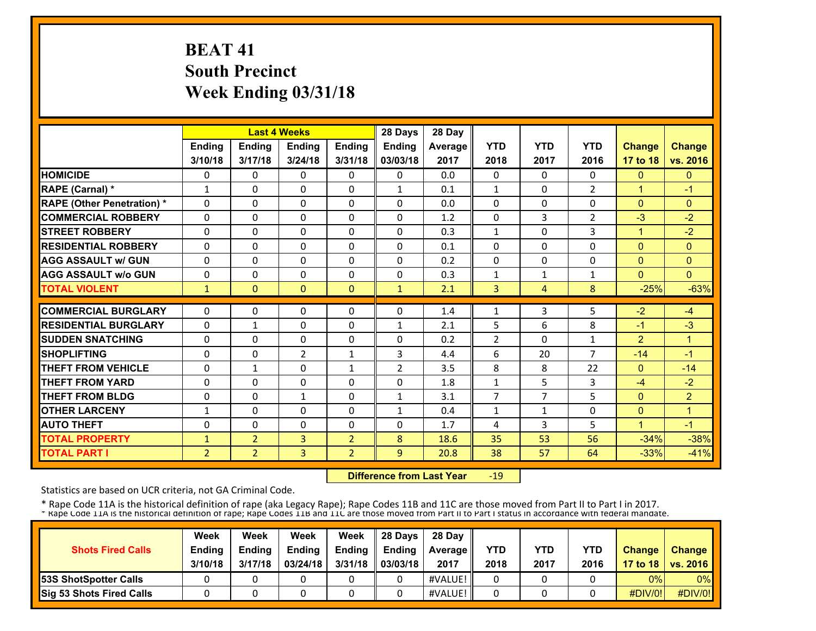# **BEAT 41 South Precinct Week Ending 03/31/18**

|                                   |                |                | <b>Last 4 Weeks</b> |                | 28 Days        | 28 Day  |                |                |                |                |                |
|-----------------------------------|----------------|----------------|---------------------|----------------|----------------|---------|----------------|----------------|----------------|----------------|----------------|
|                                   | Ending         | <b>Ending</b>  | Ending              | Ending         | <b>Ending</b>  | Average | <b>YTD</b>     | <b>YTD</b>     | <b>YTD</b>     | <b>Change</b>  | <b>Change</b>  |
|                                   | 3/10/18        | 3/17/18        | 3/24/18             | 3/31/18        | 03/03/18       | 2017    | 2018           | 2017           | 2016           | 17 to 18       | vs. 2016       |
| <b>HOMICIDE</b>                   | 0              | $\Omega$       | $\Omega$            | 0              | $\Omega$       | 0.0     | 0              | $\Omega$       | $\Omega$       | $\mathbf{0}$   | $\mathbf{0}$   |
| RAPE (Carnal) *                   | $\mathbf{1}$   | $\Omega$       | $\Omega$            | $\Omega$       | $\mathbf{1}$   | 0.1     | $\mathbf{1}$   | 0              | $\overline{2}$ | $\overline{1}$ | $-1$           |
| <b>RAPE (Other Penetration) *</b> | $\Omega$       | $\Omega$       | $\Omega$            | $\Omega$       | $\Omega$       | 0.0     | 0              | $\Omega$       | $\Omega$       | $\Omega$       | $\mathbf{0}$   |
| <b>COMMERCIAL ROBBERY</b>         | $\Omega$       | $\Omega$       | $\Omega$            | $\Omega$       | $\Omega$       | 1.2     | 0              | 3              | 2              | $-3$           | $-2$           |
| <b>STREET ROBBERY</b>             | $\Omega$       | 0              | $\mathbf{0}$        | 0              | $\Omega$       | 0.3     | 1              | 0              | 3              | $\mathbf{1}$   | $-2$           |
| <b>RESIDENTIAL ROBBERY</b>        | $\Omega$       | $\Omega$       | $\Omega$            | $\Omega$       | $\Omega$       | 0.1     | 0              | 0              | $\Omega$       | $\Omega$       | $\Omega$       |
| <b>AGG ASSAULT w/ GUN</b>         | $\Omega$       | $\Omega$       | $\Omega$            | $\Omega$       | $\Omega$       | 0.2     | 0              | 0              | $\Omega$       | $\Omega$       | $\mathbf{0}$   |
| <b>AGG ASSAULT w/o GUN</b>        | 0              | 0              | $\Omega$            | $\Omega$       | $\Omega$       | 0.3     | $\mathbf 1$    | $\mathbf{1}$   | 1              | $\Omega$       | $\Omega$       |
| <b>TOTAL VIOLENT</b>              | $\mathbf{1}$   | $\Omega$       | $\mathbf{0}$        | $\Omega$       | $\mathbf{1}$   | 2.1     | 3              | 4              | 8              | $-25%$         | $-63%$         |
| <b>COMMERCIAL BURGLARY</b>        | 0              | 0              | 0                   | 0              | $\Omega$       | 1.4     | 1              | 3              | 5              | $-2$           | $-4$           |
| <b>RESIDENTIAL BURGLARY</b>       | $\Omega$       | $\mathbf{1}$   | $\Omega$            | 0              | $\mathbf{1}$   | 2.1     | 5              | 6              | 8              | $-1$           | $-3$           |
| <b>SUDDEN SNATCHING</b>           | $\Omega$       | $\Omega$       | $\Omega$            | $\Omega$       | $\Omega$       | 0.2     | $\overline{2}$ | $\Omega$       | 1              | $\overline{2}$ | $\overline{1}$ |
| <b>SHOPLIFTING</b>                | $\Omega$       | $\Omega$       | 2                   | $\mathbf{1}$   | 3              | 4.4     | 6              | 20             | $\overline{7}$ | $-14$          | $-1$           |
| <b>THEFT FROM VEHICLE</b>         | $\Omega$       | $\mathbf{1}$   | $\Omega$            | 1              | $\overline{2}$ | 3.5     | 8              | 8              | 22             | $\mathbf{0}$   | $-14$          |
| <b>THEFT FROM YARD</b>            | 0              | 0              | $\Omega$            | $\Omega$       | $\Omega$       | 1.8     | $\mathbf{1}$   | 5              | 3              | $-4$           | $-2$           |
| <b>THEFT FROM BLDG</b>            | 0              | $\Omega$       | $\mathbf{1}$        | $\Omega$       | $\mathbf{1}$   | 3.1     | 7              | $\overline{7}$ | 5              | $\Omega$       | $\overline{2}$ |
| <b>OTHER LARCENY</b>              | 1              | 0              | $\Omega$            | $\Omega$       | $\mathbf{1}$   | 0.4     | 1              | 1              | $\Omega$       | $\Omega$       | $\mathbf{1}$   |
| <b>AUTO THEFT</b>                 | 0              | $\Omega$       | $\Omega$            | 0              | $\Omega$       | 1.7     | 4              | 3              | 5              | 1              | $-1$           |
| <b>TOTAL PROPERTY</b>             | 1              | $\overline{2}$ | 3                   | $\overline{2}$ | 8              | 18.6    | 35             | 53             | 56             | $-34%$         | $-38%$         |
| <b>TOTAL PART I</b>               | $\overline{2}$ | $\overline{2}$ | 3                   | $\overline{2}$ | 9              | 20.8    | 38             | 57             | 64             | $-33%$         | $-41%$         |

 **Difference from Last Year**‐19

Statistics are based on UCR criteria, not GA Criminal Code.

| <b>Shots Fired Calls</b>        | Week<br><b>Ending</b><br>3/10/18 | Week<br><b>Ending</b><br>3/17/18 | Week<br><b>Ending</b><br>03/24/18 | Week<br><b>Endina</b><br>3/31/18 | 28 Davs<br><b>Ending</b><br>03/03/18 | 28 Day<br><b>Average II</b><br>2017 | YTD<br>2018 | YTD<br>2017 | <b>YTD</b><br>2016 | <b>Change</b> | Change<br>17 to 18   vs. 2016 |
|---------------------------------|----------------------------------|----------------------------------|-----------------------------------|----------------------------------|--------------------------------------|-------------------------------------|-------------|-------------|--------------------|---------------|-------------------------------|
| <b>153S ShotSpotter Calls</b>   |                                  |                                  |                                   |                                  |                                      | #VALUE!                             |             |             |                    | 0%            | $0\%$                         |
| <b>Sig 53 Shots Fired Calls</b> |                                  |                                  |                                   |                                  |                                      | #VALUE!                             |             |             |                    | #DIV/0!       | #DIV/0!                       |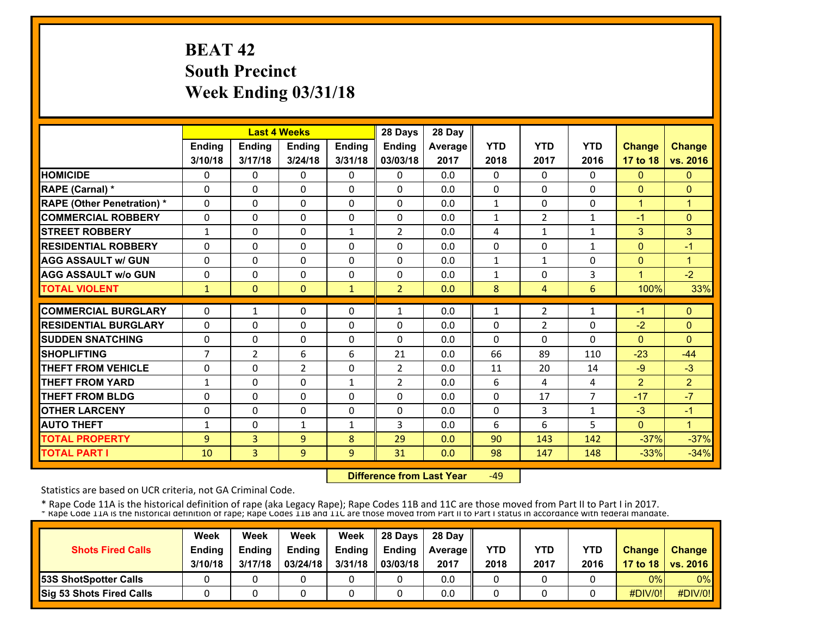# **BEAT 42 South Precinct Week Ending 03/31/18**

|                                   |                |                | <b>Last 4 Weeks</b> |               | 28 Days        | 28 Day  |              |              |                |               |                      |
|-----------------------------------|----------------|----------------|---------------------|---------------|----------------|---------|--------------|--------------|----------------|---------------|----------------------|
|                                   | <b>Ending</b>  | <b>Ending</b>  | <b>Endina</b>       | <b>Ending</b> | <b>Endina</b>  | Average | <b>YTD</b>   | <b>YTD</b>   | <b>YTD</b>     | <b>Change</b> | <b>Change</b>        |
|                                   | 3/10/18        | 3/17/18        | 3/24/18             | 3/31/18       | 03/03/18       | 2017    | 2018         | 2017         | 2016           | 17 to 18      | vs. 2016             |
| <b>HOMICIDE</b>                   | 0              | 0              | 0                   | 0             | 0              | 0.0     | 0            | 0            | 0              | $\mathbf{0}$  | $\mathbf{0}$         |
| RAPE (Carnal) *                   | $\Omega$       | 0              | $\Omega$            | $\Omega$      | $\Omega$       | 0.0     | 0            | $\Omega$     | $\Omega$       | $\mathbf{0}$  | $\Omega$             |
| <b>RAPE (Other Penetration) *</b> | 0              | $\Omega$       | $\Omega$            | 0             | $\Omega$       | 0.0     | $\mathbf{1}$ | 0            | 0              | $\mathbf{1}$  | $\mathbf{1}$         |
| <b>COMMERCIAL ROBBERY</b>         | 0              | 0              | $\mathbf{0}$        | 0             | $\mathbf{0}$   | 0.0     | $\mathbf{1}$ | 2            | $\mathbf{1}$   | $-1$          | $\mathbf{0}$         |
| <b>STREET ROBBERY</b>             | $\mathbf{1}$   | 0              | $\mathbf{0}$        | $\mathbf{1}$  | 2              | 0.0     | 4            | $\mathbf{1}$ | 1              | 3             | 3                    |
| <b>RESIDENTIAL ROBBERY</b>        | 0              | 0              | $\Omega$            | 0             | $\Omega$       | 0.0     | 0            | 0            | 1              | $\mathbf{0}$  | $-1$                 |
| <b>AGG ASSAULT w/ GUN</b>         | 0              | 0              | $\mathbf{0}$        | 0             | $\Omega$       | 0.0     | 1            | $\mathbf{1}$ | 0              | $\mathbf{0}$  | $\mathbf{1}$         |
| <b>AGG ASSAULT w/o GUN</b>        | 0              | 0              | $\Omega$            | 0             | 0              | 0.0     | 1            | 0            | 3              | 1             | $-2$                 |
| <b>TOTAL VIOLENT</b>              | $\mathbf{1}$   | $\Omega$       | $\mathbf{0}$        | $\mathbf{1}$  | $\overline{2}$ | 0.0     | 8            | 4            | 6              | 100%          | 33%                  |
| <b>COMMERCIAL BURGLARY</b>        | $\Omega$       |                | $\mathbf{0}$        | 0             |                | 0.0     |              |              |                | $-1$          | $\Omega$             |
|                                   |                | $\mathbf{1}$   |                     |               | $\mathbf{1}$   |         | 1            | 2            | 1              |               |                      |
| <b>RESIDENTIAL BURGLARY</b>       | 0              | 0              | $\mathbf{0}$        | 0             | $\mathbf{0}$   | 0.0     | 0            | 2            | 0              | $-2$          | $\mathbf{0}$         |
| <b>SUDDEN SNATCHING</b>           | 0              | 0              | $\mathbf{0}$        | 0             | $\Omega$       | 0.0     | 0            | $\Omega$     | $\Omega$       | $\Omega$      | $\Omega$             |
| <b>SHOPLIFTING</b>                | $\overline{7}$ | $\overline{2}$ | 6                   | 6             | 21             | 0.0     | 66           | 89           | 110            | $-23$         | $-44$                |
| <b>THEFT FROM VEHICLE</b>         | 0              | 0              | $\overline{2}$      | 0             | $\overline{2}$ | 0.0     | 11           | 20           | 14             | $-9$          | $-3$                 |
| <b>THEFT FROM YARD</b>            | $\mathbf{1}$   | 0              | $\Omega$            | $\mathbf{1}$  | $\overline{2}$ | 0.0     | 6            | 4            | 4              | 2             | $\overline{2}$       |
| <b>THEFT FROM BLDG</b>            | 0              | $\Omega$       | $\Omega$            | 0             | $\Omega$       | 0.0     | 0            | 17           | $\overline{7}$ | $-17$         | $-7$                 |
| <b>OTHER LARCENY</b>              | 0              | $\Omega$       | $\Omega$            | 0             | $\Omega$       | 0.0     | 0            | 3            | $\mathbf{1}$   | $-3$          | $-1$                 |
| <b>AUTO THEFT</b>                 | 1              | $\Omega$       | $\mathbf{1}$        | $\mathbf{1}$  | 3              | 0.0     | 6            | 6            | 5              | $\Omega$      | $\blacktriangleleft$ |
| <b>TOTAL PROPERTY</b>             | $\overline{9}$ | 3              | 9                   | 8             | 29             | 0.0     | 90           | 143          | 142            | $-37%$        | $-37%$               |
| <b>TOTAL PART I</b>               | 10             | $\overline{3}$ | 9                   | 9             | 31             | 0.0     | 98           | 147          | 148            | $-33%$        | $-34%$               |

 **Difference from Last Year**‐49

Statistics are based on UCR criteria, not GA Criminal Code.

|                                 | Week          | Week          | Week          | Week    | 28 Davs       | 28 Day         |      |      |            |               |                     |
|---------------------------------|---------------|---------------|---------------|---------|---------------|----------------|------|------|------------|---------------|---------------------|
| <b>Shots Fired Calls</b>        | <b>Ending</b> | <b>Ending</b> | <b>Ending</b> | Ending  | <b>Endina</b> | <b>Average</b> | YTD  | YTD  | <b>YTD</b> | <b>Change</b> | <b>Change</b>       |
|                                 | 3/10/18       | 3/17/18       | 03/24/18      | 3/31/18 | 03/03/18      | 2017           | 2018 | 2017 | 2016       |               | 17 to 18   vs. 2016 |
| <b>53S ShotSpotter Calls</b>    |               |               |               |         |               | 0.0            |      |      |            | 0%            | $0\%$               |
| <b>Sig 53 Shots Fired Calls</b> |               |               |               |         |               | 0.0            |      |      |            | #DIV/0!       | #DIV/0!             |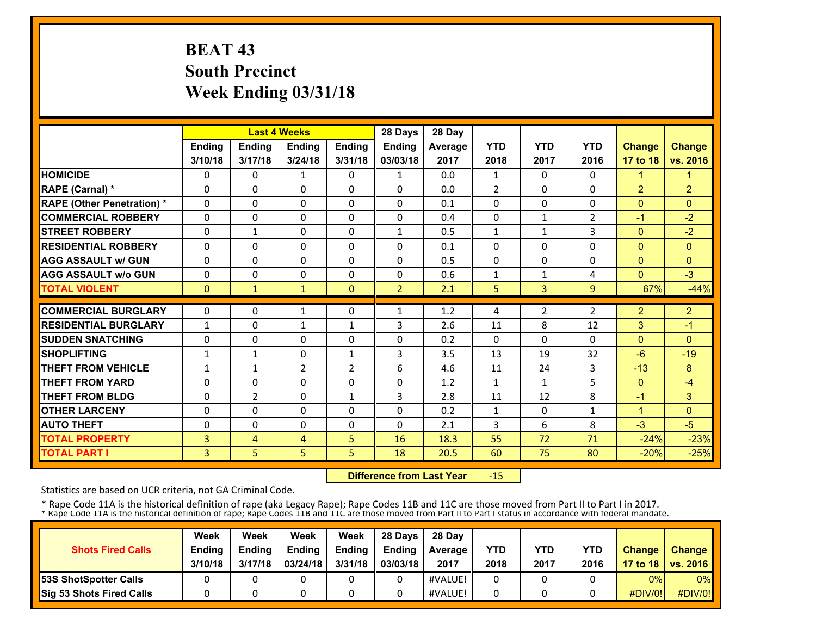# **BEAT 43 South Precinct Week Ending 03/31/18**

|                                   |              | <b>Last 4 Weeks</b> |                |               | 28 Days        | 28 Day  |                |              |                |                |                |
|-----------------------------------|--------------|---------------------|----------------|---------------|----------------|---------|----------------|--------------|----------------|----------------|----------------|
|                                   | Ending       | Ending              | Ending         | <b>Ending</b> | <b>Ending</b>  | Average | <b>YTD</b>     | <b>YTD</b>   | <b>YTD</b>     | <b>Change</b>  | <b>Change</b>  |
|                                   | 3/10/18      | 3/17/18             | 3/24/18        | 3/31/18       | 03/03/18       | 2017    | 2018           | 2017         | 2016           | 17 to 18       | vs. 2016       |
| <b>HOMICIDE</b>                   | 0            | 0                   | $\mathbf{1}$   | 0             | $\mathbf{1}$   | 0.0     | $\mathbf{1}$   | $\Omega$     | 0              | $\mathbf{1}$   | 1              |
| RAPE (Carnal) *                   | $\Omega$     | $\Omega$            | $\Omega$       | $\Omega$      | $\Omega$       | 0.0     | $\overline{2}$ | $\Omega$     | 0              | $\overline{2}$ | $\overline{2}$ |
| <b>RAPE (Other Penetration)</b> * | $\Omega$     | $\Omega$            | $\Omega$       | $\Omega$      | $\Omega$       | 0.1     | $\Omega$       | 0            | $\Omega$       | $\Omega$       | $\Omega$       |
| <b>COMMERCIAL ROBBERY</b>         | $\Omega$     | 0                   | $\Omega$       | $\Omega$      | $\Omega$       | 0.4     | $\Omega$       | $\mathbf{1}$ | 2              | $-1$           | $-2$           |
| <b>STREET ROBBERY</b>             | 0            | $\mathbf{1}$        | 0              | $\mathbf{0}$  | 1              | 0.5     | $\mathbf{1}$   | 1            | 3              | $\Omega$       | $-2$           |
| <b>RESIDENTIAL ROBBERY</b>        | $\Omega$     | $\Omega$            | $\Omega$       | $\Omega$      | $\Omega$       | 0.1     | $\mathbf{0}$   | $\Omega$     | 0              | $\Omega$       | $\Omega$       |
| <b>AGG ASSAULT w/ GUN</b>         | $\Omega$     | $\Omega$            | $\Omega$       | $\Omega$      | $\Omega$       | 0.5     | $\Omega$       | $\Omega$     | 0              | $\Omega$       | $\mathbf{0}$   |
| <b>AGG ASSAULT w/o GUN</b>        | $\Omega$     | $\Omega$            | $\Omega$       | $\mathbf{0}$  | 0              | 0.6     | 1              | 1            | 4              | $\Omega$       | $-3$           |
| <b>TOTAL VIOLENT</b>              | $\Omega$     | $\mathbf{1}$        | $\mathbf{1}$   | $\mathbf{0}$  | $\overline{2}$ | 2.1     | 5              | 3            | 9              | 67%            | $-44%$         |
| <b>COMMERCIAL BURGLARY</b>        | $\Omega$     | 0                   |                | 0             | 1              | 1.2     |                | 2            | $\overline{2}$ | $\overline{2}$ | $\overline{2}$ |
| <b>RESIDENTIAL BURGLARY</b>       |              |                     | 1              |               |                |         | 4              |              |                |                |                |
|                                   | $\mathbf{1}$ | $\Omega$            | $\mathbf{1}$   | $\mathbf{1}$  | 3              | 2.6     | 11             | 8            | 12             | 3              | $-1$           |
| <b>SUDDEN SNATCHING</b>           | $\Omega$     | $\Omega$            | $\Omega$       | $\Omega$      | $\Omega$       | 0.2     | $\Omega$       | 0            | $\Omega$       | $\Omega$       | $\Omega$       |
| <b>SHOPLIFTING</b>                | $\mathbf{1}$ | $\mathbf{1}$        | $\Omega$       | $\mathbf{1}$  | 3              | 3.5     | 13             | 19           | 32             | $-6$           | $-19$          |
| <b>THEFT FROM VEHICLE</b>         | 1            | $\mathbf{1}$        | $\overline{2}$ | 2             | 6              | 4.6     | 11             | 24           | 3              | $-13$          | 8              |
| <b>THEFT FROM YARD</b>            | $\Omega$     | $\Omega$            | $\Omega$       | $\mathbf{0}$  | $\Omega$       | 1.2     | $\mathbf{1}$   | 1            | 5              | $\Omega$       | $-4$           |
| <b>THEFT FROM BLDG</b>            | $\Omega$     | $\overline{2}$      | $\Omega$       | 1             | 3              | 2.8     | 11             | 12           | 8              | $-1$           | 3              |
| <b>OTHER LARCENY</b>              | 0            | $\Omega$            | $\Omega$       | $\Omega$      | 0              | 0.2     | $\mathbf{1}$   | $\Omega$     | $\mathbf{1}$   | $\mathbf{1}$   | $\Omega$       |
| <b>AUTO THEFT</b>                 | $\Omega$     | $\Omega$            | $\Omega$       | $\Omega$      | 0              | 2.1     | 3              | 6            | 8              | $-3$           | $-5$           |
| <b>TOTAL PROPERTY</b>             | 3            | 4                   | 4              | 5             | 16             | 18.3    | 55             | 72           | 71             | $-24%$         | $-23%$         |
| <b>TOTAL PART I</b>               | 3            | 5 <sup>1</sup>      | 5              | 5             | 18             | 20.5    | 60             | 75           | 80             | $-20%$         | $-25%$         |

 **Difference from Last Year**‐15

Statistics are based on UCR criteria, not GA Criminal Code.

| <b>Shots Fired Calls</b>        | Week<br><b>Ending</b> | Week<br><b>Ending</b> | Week<br><b>Ending</b> | Week<br><b>Ending</b> | 28 Davs<br><b>Ending</b> | 28 Day<br><b>Average II</b> | YTD  | YTD  | <b>YTD</b> | <b>Change</b> | <b>Change</b>       |
|---------------------------------|-----------------------|-----------------------|-----------------------|-----------------------|--------------------------|-----------------------------|------|------|------------|---------------|---------------------|
|                                 | 3/10/18               | 3/17/18               | 03/24/18              | 3/31/18               | 03/03/18                 | 2017                        | 2018 | 2017 | 2016       |               | 17 to 18   vs. 2016 |
| <b>53S ShotSpotter Calls</b>    |                       |                       |                       |                       |                          | #VALUE!                     |      |      |            | 0%            | $0\%$               |
| <b>Sig 53 Shots Fired Calls</b> |                       |                       |                       |                       |                          | #VALUE!                     |      |      |            | #DIV/0!       | #DIV/0!             |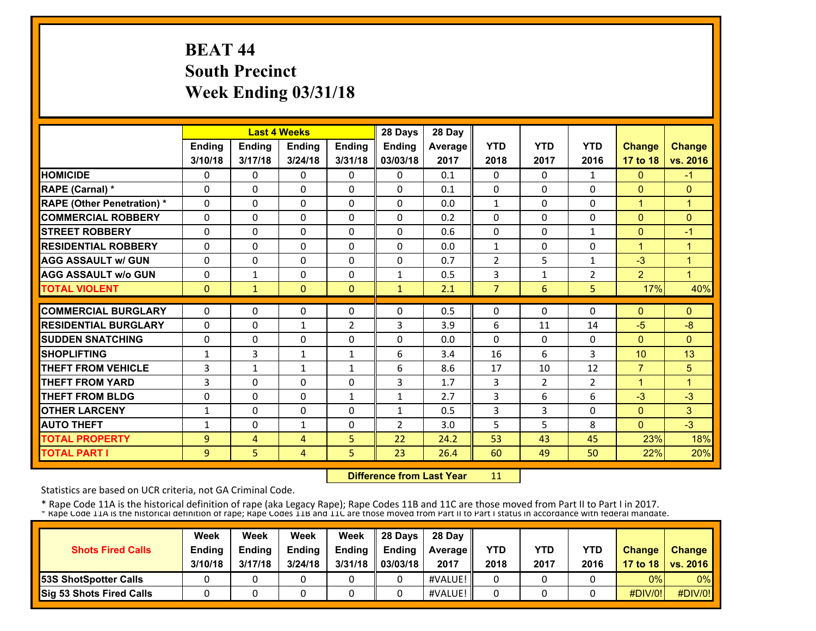## **BEAT 44 South Precinct Week Ending 03/31/18**

|                                                     |              |                   | <b>Last 4 Weeks</b>      |                              | 28 Days        | 28 Day     |                   |                |                |                  |                |
|-----------------------------------------------------|--------------|-------------------|--------------------------|------------------------------|----------------|------------|-------------------|----------------|----------------|------------------|----------------|
|                                                     | Ending       | <b>Ending</b>     | Ending                   | Ending                       | Ending         | Average    | <b>YTD</b>        | <b>YTD</b>     | <b>YTD</b>     | <b>Change</b>    | <b>Change</b>  |
|                                                     | 3/10/18      | 3/17/18           | 3/24/18                  | 3/31/18                      | 03/03/18       | 2017       | 2018              | 2017           | 2016           | 17 to 18         | vs. 2016       |
| <b>HOMICIDE</b>                                     | 0            | 0                 | $\Omega$                 | 0                            | $\Omega$       | 0.1        | $\Omega$          | 0              | 1              | $\mathbf{0}$     | $-1$           |
| <b>RAPE (Carnal) *</b>                              | $\Omega$     | 0                 | 0                        | $\mathbf{0}$                 | $\Omega$       | 0.1        | $\Omega$          | 0              | 0              | $\Omega$         | $\mathbf{0}$   |
| <b>RAPE (Other Penetration) *</b>                   | $\Omega$     | $\Omega$          | 0                        | $\mathbf{0}$                 | $\Omega$       | 0.0        | $\mathbf{1}$      | 0              | 0              | $\mathbf{1}$     | $\mathbf{1}$   |
| <b>COMMERCIAL ROBBERY</b>                           | $\Omega$     | 0                 | 0                        | $\mathbf{0}$                 | $\Omega$       | 0.2        | $\Omega$          | 0              | 0              | $\Omega$         | $\Omega$       |
| <b>STREET ROBBERY</b>                               | $\Omega$     | 0                 | 0                        | 0                            | $\Omega$       | 0.6        | 0                 | 0              | $\mathbf{1}$   | $\mathbf{0}$     | $-1$           |
| <b>RESIDENTIAL ROBBERY</b>                          | $\Omega$     | $\Omega$          | $\Omega$                 | $\Omega$                     | $\Omega$       | 0.0        | $\mathbf{1}$      | 0              | 0              | $\mathbf{1}$     | $\overline{1}$ |
| <b>AGG ASSAULT w/ GUN</b>                           | $\Omega$     | $\Omega$          | $\Omega$                 | $\Omega$                     | 0              | 0.7        | $\overline{2}$    | 5              | $\mathbf{1}$   | $-3$             | $\overline{1}$ |
| <b>AGG ASSAULT w/o GUN</b>                          | $\Omega$     | $\mathbf{1}$      | $\Omega$                 | $\Omega$                     | $\mathbf{1}$   | 0.5        | 3                 | $\mathbf{1}$   | $\overline{2}$ | $\overline{2}$   | $\overline{1}$ |
| <b>TOTAL VIOLENT</b>                                | $\mathbf{0}$ | $\mathbf{1}$      | $\Omega$                 | $\mathbf{0}$                 | $\mathbf{1}$   | 2.1        | $\overline{7}$    | 6              | 5              | 17%              | 40%            |
| <b>COMMERCIAL BURGLARY</b>                          | $\Omega$     | $\Omega$          | 0                        | $\mathbf{0}$                 | 0              | 0.5        | 0                 | 0              | 0              | $\Omega$         | $\Omega$       |
| <b>RESIDENTIAL BURGLARY</b>                         | $\mathbf{0}$ | 0                 |                          |                              | 3              | 3.9        |                   |                | 14             | $-5$             | $-8$           |
| <b>SUDDEN SNATCHING</b>                             |              | $\Omega$          | $\mathbf{1}$<br>$\Omega$ | 2<br>$\Omega$                | $\Omega$       | 0.0        | 6<br>$\mathbf{0}$ | 11<br>$\Omega$ | 0              | $\Omega$         | $\mathbf{0}$   |
| <b>SHOPLIFTING</b>                                  | 0            | 3                 |                          |                              | 6              |            | 16                | 6              | 3              | 10               | 13             |
|                                                     | $\mathbf{1}$ |                   | $\mathbf{1}$             | $\mathbf{1}$                 | 6              | 3.4        |                   | 10             |                | $\overline{7}$   | 5              |
| <b>THEFT FROM VEHICLE</b><br><b>THEFT FROM YARD</b> | 3            | $\mathbf{1}$<br>0 | $\mathbf{1}$             | $\mathbf{1}$<br>$\mathbf{0}$ |                | 8.6<br>1.7 | 17                |                | 12             | $\mathbf{1}$     | 1              |
|                                                     | 3            |                   | 0<br>$\Omega$            |                              | 3<br>1         |            | 3                 | 2<br>6         | $\overline{2}$ |                  | $-3$           |
| <b>THEFT FROM BLDG</b><br><b>OTHER LARCENY</b>      | 0            | 0<br>$\Omega$     | $\Omega$                 | $\mathbf{1}$<br>$\Omega$     | 1              | 2.7<br>0.5 | 3<br>3            | 3              | 6<br>$\Omega$  | $-3$<br>$\Omega$ | 3              |
| <b>AUTO THEFT</b>                                   | 1            | $\Omega$          |                          | $\Omega$                     | $\overline{2}$ | 3.0        | 5                 | 5              | 8              | $\Omega$         | $-3$           |
|                                                     | 1            |                   | $\mathbf{1}$             |                              |                |            |                   |                |                |                  |                |
| <b>TOTAL PROPERTY</b>                               | 9            | 4                 | 4                        | 5                            | 22             | 24.2       | 53                | 43             | 45             | 23%              | 18%            |
| <b>TOTAL PART I</b>                                 | 9            | 5                 | 4                        | 5                            | 23             | 26.4       | 60                | 49             | 50             | 22%              | 20%            |

 **Difference from Last Year**11

Statistics are based on UCR criteria, not GA Criminal Code.

| <b>Shots Fired Calls</b>        | Week<br><b>Ending</b><br>3/10/18 | Week<br><b>Ending</b><br>3/17/18 | Week<br><b>Ending</b><br>3/24/18 | Week<br>Ending<br>3/31/18 | 28 Days<br><b>Endina</b><br>03/03/18 | 28 Day<br><b>Average II</b><br>2017 | YTD<br>2018 | YTD<br>2017 | <b>YTD</b><br>2016 | <b>Change</b>  | <b>Change</b><br>17 to 18   vs. 2016 |
|---------------------------------|----------------------------------|----------------------------------|----------------------------------|---------------------------|--------------------------------------|-------------------------------------|-------------|-------------|--------------------|----------------|--------------------------------------|
| <b>153S ShotSpotter Calls</b>   |                                  |                                  |                                  |                           |                                      | #VALUE!                             |             |             |                    | 0%             | $0\%$                                |
| <b>Sig 53 Shots Fired Calls</b> |                                  |                                  |                                  |                           |                                      | #VALUE!                             |             |             |                    | <b>#DIV/0!</b> | #DIV/0!                              |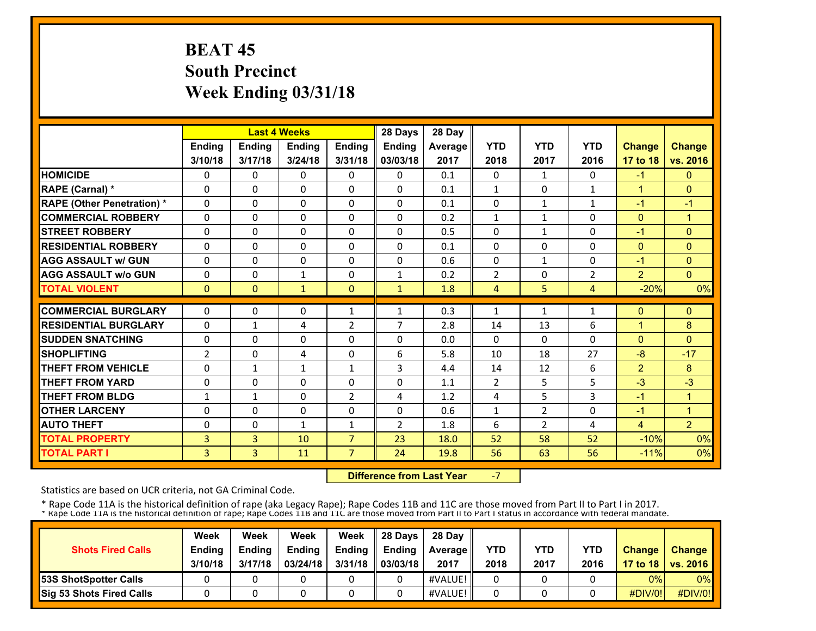## **BEAT 45 South Precinct Week Ending 03/31/18**

|                                   |                |                | <b>Last 4 Weeks</b> |                | 28 Days        | 28 Day  |                |                |                |                |                |
|-----------------------------------|----------------|----------------|---------------------|----------------|----------------|---------|----------------|----------------|----------------|----------------|----------------|
|                                   | <b>Ending</b>  | <b>Ending</b>  | Ending              | <b>Ending</b>  | Ending         | Average | <b>YTD</b>     | <b>YTD</b>     | <b>YTD</b>     | <b>Change</b>  | <b>Change</b>  |
|                                   | 3/10/18        | 3/17/18        | 3/24/18             | 3/31/18        | 03/03/18       | 2017    | 2018           | 2017           | 2016           | 17 to 18       | vs. 2016       |
| <b>HOMICIDE</b>                   | 0              | 0              | $\mathbf{0}$        | 0              | $\mathbf{0}$   | 0.1     | $\Omega$       | $\mathbf{1}$   | 0              | $-1$           | $\mathbf{0}$   |
| RAPE (Carnal) *                   | 0              | 0              | $\Omega$            | $\Omega$       | $\Omega$       | 0.1     | $\mathbf{1}$   | $\Omega$       | $\mathbf{1}$   | $\mathbf{1}$   | $\Omega$       |
| <b>RAPE (Other Penetration)</b> * | $\Omega$       | 0              | $\Omega$            | $\Omega$       | $\Omega$       | 0.1     | $\Omega$       | $\mathbf{1}$   | $\mathbf{1}$   | $-1$           | $-1$           |
| <b>COMMERCIAL ROBBERY</b>         | 0              | 0              | $\Omega$            | $\Omega$       | $\Omega$       | 0.2     | $\mathbf{1}$   | $\mathbf{1}$   | 0              | $\mathbf{0}$   | 1              |
| <b>ISTREET ROBBERY</b>            | $\Omega$       | 0              | $\Omega$            | $\Omega$       | $\mathbf 0$    | 0.5     | $\Omega$       | $\mathbf{1}$   | $\Omega$       | $-1$           | $\Omega$       |
| <b>RESIDENTIAL ROBBERY</b>        | 0              | 0              | $\mathbf{0}$        | $\Omega$       | 0              | 0.1     | $\mathbf{0}$   | $\Omega$       | 0              | $\mathbf{0}$   | $\Omega$       |
| <b>AGG ASSAULT w/ GUN</b>         | 0              | 0              | $\mathbf{0}$        | $\Omega$       | $\Omega$       | 0.6     | $\Omega$       | $\mathbf{1}$   | 0              | $-1$           | $\Omega$       |
| <b>AGG ASSAULT w/o GUN</b>        | 0              | 0              | $\mathbf{1}$        | 0              | $\mathbf{1}$   | 0.2     | $\overline{2}$ | 0              | $\overline{2}$ | $\overline{2}$ | $\mathbf{0}$   |
| <b>TOTAL VIOLENT</b>              | $\mathbf{0}$   | $\mathbf{0}$   | $\mathbf{1}$        | $\mathbf{0}$   | $\mathbf{1}$   | 1.8     | 4              | 5              | 4              | $-20%$         | 0%             |
| <b>COMMERCIAL BURGLARY</b>        | 0              | 0              | $\mathbf{0}$        | $\mathbf{1}$   | 1              | 0.3     | $\mathbf{1}$   | $\mathbf{1}$   | $\mathbf{1}$   | $\mathbf{0}$   | $\Omega$       |
| <b>RESIDENTIAL BURGLARY</b>       |                |                |                     |                | 7              |         |                |                |                | $\mathbf{1}$   |                |
|                                   | 0              | $\mathbf{1}$   | 4                   | 2              |                | 2.8     | 14             | 13             | 6              |                | 8              |
| <b>SUDDEN SNATCHING</b>           | 0              | 0              | $\Omega$            | $\Omega$       | $\Omega$       | 0.0     | $\Omega$       | $\Omega$       | $\Omega$       | $\Omega$       | $\Omega$       |
| <b>SHOPLIFTING</b>                | $\overline{2}$ | 0              | 4                   | $\Omega$       | 6              | 5.8     | 10             | 18             | 27             | $-8$           | $-17$          |
| <b>THEFT FROM VEHICLE</b>         | 0              | $\mathbf{1}$   | $\mathbf{1}$        | $\mathbf{1}$   | 3              | 4.4     | 14             | 12             | 6              | $\overline{2}$ | 8              |
| <b>THEFT FROM YARD</b>            | 0              | 0              | $\Omega$            | 0              | $\Omega$       | 1.1     | $\overline{2}$ | 5              | 5              | $-3$           | $-3$           |
| <b>THEFT FROM BLDG</b>            | 1              | $\mathbf{1}$   | $\Omega$            | 2              | 4              | 1.2     | 4              | 5              | 3              | $-1$           | 1              |
| <b>OTHER LARCENY</b>              | 0              | 0              | $\Omega$            | $\Omega$       | $\Omega$       | 0.6     | $\mathbf{1}$   | $\overline{2}$ | $\Omega$       | $-1$           | $\mathbf{1}$   |
| <b>AUTO THEFT</b>                 | 0              | 0              | $\mathbf{1}$        | $\mathbf{1}$   | $\overline{2}$ | 1.8     | 6              | $\overline{2}$ | 4              | 4              | $\overline{2}$ |
| <b>TOTAL PROPERTY</b>             | 3              | $\overline{3}$ | 10                  | $\overline{7}$ | 23             | 18.0    | 52             | 58             | 52             | $-10%$         | 0%             |
| <b>TOTAL PART I</b>               | 3              | $\overline{3}$ | 11                  | 7              | 24             | 19.8    | 56             | 63             | 56             | $-11%$         | 0%             |

 **Difference from Last Year**‐7

Statistics are based on UCR criteria, not GA Criminal Code.

| <b>Shots Fired Calls</b>        | Week<br><b>Ending</b><br>3/10/18 | Week<br><b>Endina</b><br>3/17/18 | Week<br><b>Ending</b><br>03/24/18 | Week<br><b>Endina</b><br>3/31/18 | 28 Davs<br><b>Ending</b><br>03/03/18 | 28 Day<br><b>Average II</b><br>2017 | YTD<br>2018 | YTD<br>2017 | <b>YTD</b><br>2016 | <b>Change</b> | Change<br>17 to 18   vs. 2016 |
|---------------------------------|----------------------------------|----------------------------------|-----------------------------------|----------------------------------|--------------------------------------|-------------------------------------|-------------|-------------|--------------------|---------------|-------------------------------|
| <b>153S ShotSpotter Calls</b>   |                                  |                                  |                                   |                                  |                                      | #VALUE!                             |             |             |                    | 0%            | $0\%$                         |
| <b>Sig 53 Shots Fired Calls</b> |                                  |                                  |                                   |                                  |                                      | #VALUE!                             |             |             |                    | #DIV/0!       | #DIV/0!                       |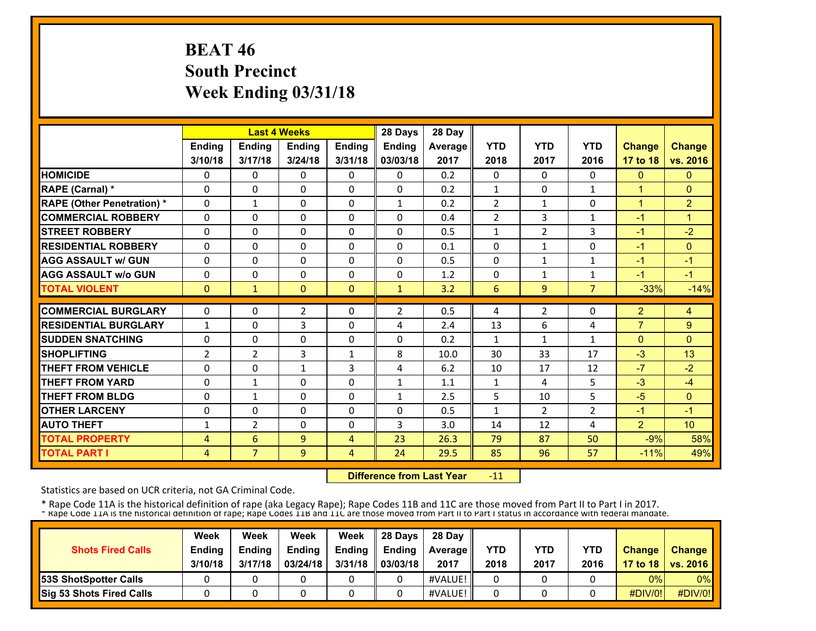# **BEAT 46 South Precinct Week Ending 03/31/18**

|                                   |                |                | <b>Last 4 Weeks</b> |               | 28 Days       | 28 Day  |                |                |                |                |                 |
|-----------------------------------|----------------|----------------|---------------------|---------------|---------------|---------|----------------|----------------|----------------|----------------|-----------------|
|                                   | Ending         | Ending         | Ending              | <b>Ending</b> | <b>Ending</b> | Average | <b>YTD</b>     | <b>YTD</b>     | <b>YTD</b>     | <b>Change</b>  | <b>Change</b>   |
|                                   | 3/10/18        | 3/17/18        | 3/24/18             | 3/31/18       | 03/03/18      | 2017    | 2018           | 2017           | 2016           | 17 to 18       | vs. 2016        |
| <b>HOMICIDE</b>                   | 0              | 0              | $\Omega$            | 0             | $\Omega$      | 0.2     | $\Omega$       | $\Omega$       | 0              | $\mathbf{0}$   | $\mathbf{0}$    |
| RAPE (Carnal) *                   | $\Omega$       | $\Omega$       | 0                   | $\mathbf{0}$  | $\Omega$      | 0.2     | $\mathbf{1}$   | $\Omega$       | $\mathbf{1}$   | $\overline{1}$ | $\Omega$        |
| <b>RAPE (Other Penetration)</b> * | $\Omega$       | $\mathbf{1}$   | $\Omega$            | $\Omega$      | 1             | 0.2     | $\overline{2}$ | 1              | 0              | $\overline{1}$ | $\overline{2}$  |
| <b>COMMERCIAL ROBBERY</b>         | $\Omega$       | 0              | 0                   | $\Omega$      | $\Omega$      | 0.4     | $\overline{2}$ | 3              | 1              | $-1$           | $\overline{1}$  |
| <b>STREET ROBBERY</b>             | 0              | $\Omega$       | 0                   | $\mathbf{0}$  | $\Omega$      | 0.5     | 1              | $\overline{2}$ | 3              | -1             | $-2$            |
| <b>RESIDENTIAL ROBBERY</b>        | $\Omega$       | $\Omega$       | $\Omega$            | $\Omega$      | $\Omega$      | 0.1     | $\Omega$       | $\mathbf{1}$   | 0              | $-1$           | $\mathbf{0}$    |
| <b>AGG ASSAULT w/ GUN</b>         | $\Omega$       | $\Omega$       | $\Omega$            | $\Omega$      | $\Omega$      | 0.5     | $\Omega$       | 1              | $\mathbf{1}$   | $-1$           | $-1$            |
| <b>AGG ASSAULT w/o GUN</b>        | $\Omega$       | $\Omega$       | $\Omega$            | $\mathbf{0}$  | $\Omega$      | 1.2     | 0              | 1              | 1              | $-1$           | $-1$            |
| <b>TOTAL VIOLENT</b>              | $\mathbf{0}$   | $\mathbf{1}$   | $\Omega$            | $\mathbf{0}$  | $\mathbf{1}$  | 3.2     | 6              | 9              | $\overline{7}$ | $-33%$         | $-14%$          |
| <b>COMMERCIAL BURGLARY</b>        | $\Omega$       | 0              | $\overline{2}$      | 0             | 2             | 0.5     | 4              | 2              | 0              | $\overline{2}$ | 4               |
| <b>RESIDENTIAL BURGLARY</b>       | $\mathbf{1}$   | $\Omega$       | 3                   | $\Omega$      | 4             | 2.4     | 13             | 6              | 4              | $\overline{7}$ | 9               |
| <b>SUDDEN SNATCHING</b>           | $\Omega$       | $\Omega$       | $\Omega$            | $\Omega$      | $\Omega$      | 0.2     | 1              | $\mathbf{1}$   | 1              | $\Omega$       | $\Omega$        |
| <b>SHOPLIFTING</b>                | $\overline{2}$ | $\overline{2}$ | 3                   | $\mathbf{1}$  | 8             | 10.0    | 30             | 33             | 17             | $-3$           | 13              |
| <b>THEFT FROM VEHICLE</b>         | $\Omega$       | $\Omega$       | $\mathbf{1}$        | 3             | 4             | 6.2     | 10             | 17             | 12             | $-7$           | $-2$            |
| <b>THEFT FROM YARD</b>            | $\Omega$       | $\mathbf{1}$   | $\Omega$            | $\Omega$      | $\mathbf{1}$  | 1.1     | $\mathbf{1}$   | 4              | 5              | $-3$           | $-4$            |
| <b>THEFT FROM BLDG</b>            | $\Omega$       | $\mathbf{1}$   | $\Omega$            | $\Omega$      | $\mathbf{1}$  | 2.5     | 5              | 10             | 5              | $-5$           | $\Omega$        |
| <b>OTHER LARCENY</b>              | 0              | $\Omega$       | $\Omega$            | $\Omega$      | 0             | 0.5     | $\mathbf{1}$   | $\mathcal{P}$  | $\overline{2}$ | $-1$           | $-1$            |
| <b>AUTO THEFT</b>                 | 1              | $\overline{2}$ | $\Omega$            | $\Omega$      | 3             | 3.0     | 14             | 12             | 4              | $\overline{2}$ | 10 <sup>1</sup> |
| <b>TOTAL PROPERTY</b>             | 4              | 6              | 9                   | 4             | 23            | 26.3    | 79             | 87             | 50             | $-9%$          | 58%             |
| <b>TOTAL PART I</b>               | $\overline{4}$ | $\overline{7}$ | 9                   | 4             | 24            | 29.5    | 85             | 96             | 57             | $-11%$         | 49%             |

 **Difference from Last Year**‐11

Statistics are based on UCR criteria, not GA Criminal Code.

|                                 | Week          | Week          | Week          | Week    | 28 Davs       | 28 Day            |      |      |            |               |                     |
|---------------------------------|---------------|---------------|---------------|---------|---------------|-------------------|------|------|------------|---------------|---------------------|
| <b>Shots Fired Calls</b>        | <b>Ending</b> | <b>Endina</b> | <b>Ending</b> | Ending  | <b>Endina</b> | <b>Average</b> II | YTD  | YTD  | <b>YTD</b> | <b>Change</b> | <b>Change</b>       |
|                                 | 3/10/18       | 3/17/18       | 03/24/18      | 3/31/18 | 03/03/18      | 2017              | 2018 | 2017 | 2016       |               | 17 to 18   vs. 2016 |
| <b>53S ShotSpotter Calls</b>    |               |               |               |         |               | #VALUE!           |      |      |            | 0%            | $0\%$               |
| <b>Sig 53 Shots Fired Calls</b> |               |               |               |         |               | #VALUE!           |      |      |            | #DIV/0!       | #DIV/0!             |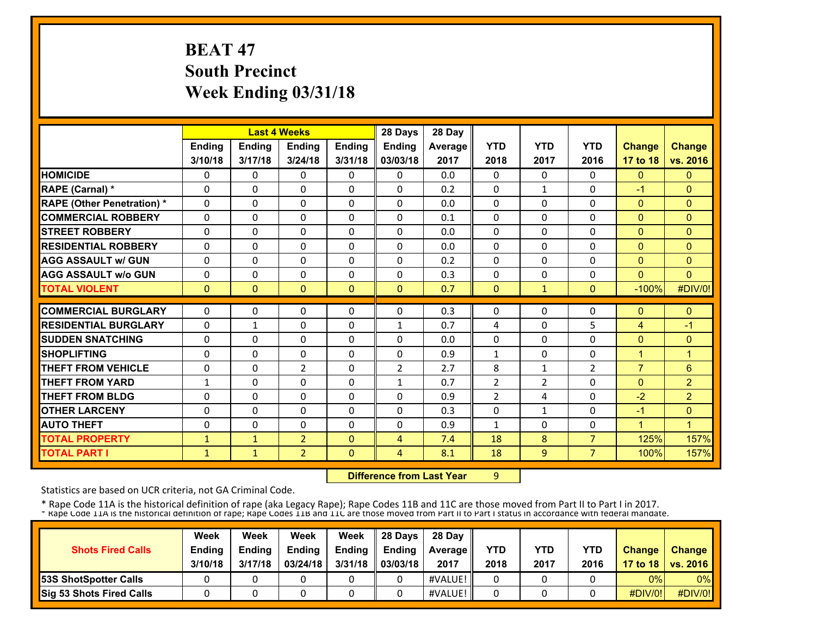# **BEAT 47 South Precinct Week Ending 03/31/18**

|                                   |              |              | <b>Last 4 Weeks</b> |               | 28 Days        | 28 Day  |                |                |                |                |                |
|-----------------------------------|--------------|--------------|---------------------|---------------|----------------|---------|----------------|----------------|----------------|----------------|----------------|
|                                   | Ending       | Ending       | Ending              | <b>Ending</b> | Ending         | Average | <b>YTD</b>     | <b>YTD</b>     | <b>YTD</b>     | Change         | <b>Change</b>  |
|                                   | 3/10/18      | 3/17/18      | 3/24/18             | 3/31/18       | 03/03/18       | 2017    | 2018           | 2017           | 2016           | 17 to 18       | vs. 2016       |
| <b>HOMICIDE</b>                   | 0            | 0            | $\mathbf{0}$        | $\Omega$      | $\mathbf{0}$   | 0.0     | 0              | $\Omega$       | 0              | $\mathbf{0}$   | $\mathbf{0}$   |
| <b>RAPE (Carnal) *</b>            | 0            | 0            | $\mathbf{0}$        | 0             | $\Omega$       | 0.2     | 0              | $\mathbf{1}$   | 0              | $-1$           | $\Omega$       |
| <b>RAPE (Other Penetration) *</b> | $\Omega$     | $\Omega$     | $\Omega$            | $\Omega$      | $\Omega$       | 0.0     | 0              | $\Omega$       | $\Omega$       | $\mathbf{0}$   | $\mathbf{0}$   |
| <b>COMMERCIAL ROBBERY</b>         | $\Omega$     | $\Omega$     | $\mathbf{0}$        | 0             | $\Omega$       | 0.1     | 0              | 0              | $\Omega$       | $\mathbf{0}$   | $\Omega$       |
| <b>STREET ROBBERY</b>             | 0            | $\Omega$     | $\mathbf{0}$        | 0             | $\Omega$       | 0.0     | 0              | $\Omega$       | 0              | $\mathbf{0}$   | $\mathbf{0}$   |
| <b>RESIDENTIAL ROBBERY</b>        | $\Omega$     | $\Omega$     | $\Omega$            | $\Omega$      | $\Omega$       | 0.0     | $\Omega$       | 0              | $\Omega$       | $\mathbf{0}$   | $\Omega$       |
| <b>AGG ASSAULT w/ GUN</b>         | $\Omega$     | $\Omega$     | $\Omega$            | $\Omega$      | $\Omega$       | 0.2     | $\Omega$       | 0              | $\Omega$       | $\mathbf{0}$   | $\Omega$       |
| <b>AGG ASSAULT w/o GUN</b>        | $\Omega$     | 0            | $\Omega$            | $\Omega$      | $\Omega$       | 0.3     | $\Omega$       | 0              | $\Omega$       | $\Omega$       | $\Omega$       |
| <b>TOTAL VIOLENT</b>              | $\mathbf{0}$ | $\Omega$     | $\mathbf{0}$        | $\Omega$      | $\Omega$       | 0.7     | $\Omega$       | $\mathbf{1}$   | $\mathbf{0}$   | $-100%$        | #DIV/0!        |
| <b>COMMERCIAL BURGLARY</b>        | 0            | $\Omega$     | $\mathbf{0}$        | $\Omega$      | $\Omega$       |         | 0              | 0              | 0              | $\mathbf{0}$   | $\Omega$       |
|                                   |              |              |                     |               |                | 0.3     |                |                |                |                |                |
| <b>RESIDENTIAL BURGLARY</b>       | 0            | $\mathbf{1}$ | $\mathbf{0}$        | 0             | 1              | 0.7     | 4              | 0              | 5              | $\overline{4}$ | $-1$           |
| <b>SUDDEN SNATCHING</b>           | $\Omega$     | $\Omega$     | $\Omega$            | $\Omega$      | $\Omega$       | 0.0     | $\Omega$       | 0              | $\Omega$       | $\Omega$       | $\mathbf{0}$   |
| <b>SHOPLIFTING</b>                | 0            | 0            | $\mathbf{0}$        | 0             | 0              | 0.9     | 1              | 0              | 0              | $\mathbf{1}$   | $\mathbf{1}$   |
| <b>THEFT FROM VEHICLE</b>         | 0            | 0            | $\overline{2}$      | $\Omega$      | $\overline{2}$ | 2.7     | 8              | $\mathbf{1}$   | $\overline{2}$ | $\overline{7}$ | $6\phantom{1}$ |
| <b>THEFT FROM YARD</b>            | $\mathbf{1}$ | 0            | $\Omega$            | 0             | $\mathbf{1}$   | 0.7     | $\overline{2}$ | $\overline{2}$ | 0              | $\mathbf{0}$   | $\overline{2}$ |
| <b>THEFT FROM BLDG</b>            | 0            | 0            | $\Omega$            | 0             | 0              | 0.9     | $\overline{2}$ | 4              | $\Omega$       | $-2$           | $\overline{2}$ |
| <b>OTHER LARCENY</b>              | $\Omega$     | $\Omega$     | $\Omega$            | $\Omega$      | $\Omega$       | 0.3     | $\Omega$       | $\mathbf{1}$   | $\Omega$       | $-1$           | $\mathbf{0}$   |
| <b>AUTO THEFT</b>                 | $\Omega$     | 0            | $\Omega$            | $\Omega$      | $\Omega$       | 0.9     | $\mathbf{1}$   | 0              | $\Omega$       | $\overline{1}$ | 1              |
| <b>TOTAL PROPERTY</b>             | $\mathbf{1}$ | $\mathbf{1}$ | $\overline{2}$      | $\Omega$      | 4              | 7.4     | 18             | 8              | $\overline{7}$ | 125%           | 157%           |
| <b>TOTAL PART I</b>               | $\mathbf{1}$ | $\mathbf{1}$ | $\overline{2}$      | $\mathbf{0}$  | 4              | 8.1     | 18             | 9              | 7 <sup>7</sup> | 100%           | 157%           |

**19 Difference from Last Year** 9

Statistics are based on UCR criteria, not GA Criminal Code.

|                                 | Week          | Week          | Week          | Week          | 28 Days       | 28 Dav            |      |      |            |               |                     |
|---------------------------------|---------------|---------------|---------------|---------------|---------------|-------------------|------|------|------------|---------------|---------------------|
| <b>Shots Fired Calls</b>        | <b>Ending</b> | <b>Endina</b> | <b>Ending</b> | <b>Ending</b> | <b>Endina</b> | <b>Average II</b> | YTD  | YTD  | <b>YTD</b> | <b>Change</b> | <b>Change</b>       |
|                                 | 3/10/18       | 3/17/18       | 03/24/18      | 3/31/18       | 03/03/18      | 2017              | 2018 | 2017 | 2016       |               | 17 to 18   vs. 2016 |
| <b>153S ShotSpotter Calls</b>   |               |               |               |               |               | #VALUE!           |      |      |            | 0%            | $0\%$               |
| <b>Sig 53 Shots Fired Calls</b> |               |               |               |               |               | #VALUE!           |      |      |            | #DIV/0!       | #DIV/0!             |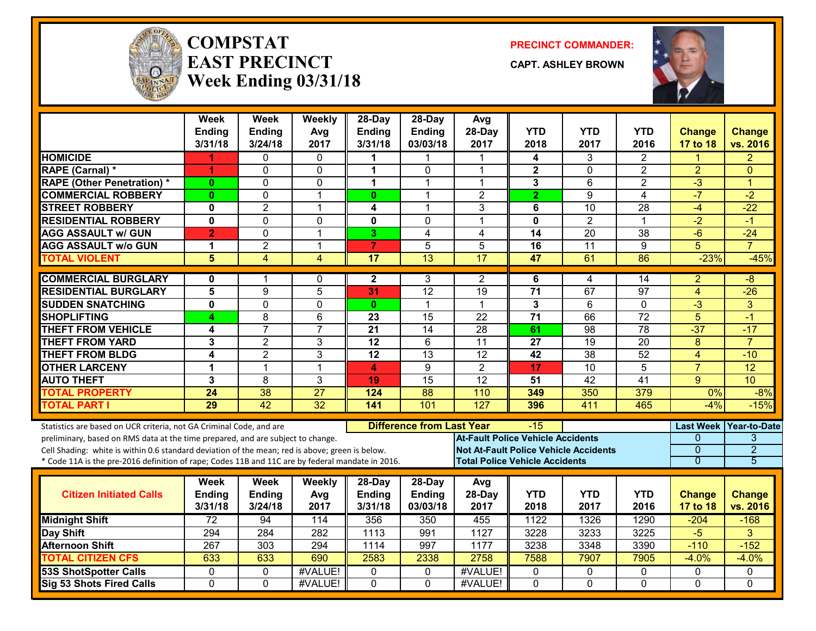

#### **COMPSTATEAST PRECINCTWeek Ending 03/31/18**

**PRECINCT COMMANDER:**

**CAPT. ASHLEY BROWN**



|                                                                                                                                                                                                                                                                                                                                                               | Week<br><b>Ending</b><br>3/31/18 | <b>Week</b><br><b>Ending</b><br>3/24/18 | Weekly<br>Avg<br>2017 | 28-Day<br><b>Ending</b><br>3/31/18   | 28-Day<br><b>Ending</b><br>03/03/18 | Avg<br>28-Day<br>2017                                                                                                             | YTD<br>2018        | <b>YTD</b><br>2017 | YTD<br>2016        | <b>Change</b><br><b>17 to 18</b> | <b>Change</b><br>vs. 2016                          |
|---------------------------------------------------------------------------------------------------------------------------------------------------------------------------------------------------------------------------------------------------------------------------------------------------------------------------------------------------------------|----------------------------------|-----------------------------------------|-----------------------|--------------------------------------|-------------------------------------|-----------------------------------------------------------------------------------------------------------------------------------|--------------------|--------------------|--------------------|----------------------------------|----------------------------------------------------|
| <b>HOMICIDE</b>                                                                                                                                                                                                                                                                                                                                               | 1                                | 0                                       | $\Omega$              |                                      | 1                                   |                                                                                                                                   | 4                  | 3                  | $\overline{2}$     |                                  | $\overline{2}$                                     |
| <b>RAPE (Carnal) *</b>                                                                                                                                                                                                                                                                                                                                        | 1                                | 0                                       | $\mathbf 0$           | 1                                    | $\Omega$                            | 1                                                                                                                                 | $\mathbf{2}$       | 0                  | $\overline{2}$     | $\overline{2}$                   | $\Omega$                                           |
| <b>RAPE (Other Penetration) *</b>                                                                                                                                                                                                                                                                                                                             | $\bf{0}$                         | 0                                       | $\mathbf 0$           | 1                                    | 1                                   | $\mathbf 1$                                                                                                                       | 3                  | $\overline{6}$     | $\overline{2}$     | $\overline{3}$                   | 1                                                  |
| <b>COMMERCIAL ROBBERY</b>                                                                                                                                                                                                                                                                                                                                     | $\mathbf{0}$                     | 0                                       | $\overline{1}$        | $\mathbf{0}$                         | 1                                   | $\overline{2}$                                                                                                                    | $\overline{2}$     | 9                  | 4                  | $-7$                             | $-2$                                               |
| <b>STREET ROBBERY</b>                                                                                                                                                                                                                                                                                                                                         | $\bf{0}$                         | $\overline{2}$                          | $\overline{1}$        | 4                                    | $\mathbf{1}$                        | 3                                                                                                                                 | 6                  | 10                 | 28                 | $-4$                             | $-22$                                              |
| <b>RESIDENTIAL ROBBERY</b>                                                                                                                                                                                                                                                                                                                                    | $\mathbf 0$                      | $\mathbf 0$                             | $\mathbf{0}$          | 0                                    | $\Omega$                            | $\mathbf 1$                                                                                                                       | $\mathbf 0$        | $\overline{2}$     | 1                  | $-2$                             | $-1$                                               |
| <b>AGG ASSAULT w/ GUN</b>                                                                                                                                                                                                                                                                                                                                     | $\overline{2}$                   | 0                                       | $\overline{1}$        | 3                                    | 4                                   | 4                                                                                                                                 | 14                 | $\overline{20}$    | 38                 | $-6$                             | $-24$                                              |
| <b>AGG ASSAULT w/o GUN</b>                                                                                                                                                                                                                                                                                                                                    | $\mathbf{1}$                     | $\overline{2}$                          | $\mathbf{1}$          | $\overline{7}$                       | $\overline{5}$                      | $\overline{5}$                                                                                                                    | $\overline{16}$    | 11                 | 9                  | $\overline{5}$                   | $\overline{7}$                                     |
| <b>TOTAL VIOLENT</b>                                                                                                                                                                                                                                                                                                                                          | 5                                | 4                                       | 4                     | 17                                   | 13                                  | 17                                                                                                                                | 47                 | 61                 | 86                 | $-23%$                           | $-45%$                                             |
| <b>COMMERCIAL BURGLARY</b>                                                                                                                                                                                                                                                                                                                                    | $\bf{0}$                         | 1                                       | $\mathbf{0}$          | $\mathbf{2}$                         | 3                                   | $\overline{2}$                                                                                                                    | 6                  | 4                  | 14                 | $\overline{2}$                   | $-8$                                               |
| <b>RESIDENTIAL BURGLARY</b>                                                                                                                                                                                                                                                                                                                                   | $\overline{\mathbf{5}}$          | $\overline{9}$                          | $\overline{5}$        | 31                                   | 12                                  | 19                                                                                                                                | $\overline{71}$    | 67                 | 97                 | $\overline{4}$                   | $-26$                                              |
| <b>SUDDEN SNATCHING</b>                                                                                                                                                                                                                                                                                                                                       | 0                                | 0                                       | 0                     | $\mathbf{0}$                         | $\mathbf 1$                         | 1                                                                                                                                 | $\mathbf{3}$       | 6                  | 0                  | $-3$                             | 3                                                  |
| <b>SHOPLIFTING</b>                                                                                                                                                                                                                                                                                                                                            | 4                                | 8                                       | $6\phantom{1}$        | 23                                   | 15                                  | $\overline{22}$                                                                                                                   | $\overline{71}$    | 66                 | $\overline{72}$    | 5                                | $-1$                                               |
| <b>THEFT FROM VEHICLE</b>                                                                                                                                                                                                                                                                                                                                     | 4                                | $\overline{7}$                          | $\overline{7}$        | $\overline{21}$                      | 14                                  | $\overline{28}$                                                                                                                   | 61                 | $\overline{98}$    | $\overline{78}$    | $-37$                            | $-17$                                              |
| <b>THEFT FROM YARD</b>                                                                                                                                                                                                                                                                                                                                        | 3                                | $\overline{2}$                          | 3                     | $\overline{12}$                      | 6                                   | $\overline{11}$                                                                                                                   | $\overline{27}$    | 19                 | $\overline{20}$    | 8                                | $\overline{7}$                                     |
| <b>THEFT FROM BLDG</b>                                                                                                                                                                                                                                                                                                                                        | 4                                | $\overline{2}$                          | 3                     | 12                                   | 13                                  | 12                                                                                                                                | 42                 | 38                 | 52                 | 4                                | $-10$                                              |
| <b>OTHER LARCENY</b>                                                                                                                                                                                                                                                                                                                                          | 1                                | $\mathbf{1}$                            | $\mathbf{1}$          | 4                                    | $\overline{9}$                      | $\overline{2}$                                                                                                                    | 17                 | 10                 | $\overline{5}$     | $\overline{7}$                   | 12                                                 |
| <b>AUTO THEFT</b>                                                                                                                                                                                                                                                                                                                                             | 3                                | 8                                       | 3                     | 19                                   | 15                                  | 12                                                                                                                                | 51                 | 42                 | 41                 | 9                                | 10                                                 |
| <b>TOTAL PROPERTY</b>                                                                                                                                                                                                                                                                                                                                         | 24                               | 38                                      | $\overline{27}$       | 124                                  | 88                                  | 110                                                                                                                               | 349                | 350                | 379                | 0%                               | $-8%$                                              |
| <b>TOTAL PART I</b>                                                                                                                                                                                                                                                                                                                                           | 29                               | 42                                      | 32                    | $\overline{141}$                     | 101                                 | $\overline{127}$                                                                                                                  | 396                | 411                | 465                | $-4%$                            | $-15%$                                             |
| Statistics are based on UCR criteria, not GA Criminal Code, and are<br>preliminary, based on RMS data at the time prepared, and are subject to change.<br>Cell Shading: white is within 0.6 standard deviation of the mean; red is above; green is below.<br>* Code 11A is the pre-2016 definition of rape; Codes 11B and 11C are by federal mandate in 2016. |                                  |                                         |                       |                                      | <b>Difference from Last Year</b>    | <b>At-Fault Police Vehicle Accidents</b><br><b>Not At-Fault Police Vehicle Accidents</b><br><b>Total Police Vehicle Accidents</b> | -15                |                    |                    | $\Omega$<br>0<br>$\overline{0}$  | Last Week Year-to-Date<br>3<br>$\overline{2}$<br>5 |
|                                                                                                                                                                                                                                                                                                                                                               |                                  |                                         |                       |                                      |                                     |                                                                                                                                   |                    |                    |                    |                                  |                                                    |
| <b>Citizen Initiated Calls</b>                                                                                                                                                                                                                                                                                                                                | Week<br>Ending<br>3/31/18        | <b>Week</b><br>Ending<br>3/24/18        | Weekly<br>Avg<br>2017 | $28-Day$<br><b>Ending</b><br>3/31/18 | 28-Day<br>Ending<br>03/03/18        | Avg<br>28-Day<br>2017                                                                                                             | <b>YTD</b><br>2018 | <b>YTD</b><br>2017 | <b>YTD</b><br>2016 | <b>Change</b><br>17 to 18        | <b>Change</b><br>vs. 2016                          |
| <b>Midnight Shift</b>                                                                                                                                                                                                                                                                                                                                         | $\overline{72}$                  | 94                                      | 114                   | 356                                  | 350                                 | 455                                                                                                                               | 1122               | 1326               | 1290               | $-204$                           | $-168$                                             |
| Day Shift                                                                                                                                                                                                                                                                                                                                                     | 294                              | 284                                     | 282                   | 1113                                 | 991                                 | 1127                                                                                                                              | 3228               | 3233               | 3225               | $-5$                             | 3                                                  |
| <b>Afternoon Shift</b>                                                                                                                                                                                                                                                                                                                                        | 267                              | 303                                     | 294                   | 1114                                 | 997                                 | 1177                                                                                                                              | 3238               | 3348               | 3390               | $-110$                           | $-152$                                             |
| <b>TOTAL CITIZEN CFS</b>                                                                                                                                                                                                                                                                                                                                      | 633                              | 633                                     | 690                   | 2583                                 | 2338                                | 2758                                                                                                                              | 7588               | 7907               | 7905               | $-4.0%$                          | $-4.0%$                                            |
| <b>53S ShotSpotter Calls</b>                                                                                                                                                                                                                                                                                                                                  | $\mathbf{0}$                     | 0                                       | #VALUE!               | $\mathbf{0}$                         | $\mathbf{0}$                        | #VALUE!                                                                                                                           | 0                  | $\mathbf{0}$       | $\Omega$           | $\mathbf{0}$                     | $\mathbf{0}$                                       |
| <b>Sig 53 Shots Fired Calls</b>                                                                                                                                                                                                                                                                                                                               | $\overline{0}$                   | $\overline{0}$                          | #VALUE!               | $\overline{0}$                       | $\overline{0}$                      | #VALUE!                                                                                                                           | $\overline{0}$     | $\overline{0}$     | $\overline{0}$     | $\Omega$                         | $\Omega$                                           |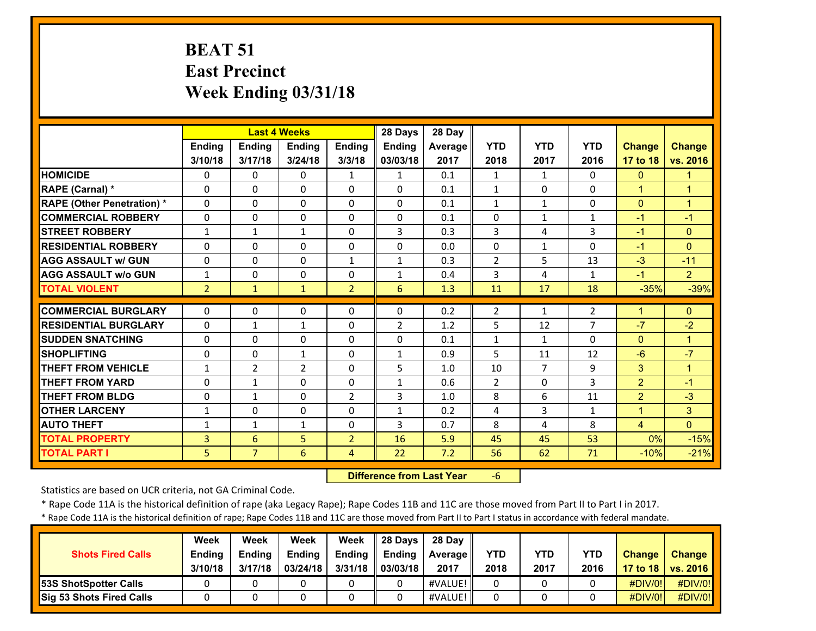# **BEAT 51 East PrecinctWeek Ending 03/31/18**

|                                   |                | <b>Last 4 Weeks</b> |              |                | 28 Days        | 28 Day  |                |                |                |                |                |
|-----------------------------------|----------------|---------------------|--------------|----------------|----------------|---------|----------------|----------------|----------------|----------------|----------------|
|                                   | Ending         | <b>Ending</b>       | Ending       | <b>Ending</b>  | Ending         | Average | <b>YTD</b>     | <b>YTD</b>     | <b>YTD</b>     | <b>Change</b>  | <b>Change</b>  |
|                                   | 3/10/18        | 3/17/18             | 3/24/18      | 3/3/18         | 03/03/18       | 2017    | 2018           | 2017           | 2016           | 17 to 18       | vs. 2016       |
| <b>HOMICIDE</b>                   | 0              | $\Omega$            | 0            | $\mathbf{1}$   | $\mathbf{1}$   | 0.1     | $\mathbf{1}$   | $\mathbf{1}$   | $\Omega$       | $\mathbf{0}$   | $\mathbf{1}$   |
| RAPE (Carnal) *                   | $\Omega$       | $\Omega$            | $\Omega$     | $\Omega$       | $\Omega$       | 0.1     | $\mathbf{1}$   | $\Omega$       | $\Omega$       | $\mathbf{1}$   | 1              |
| <b>RAPE (Other Penetration) *</b> | $\mathbf{0}$   | $\Omega$            | $\Omega$     | $\Omega$       | $\Omega$       | 0.1     | $\mathbf{1}$   | $\mathbf{1}$   | $\Omega$       | $\mathbf{0}$   | $\mathbf{1}$   |
| <b>COMMERCIAL ROBBERY</b>         | $\mathbf{0}$   | $\Omega$            | $\Omega$     | $\Omega$       | $\Omega$       | 0.1     | 0              | $\mathbf{1}$   | $\mathbf{1}$   | $-1$           | $-1$           |
| <b>STREET ROBBERY</b>             | $\mathbf{1}$   | $\mathbf{1}$        | $\mathbf{1}$ | $\Omega$       | 3              | 0.3     | 3              | 4              | 3              | $-1$           | $\Omega$       |
| <b>RESIDENTIAL ROBBERY</b>        | $\Omega$       | $\Omega$            | $\Omega$     | $\Omega$       | $\Omega$       | 0.0     | $\Omega$       | $\mathbf{1}$   | $\Omega$       | $-1$           | $\Omega$       |
| <b>AGG ASSAULT w/ GUN</b>         | $\Omega$       | $\Omega$            | $\Omega$     | $\mathbf{1}$   | 1              | 0.3     | $\overline{2}$ | 5              | 13             | $-3$           | $-11$          |
| <b>AGG ASSAULT w/o GUN</b>        | $\mathbf{1}$   | 0                   | $\Omega$     | 0              | 1              | 0.4     | 3              | 4              | 1              | $-1$           | $\overline{2}$ |
| <b>TOTAL VIOLENT</b>              | $\overline{2}$ | $\mathbf{1}$        | $\mathbf{1}$ | $\overline{2}$ | 6              | 1.3     | 11             | 17             | 18             | $-35%$         | $-39%$         |
| <b>COMMERCIAL BURGLARY</b>        | $\mathbf{0}$   | $\Omega$            | 0            | 0              | 0              | 0.2     | $\overline{2}$ | $\mathbf{1}$   | $\overline{2}$ | 1              | $\Omega$       |
| <b>RESIDENTIAL BURGLARY</b>       | $\Omega$       | $\mathbf{1}$        | $\mathbf{1}$ | $\Omega$       | $\overline{2}$ | 1.2     | 5              | 12             | $\overline{7}$ | $-7$           | $-2$           |
| <b>SUDDEN SNATCHING</b>           | $\mathbf{0}$   | $\Omega$            | $\Omega$     | $\Omega$       | $\Omega$       | 0.1     | $\mathbf{1}$   | $\mathbf{1}$   | $\Omega$       | $\Omega$       | 1              |
| <b>SHOPLIFTING</b>                | $\Omega$       | $\Omega$            | $\mathbf{1}$ | $\Omega$       | 1              | 0.9     | 5              | 11             | 12             | $-6$           | $-7$           |
| <b>THEFT FROM VEHICLE</b>         | $\mathbf{1}$   | 2                   | 2            | 0              | 5              | 1.0     | 10             | $\overline{7}$ | 9              | 3              | 1              |
| <b>THEFT FROM YARD</b>            | $\Omega$       | $\mathbf{1}$        | $\Omega$     | 0              | $\mathbf{1}$   | 0.6     | $\overline{2}$ | $\Omega$       | 3              | $\overline{2}$ | $-1$           |
| <b>THEFT FROM BLDG</b>            | 0              | $\mathbf{1}$        | $\Omega$     | $\overline{2}$ | 3              | 1.0     | 8              | 6              | 11             | $\overline{2}$ | $-3$           |
| <b>OTHER LARCENY</b>              | 1              | $\Omega$            | $\Omega$     | $\Omega$       | $\mathbf{1}$   | 0.2     | 4              | 3              | $\mathbf{1}$   | $\mathbf{1}$   | 3              |
| <b>AUTO THEFT</b>                 | 1              | $\mathbf{1}$        | $\mathbf{1}$ | $\Omega$       | 3              | 0.7     | 8              | 4              | 8              | 4              | $\Omega$       |
| <b>TOTAL PROPERTY</b>             | 3              | 6                   | 5            | $\overline{2}$ | 16             | 5.9     | 45             | 45             | 53             | 0%             | $-15%$         |
| <b>TOTAL PART I</b>               | 5              | $\overline{7}$      | 6            | 4              | 22             | 7.2     | 56             | 62             | 71             | $-10%$         | $-21%$         |

 **Difference from Last Year**‐6

Statistics are based on UCR criteria, not GA Criminal Code.

\* Rape Code 11A is the historical definition of rape (aka Legacy Rape); Rape Codes 11B and 11C are those moved from Part II to Part I in 2017.

\* Rape Code 11A is the historical definition of rape; Rape Codes 11B and 11C are those moved from Part II to Part I status in accordance with federal mandate.

|                                 | Week          | Week          | Week          | Week          | Il 28 Davs    | 28 Day     |      |      |            |               |                 |
|---------------------------------|---------------|---------------|---------------|---------------|---------------|------------|------|------|------------|---------------|-----------------|
| <b>Shots Fired Calls</b>        | <b>Ending</b> | <b>Ending</b> | <b>Ending</b> | <b>Ending</b> | <b>Endina</b> | Average II | YTD  | YTD  | <b>YTD</b> | <b>Change</b> | <b>Change</b>   |
|                                 | 3/10/18       | 3/17/18       | 03/24/18      | 3/31/18       | 03/03/18      | 2017       | 2018 | 2017 | 2016       | 17 to 18      | <b>VS. 2016</b> |
| <b>53S ShotSpotter Calls</b>    |               |               |               |               |               | #VALUE!    | 0    |      |            | $\#$ DIV/0!   | #DIV/0!         |
| <b>Sig 53 Shots Fired Calls</b> |               |               |               |               |               | #VALUE!    |      |      |            | $\#$ DIV/0!   | #DIV/0!         |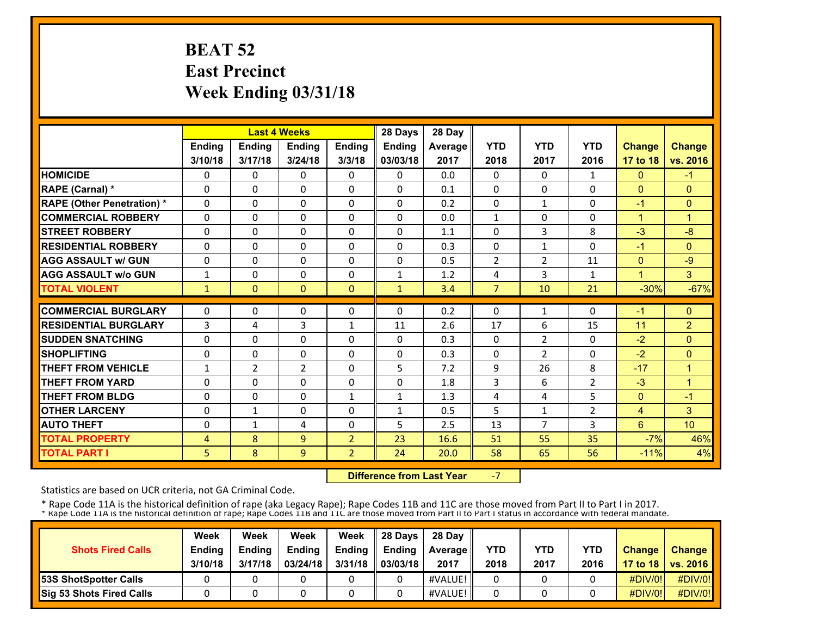# **BEAT 52 East Precinct Week Ending 03/31/18**

|                                   |                | <b>Last 4 Weeks</b> |                |                | 28 Days       | 28 Day  |                |                |                |                |                 |
|-----------------------------------|----------------|---------------------|----------------|----------------|---------------|---------|----------------|----------------|----------------|----------------|-----------------|
|                                   | <b>Ending</b>  | <b>Ending</b>       | <b>Endina</b>  | <b>Ending</b>  | <b>Ending</b> | Average | <b>YTD</b>     | <b>YTD</b>     | <b>YTD</b>     | <b>Change</b>  | <b>Change</b>   |
|                                   | 3/10/18        | 3/17/18             | 3/24/18        | 3/3/18         | 03/03/18      | 2017    | 2018           | 2017           | 2016           | 17 to 18       | vs. 2016        |
| <b>HOMICIDE</b>                   | 0              | 0                   | $\Omega$       | 0              | 0             | 0.0     | $\Omega$       | 0              | 1              | $\mathbf{0}$   | $-1$            |
| RAPE (Carnal) *                   | $\Omega$       | $\Omega$            | $\Omega$       | $\Omega$       | $\Omega$      | 0.1     | $\Omega$       | $\Omega$       | 0              | $\Omega$       | $\mathbf{0}$    |
| <b>RAPE (Other Penetration)</b> * | $\Omega$       | $\Omega$            | $\Omega$       | $\Omega$       | $\Omega$      | 0.2     | $\Omega$       | $\mathbf{1}$   | 0              | $-1$           | $\Omega$        |
| <b>COMMERCIAL ROBBERY</b>         | $\Omega$       | $\Omega$            | $\Omega$       | $\Omega$       | $\Omega$      | 0.0     | $\mathbf{1}$   | 0              | $\Omega$       | $\overline{1}$ | $\overline{1}$  |
| <b>ISTREET ROBBERY</b>            | $\Omega$       | $\Omega$            | $\Omega$       | $\Omega$       | $\Omega$      | 1.1     | $\Omega$       | 3              | 8              | $-3$           | $-8$            |
| <b>IRESIDENTIAL ROBBERY</b>       | $\Omega$       | 0                   | 0              | $\mathbf{0}$   | $\Omega$      | 0.3     | $\Omega$       | $\mathbf{1}$   | 0              | $-1$           | $\mathbf{0}$    |
| <b>AGG ASSAULT w/ GUN</b>         | $\Omega$       | 0                   | $\Omega$       | $\Omega$       | $\Omega$      | 0.5     | $\overline{2}$ | $\overline{2}$ | 11             | $\Omega$       | $-9$            |
| <b>AGG ASSAULT w/o GUN</b>        | $\mathbf{1}$   | $\Omega$            | $\Omega$       | $\Omega$       | $\mathbf{1}$  | 1.2     | 4              | 3              | 1              | 1              | $\overline{3}$  |
| <b>TOTAL VIOLENT</b>              | 1              | $\Omega$            | $\Omega$       | $\mathbf{0}$   | $\mathbf{1}$  | 3.4     | $\overline{7}$ | 10             | 21             | $-30%$         | $-67%$          |
| <b>COMMERCIAL BURGLARY</b>        | $\Omega$       | 0                   | 0              | $\mathbf{0}$   | $\Omega$      | 0.2     | 0              | $\mathbf{1}$   | 0              | -1             | $\Omega$        |
| <b>RESIDENTIAL BURGLARY</b>       | 3              | 4                   | 3              | $\mathbf{1}$   | 11            | 2.6     | 17             | 6              | 15             | 11             | $\overline{2}$  |
| <b>SUDDEN SNATCHING</b>           | $\Omega$       | 0                   | 0              | $\mathbf{0}$   | 0             | 0.3     | $\mathbf{0}$   | $\overline{2}$ | 0              | $-2$           | $\Omega$        |
| <b>SHOPLIFTING</b>                | $\Omega$       | 0                   | 0              | $\mathbf{0}$   | 0             | 0.3     | $\Omega$       | $\overline{2}$ | 0              | $-2$           | $\mathbf{0}$    |
| <b>THEFT FROM VEHICLE</b>         | $\mathbf{1}$   | $\overline{2}$      | $\overline{2}$ | $\mathbf{0}$   | 5             | 7.2     | 9              | 26             | 8              | $-17$          | $\overline{1}$  |
| <b>THEFT FROM YARD</b>            | 0              | $\Omega$            | $\Omega$       | $\Omega$       | 0             | 1.8     | 3              | 6              | $\overline{2}$ | $-3$           | 1               |
| <b>THEFT FROM BLDG</b>            | 0              | $\Omega$            | $\Omega$       | $\mathbf{1}$   | $\mathbf{1}$  | 1.3     | 4              | 4              | 5              | $\Omega$       | $-1$            |
| <b>OTHER LARCENY</b>              | 0              | $\mathbf{1}$        | $\Omega$       | $\mathbf{0}$   | $\mathbf{1}$  | 0.5     | 5              | $\mathbf{1}$   | 2              | 4              | 3               |
| <b>AUTO THEFT</b>                 | $\Omega$       | $\mathbf{1}$        | 4              | $\mathbf{0}$   | 5             | 2.5     | 13             | $\overline{7}$ | 3              | 6              | 10 <sup>1</sup> |
| <b>TOTAL PROPERTY</b>             | $\overline{4}$ | 8                   | 9              | 2              | 23            | 16.6    | 51             | 55             | 35             | $-7%$          | 46%             |
| <b>TOTAL PART I</b>               | 5.             | 8                   | 9              | $\overline{2}$ | 24            | 20.0    | 58             | 65             | 56             | $-11%$         | 4%              |

 **Difference from Last Year**‐7

Statistics are based on UCR criteria, not GA Criminal Code.

|                              | Week          | Week          | Week          | Week          | 28 Davs       | 28 Day         |      |      |            |               |                     |
|------------------------------|---------------|---------------|---------------|---------------|---------------|----------------|------|------|------------|---------------|---------------------|
| <b>Shots Fired Calls</b>     | <b>Ending</b> | <b>Ending</b> | <b>Ending</b> | <b>Ending</b> | <b>Ending</b> | <b>Average</b> | YTD  | YTD  | <b>YTD</b> | <b>Change</b> | <b>Change</b>       |
|                              | 3/10/18       | 3/17/18       | 03/24/18      | 3/31/18       | 03/03/18      | 2017           | 2018 | 2017 | 2016       |               | 17 to 18   vs. 2016 |
| <b>53S ShotSpotter Calls</b> |               |               |               |               |               | #VALUE!        |      |      |            | $\#$ DIV/0!   | #DIV/0!             |
| Sig 53 Shots Fired Calls     |               |               |               |               |               | #VALUE!        |      |      |            | #DIV/0!       | #DIV/0!             |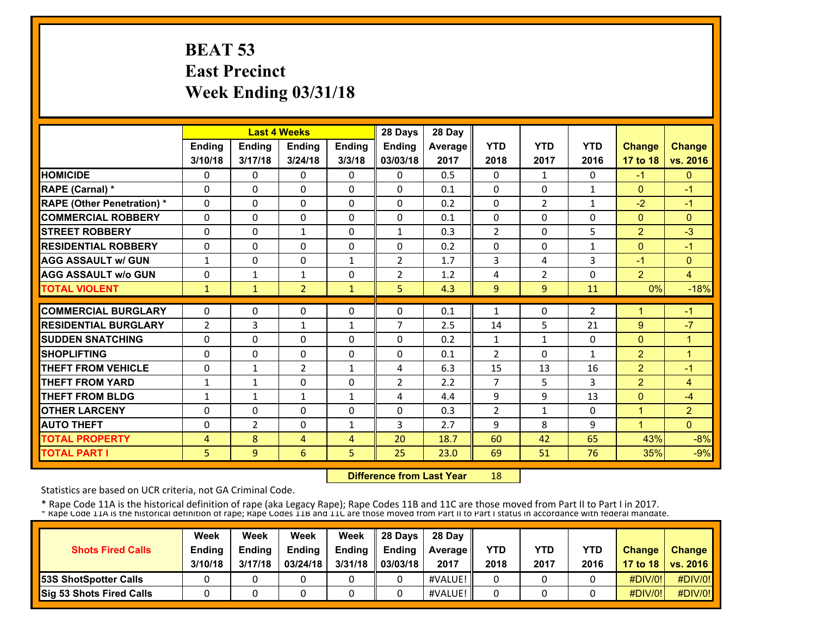# **BEAT 53 East Precinct Week Ending 03/31/18**

|                                   |                |                | <b>Last 4 Weeks</b> |                | 28 Days        | 28 Day  |                |                |              |                |                |
|-----------------------------------|----------------|----------------|---------------------|----------------|----------------|---------|----------------|----------------|--------------|----------------|----------------|
|                                   | <b>Ending</b>  | <b>Ending</b>  | <b>Endina</b>       | <b>Ending</b>  | <b>Ending</b>  | Average | <b>YTD</b>     | <b>YTD</b>     | <b>YTD</b>   | <b>Change</b>  | <b>Change</b>  |
|                                   | 3/10/18        | 3/17/18        | 3/24/18             | 3/3/18         | 03/03/18       | 2017    | 2018           | 2017           | 2016         | 17 to 18       | vs. 2016       |
| <b>HOMICIDE</b>                   | 0              | 0              | $\Omega$            | 0              | 0              | 0.5     | $\Omega$       | 1              | 0            | $-1$           | $\mathbf{0}$   |
| RAPE (Carnal) *                   | $\Omega$       | $\Omega$       | $\Omega$            | $\Omega$       | $\Omega$       | 0.1     | $\Omega$       | $\Omega$       | $\mathbf{1}$ | $\Omega$       | $-1$           |
| <b>RAPE (Other Penetration)</b> * | $\Omega$       | $\Omega$       | $\Omega$            | $\Omega$       | $\Omega$       | 0.2     | $\Omega$       | $\overline{2}$ | 1            | $-2$           | $-1$           |
| <b>COMMERCIAL ROBBERY</b>         | $\Omega$       | $\Omega$       | $\Omega$            | $\Omega$       | $\Omega$       | 0.1     | $\Omega$       | 0              | $\Omega$     | $\Omega$       | $\Omega$       |
| <b>ISTREET ROBBERY</b>            | $\Omega$       | $\Omega$       | $\mathbf{1}$        | $\Omega$       | $\mathbf{1}$   | 0.3     | $\overline{2}$ | 0              | 5            | $\overline{2}$ | $-3$           |
| <b>IRESIDENTIAL ROBBERY</b>       | $\Omega$       | 0              | 0                   | $\mathbf{0}$   | 0              | 0.2     | $\Omega$       | 0              | $\mathbf{1}$ | $\Omega$       | $-1$           |
| <b>AGG ASSAULT w/ GUN</b>         | $\mathbf{1}$   | $\Omega$       | $\Omega$            | $\mathbf{1}$   | $\overline{2}$ | 1.7     | 3              | 4              | 3            | $-1$           | $\mathbf{0}$   |
| <b>AGG ASSAULT w/o GUN</b>        | $\Omega$       | $\mathbf{1}$   | $\mathbf{1}$        | $\Omega$       | $\overline{2}$ | 1.2     | 4              | $\overline{2}$ | 0            | $\overline{2}$ | $\overline{4}$ |
| <b>TOTAL VIOLENT</b>              | 1              | $\mathbf{1}$   | $\overline{2}$      | $\mathbf{1}$   | 5              | 4.3     | 9              | 9              | 11           | 0%             | $-18%$         |
| <b>COMMERCIAL BURGLARY</b>        | $\Omega$       | 0              | 0                   | $\mathbf{0}$   | 0              | 0.1     | 1              | 0              | 2            | 1              | -1             |
| <b>RESIDENTIAL BURGLARY</b>       | $\overline{2}$ | 3              | $\mathbf{1}$        | $\mathbf{1}$   | $\overline{7}$ | 2.5     | 14             | 5              | 21           | 9              | $-7$           |
| <b>SUDDEN SNATCHING</b>           | $\Omega$       | $\Omega$       | 0                   | $\mathbf{0}$   | 0              | 0.2     | $\mathbf{1}$   | $\mathbf{1}$   | 0            | $\Omega$       | $\mathbf{1}$   |
| <b>SHOPLIFTING</b>                | $\Omega$       | 0              | 0                   | $\mathbf{0}$   | 0              | 0.1     | $\overline{2}$ | 0              | $\mathbf{1}$ | $\overline{2}$ | 1              |
| <b>THEFT FROM VEHICLE</b>         | $\Omega$       | $\mathbf{1}$   | $\overline{2}$      | $\mathbf{1}$   | 4              | 6.3     | 15             | 13             | 16           | $\overline{2}$ | $-1$           |
| <b>THEFT FROM YARD</b>            | 1              | $\mathbf{1}$   | $\Omega$            | $\Omega$       | $\overline{2}$ | 2.2     | 7              | 5              | 3            | $\overline{2}$ | 4              |
| <b>THEFT FROM BLDG</b>            | 1              | $\mathbf{1}$   | $\mathbf{1}$        | $\mathbf{1}$   | 4              | 4.4     | 9              | 9              | 13           | $\Omega$       | $-4$           |
| <b>OTHER LARCENY</b>              | 0              | 0              | $\Omega$            | $\mathbf{0}$   | 0              | 0.3     | $\overline{2}$ | 1              | 0            | $\mathbf{1}$   | $\overline{2}$ |
| <b>AUTO THEFT</b>                 | $\Omega$       | $\overline{2}$ | 0                   | $\mathbf{1}$   | 3              | 2.7     | 9              | 8              | 9            | 1              | $\Omega$       |
| <b>TOTAL PROPERTY</b>             | 4              | 8              | 4                   | $\overline{4}$ | 20             | 18.7    | 60             | 42             | 65           | 43%            | $-8%$          |
| <b>TOTAL PART I</b>               | 5.             | 9              | 6                   | 5              | 25             | 23.0    | 69             | 51             | 76           | 35%            | $-9%$          |

 **Difference from Last Year**18

Statistics are based on UCR criteria, not GA Criminal Code.

| <b>Shots Fired Calls</b>        | Week<br><b>Ending</b><br>3/10/18 | Week<br><b>Endina</b><br>3/17/18 | Week<br><b>Ending</b><br>03/24/18 | Week<br>Ending<br>3/31/18 | 28 Davs<br><b>Endina</b><br>03/03/18 | 28 Day<br><b>Average II</b><br>2017 | YTD<br>2018 | YTD<br>2017 | <b>YTD</b><br>2016 | <b>Change</b> | <b>Change</b><br>17 to 18   vs. 2016 |
|---------------------------------|----------------------------------|----------------------------------|-----------------------------------|---------------------------|--------------------------------------|-------------------------------------|-------------|-------------|--------------------|---------------|--------------------------------------|
| <b>153S ShotSpotter Calls</b>   |                                  |                                  |                                   |                           |                                      | #VALUE!                             |             |             |                    | #DIV/0!       | $\#$ DIV/0!                          |
| <b>Sig 53 Shots Fired Calls</b> |                                  |                                  |                                   |                           |                                      | #VALUE!                             |             |             |                    | $\#$ DIV/0!   | #DIV/0!                              |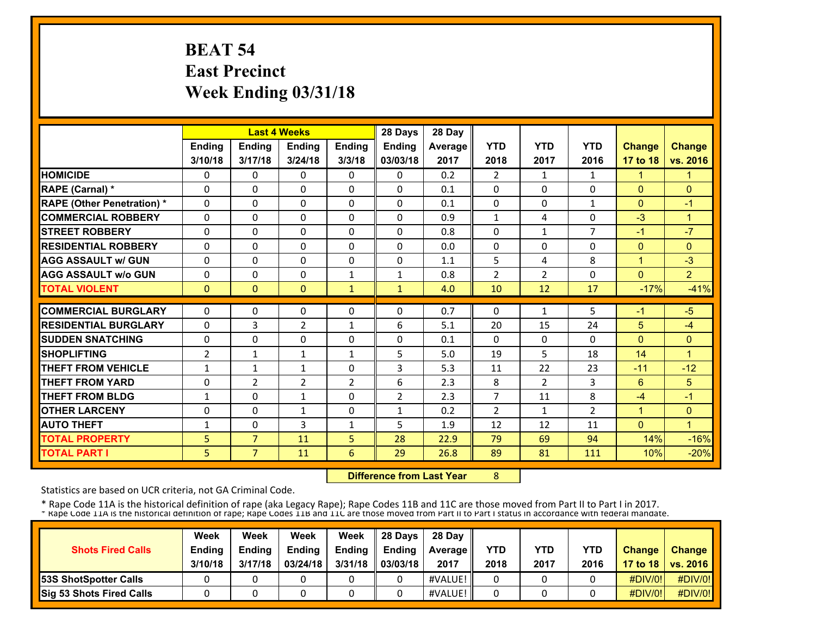# **BEAT 54 East Precinct Week Ending 03/31/18**

|                                   |               |                | <b>Last 4 Weeks</b> |                | 28 Days        | 28 Day  |                |                |                |               |                |
|-----------------------------------|---------------|----------------|---------------------|----------------|----------------|---------|----------------|----------------|----------------|---------------|----------------|
|                                   | <b>Ending</b> | <b>Ending</b>  | <b>Endina</b>       | <b>Ending</b>  | <b>Ending</b>  | Average | <b>YTD</b>     | <b>YTD</b>     | <b>YTD</b>     | <b>Change</b> | <b>Change</b>  |
|                                   | 3/10/18       | 3/17/18        | 3/24/18             | 3/3/18         | 03/03/18       | 2017    | 2018           | 2017           | 2016           | 17 to 18      | vs. 2016       |
| <b>HOMICIDE</b>                   | 0             | 0              | $\Omega$            | 0              | 0              | 0.2     | $\overline{2}$ | 1              | 1              | $\mathbf{1}$  | 1              |
| RAPE (Carnal) *                   | $\Omega$      | $\Omega$       | $\Omega$            | $\Omega$       | $\Omega$       | 0.1     | $\Omega$       | $\Omega$       | 0              | $\Omega$      | $\mathbf{0}$   |
| <b>RAPE (Other Penetration)</b> * | $\Omega$      | $\Omega$       | $\Omega$            | $\Omega$       | $\Omega$       | 0.1     | $\Omega$       | 0              | 1              | $\Omega$      | $-1$           |
| <b>COMMERCIAL ROBBERY</b>         | $\Omega$      | $\Omega$       | $\Omega$            | $\Omega$       | $\Omega$       | 0.9     | $\mathbf{1}$   | $\overline{a}$ | 0              | $-3$          | $\overline{1}$ |
| <b>ISTREET ROBBERY</b>            | $\Omega$      | $\Omega$       | $\Omega$            | $\Omega$       | $\Omega$       | 0.8     | $\Omega$       | $\mathbf{1}$   | $\overline{7}$ | $-1$          | $-7$           |
| <b>IRESIDENTIAL ROBBERY</b>       | $\Omega$      | 0              | 0                   | $\mathbf{0}$   | $\Omega$       | 0.0     | $\Omega$       | 0              | 0              | $\Omega$      | $\mathbf{0}$   |
| <b>AGG ASSAULT w/ GUN</b>         | $\Omega$      | $\Omega$       | $\Omega$            | $\Omega$       | $\Omega$       | 1.1     | 5              | 4              | 8              | $\mathbf{1}$  | $-3$           |
| <b>AGG ASSAULT w/o GUN</b>        | $\Omega$      | $\Omega$       | $\Omega$            | $\mathbf{1}$   | $\mathbf{1}$   | 0.8     | $\overline{2}$ | $\overline{2}$ | 0              | $\Omega$      | $\overline{2}$ |
| <b>TOTAL VIOLENT</b>              | $\mathbf{0}$  | $\Omega$       | $\Omega$            | $\mathbf{1}$   | $\mathbf{1}$   | 4.0     | 10             | 12             | 17             | $-17%$        | $-41%$         |
| <b>COMMERCIAL BURGLARY</b>        | $\Omega$      | 0              | 0                   | $\mathbf{0}$   | $\Omega$       | 0.7     | $\Omega$       | $\mathbf{1}$   | 5              | -1            | $-5$           |
| <b>RESIDENTIAL BURGLARY</b>       | $\Omega$      | 3              | $\overline{2}$      | $\mathbf{1}$   | 6              | 5.1     | 20             | 15             | 24             | 5             | $-4$           |
| <b>ISUDDEN SNATCHING</b>          | $\Omega$      | $\Omega$       | 0                   | $\mathbf{0}$   | 0              | 0.1     | $\mathbf{0}$   | 0              | 0              | $\Omega$      | $\mathbf{0}$   |
| <b>SHOPLIFTING</b>                | 2             | $\mathbf{1}$   | $\mathbf{1}$        | $\mathbf{1}$   | 5              | 5.0     | 19             | 5              | 18             | 14            | $\mathbf{1}$   |
| <b>THEFT FROM VEHICLE</b>         | $\mathbf{1}$  | $\mathbf{1}$   | $\mathbf{1}$        | $\mathbf{0}$   | 3              | 5.3     | 11             | 22             | 23             | $-11$         | $-12$          |
| <b>THEFT FROM YARD</b>            | 0             | $\overline{2}$ | $\overline{2}$      | $\overline{2}$ | 6              | 2.3     | 8              | $\overline{2}$ | 3              | 6             | 5              |
| <b>THEFT FROM BLDG</b>            | 1             | $\Omega$       | $\mathbf{1}$        | 0              | $\overline{2}$ | 2.3     | 7              | 11             | 8              | $-4$          | $-1$           |
| <b>OTHER LARCENY</b>              | 0             | 0              | $\mathbf{1}$        | $\Omega$       | $\mathbf{1}$   | 0.2     | $\overline{2}$ | 1              | $\overline{2}$ | 1             | $\mathbf{0}$   |
| <b>AUTO THEFT</b>                 | 1             | 0              | 3                   | $\mathbf{1}$   | 5              | 1.9     | 12             | 12             | 11             | $\Omega$      | $\overline{1}$ |
| <b>TOTAL PROPERTY</b>             | 5             | $\overline{7}$ | 11                  | 5              | 28             | 22.9    | 79             | 69             | 94             | 14%           | $-16%$         |
| <b>TOTAL PART I</b>               | 5             | 7 <sup>1</sup> | 11                  | 6              | 29             | 26.8    | 89             | 81             | 111            | 10%           | $-20%$         |

 **Difference from Last Year**

8

Statistics are based on UCR criteria, not GA Criminal Code.

| <b>Shots Fired Calls</b>     | Week<br><b>Ending</b> | Week<br><b>Endina</b> | Week<br><b>Ending</b> | Week<br>Ending | <b>28 Davs</b><br><b>Endina</b> | 28 Day                    | YTD  | YTD  | YTD  | <b>Change</b> | <b>Change</b>       |
|------------------------------|-----------------------|-----------------------|-----------------------|----------------|---------------------------------|---------------------------|------|------|------|---------------|---------------------|
|                              | 3/10/18               | 3/17/18               | 03/24/18              | 3/31/18        | 03/03/18                        | <b>Average II</b><br>2017 | 2018 | 2017 | 2016 |               | 17 to 18   vs. 2016 |
| <b>53S ShotSpotter Calls</b> |                       |                       |                       |                |                                 | #VALUE!                   |      |      |      | $\#$ DIV/0!   | #DIV/0!             |
| Sig 53 Shots Fired Calls     |                       |                       |                       |                |                                 | #VALUE!                   |      |      |      | #DIV/0!       | #DIV/0!             |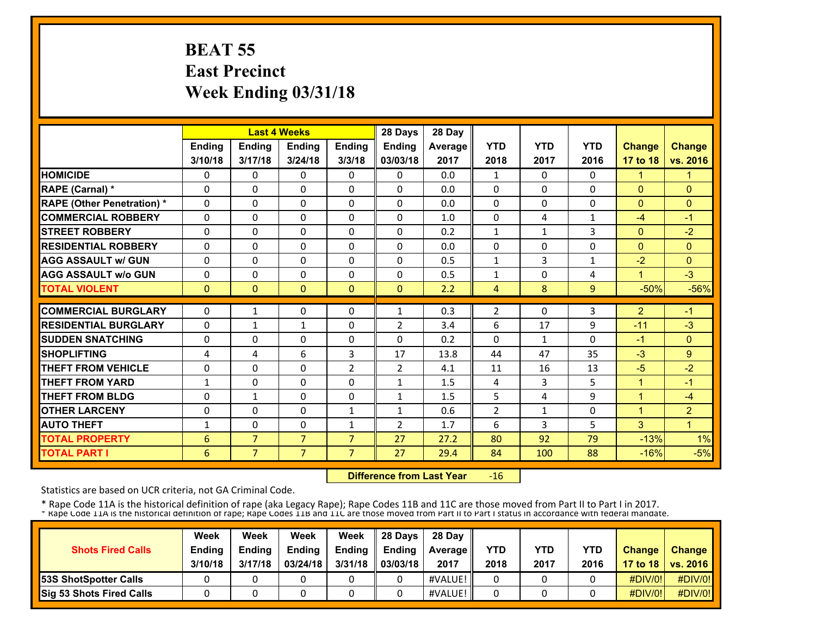# **BEAT 55 East Precinct Week Ending 03/31/18**

|                                   |          |                | <b>Last 4 Weeks</b> |                | 28 Days        | 28 Day  |                |              |              |                |                      |
|-----------------------------------|----------|----------------|---------------------|----------------|----------------|---------|----------------|--------------|--------------|----------------|----------------------|
|                                   | Ending   | Ending         | Ending              | Ending         | <b>Ending</b>  | Average | <b>YTD</b>     | <b>YTD</b>   | <b>YTD</b>   | <b>Change</b>  | <b>Change</b>        |
|                                   | 3/10/18  | 3/17/18        | 3/24/18             | 3/3/18         | 03/03/18       | 2017    | 2018           | 2017         | 2016         | 17 to 18       | vs. 2016             |
| <b>HOMICIDE</b>                   | 0        | 0              | $\Omega$            | 0              | 0              | 0.0     | $\mathbf{1}$   | $\Omega$     | 0            | $\mathbf{1}$   | 1                    |
| RAPE (Carnal) *                   | $\Omega$ | 0              | 0                   | $\mathbf{0}$   | $\Omega$       | 0.0     | $\Omega$       | $\Omega$     | 0            | $\Omega$       | $\Omega$             |
| <b>RAPE (Other Penetration) *</b> | $\Omega$ | 0              | $\Omega$            | $\Omega$       | $\Omega$       | 0.0     | 0              | 0            | 0            | $\mathbf{0}$   | $\mathbf{0}$         |
| <b>COMMERCIAL ROBBERY</b>         | $\Omega$ | 0              | 0                   | $\Omega$       | 0              | 1.0     | $\Omega$       | 4            | $\mathbf{1}$ | $-4$           | $-1$                 |
| <b>STREET ROBBERY</b>             | 0        | 0              | 0                   | $\mathbf{0}$   | $\Omega$       | 0.2     | $\mathbf{1}$   | $\mathbf{1}$ | 3            | $\Omega$       | $-2$                 |
| <b>RESIDENTIAL ROBBERY</b>        | 0        | $\Omega$       | 0                   | $\Omega$       | 0              | 0.0     | $\Omega$       | 0            | 0            | $\Omega$       | $\mathbf{0}$         |
| <b>AGG ASSAULT w/ GUN</b>         | $\Omega$ | 0              | 0                   | $\mathbf{0}$   | 0              | 0.5     | 1              | 3            | 1            | $-2$           | $\mathbf{0}$         |
| <b>AGG ASSAULT w/o GUN</b>        | $\Omega$ | 0              | $\Omega$            | 0              | 0              | 0.5     | 1              | 0            | 4            | 1              | $-3$                 |
| <b>TOTAL VIOLENT</b>              | $\Omega$ | $\Omega$       | $\Omega$            | $\mathbf{0}$   | $\Omega$       | 2.2     | 4              | 8            | 9            | $-50%$         | $-56%$               |
| <b>COMMERCIAL BURGLARY</b>        | $\Omega$ | 1              | 0                   | $\mathbf{0}$   | 1              | 0.3     | $\overline{2}$ | 0            | 3            | $\overline{2}$ | $-1$                 |
| <b>RESIDENTIAL BURGLARY</b>       | $\Omega$ | $\mathbf{1}$   | $\mathbf{1}$        | $\Omega$       | 2              | 3.4     | 6              | 17           | 9            | $-11$          | $-3$                 |
| <b>SUDDEN SNATCHING</b>           | $\Omega$ | 0              | $\Omega$            | $\mathbf{0}$   | 0              | 0.2     | 0              | $\mathbf{1}$ | 0            | $-1$           | $\mathbf{0}$         |
| <b>SHOPLIFTING</b>                | 4        | 4              | 6                   | 3              | 17             | 13.8    | 44             | 47           | 35           | $-3$           | 9                    |
| <b>THEFT FROM VEHICLE</b>         | $\Omega$ | 0              | $\Omega$            | $\overline{2}$ | $\overline{2}$ | 4.1     | 11             | 16           | 13           | $-5$           | $-2$                 |
| <b>THEFT FROM YARD</b>            | 1        | $\Omega$       | $\Omega$            | $\Omega$       | 1              | 1.5     | 4              | 3            | 5            | $\blacksquare$ | $-1$                 |
| <b>THEFT FROM BLDG</b>            | $\Omega$ | $\mathbf{1}$   | $\Omega$            | 0              | 1              | 1.5     | 5              | 4            | 9            | $\mathbf{1}$   | $-4$                 |
| <b>OTHER LARCENY</b>              | $\Omega$ | $\Omega$       | $\Omega$            | 1              | 1              | 0.6     | $\overline{2}$ | 1            | 0            | $\mathbf{1}$   | $\overline{2}$       |
| <b>AUTO THEFT</b>                 | 1        | $\Omega$       | $\Omega$            | $\mathbf{1}$   | $\mathcal{P}$  | 1.7     | 6              | 3            | 5            | 3              | $\blacktriangleleft$ |
| <b>TOTAL PROPERTY</b>             | 6        | $\overline{7}$ | $\overline{7}$      | $\overline{7}$ | 27             | 27.2    | 80             | 92           | 79           | $-13%$         | 1%                   |
| <b>TOTAL PART I</b>               | 6        | $\overline{7}$ | $\overline{7}$      | $\overline{7}$ | 27             | 29.4    | 84             | 100          | 88           | $-16%$         | $-5%$                |
|                                   |          |                |                     |                |                |         |                |              |              |                |                      |

 **Difference from Last Year** $-16$ 

Statistics are based on UCR criteria, not GA Criminal Code.

|                              | Week          | Week          | Week          | Week          | 28 Davs       | 28 Day         |      |      |            |               |                     |
|------------------------------|---------------|---------------|---------------|---------------|---------------|----------------|------|------|------------|---------------|---------------------|
| <b>Shots Fired Calls</b>     | <b>Ending</b> | <b>Ending</b> | <b>Ending</b> | <b>Ending</b> | <b>Ending</b> | <b>Average</b> | YTD  | YTD  | <b>YTD</b> | <b>Change</b> | <b>Change</b>       |
|                              | 3/10/18       | 3/17/18       | 03/24/18      | 3/31/18       | 03/03/18      | 2017           | 2018 | 2017 | 2016       |               | 17 to 18   vs. 2016 |
| <b>53S ShotSpotter Calls</b> |               |               |               |               |               | #VALUE!        |      |      |            | $\#$ DIV/0!   | #DIV/0!             |
| Sig 53 Shots Fired Calls     |               |               |               |               |               | #VALUE!        |      |      |            | #DIV/0!       | #DIV/0!             |